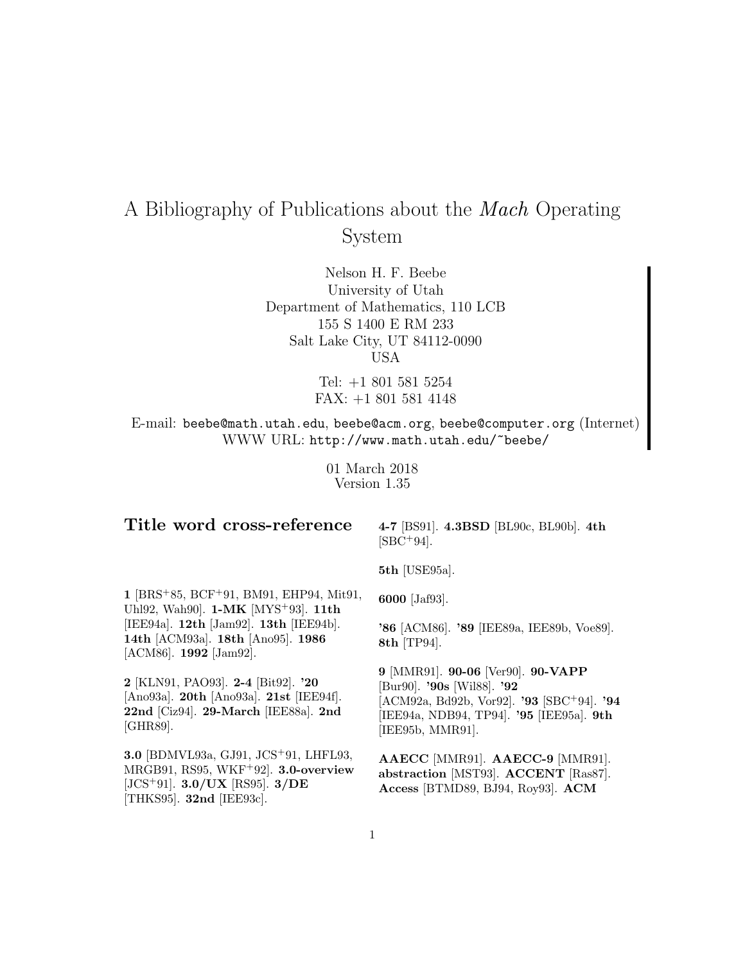# A Bibliography of Publications about the Mach Operating System

Nelson H. F. Beebe University of Utah Department of Mathematics, 110 LCB 155 S 1400 E RM 233 Salt Lake City, UT 84112-0090 USA

> Tel: +1 801 581 5254 FAX: +1 801 581 4148

E-mail: beebe@math.utah.edu, beebe@acm.org, beebe@computer.org (Internet) WWW URL: http://www.math.utah.edu/~beebe/

> 01 March 2018 Version 1.35

# **Title word cross-reference**

**4-7** [BS91]. **4.3BSD** [BL90c, BL90b]. **4th**  $[{\rm SBC^{+}94}]$ .

**5th** [USE95a].

**6000** [Jaf93].

**1** [BRS<sup>+</sup>85, BCF<sup>+</sup>91, BM91, EHP94, Mit91, Uhl92, Wah90]. **1-MK** [MYS<sup>+</sup>93]. **11th** [IEE94a]. **12th** [Jam92]. **13th** [IEE94b]. **14th** [ACM93a]. **18th** [Ano95]. **1986** [ACM86]. **1992** [Jam92].

**2** [KLN91, PAO93]. **2-4** [Bit92]. **'20** [Ano93a]. **20th** [Ano93a]. **21st** [IEE94f]. **22nd** [Ciz94]. **29-March** [IEE88a]. **2nd** [GHR89].

**3.0** [BDMVL93a, GJ91, JCS<sup>+</sup>91, LHFL93, MRGB91, RS95, WKF<sup>+</sup>92]. **3.0-overview** [JCS<sup>+</sup>91]. **3.0/UX** [RS95]. **3/DE** [THKS95]. **32nd** [IEE93c].

**'86** [ACM86]. **'89** [IEE89a, IEE89b, Voe89]. **8th** [TP94].

**9** [MMR91]. **90-06** [Ver90]. **90-VAPP** [Bur90]. **'90s** [Wil88]. **'92** [ACM92a, Bd92b, Vor92]. **'93** [SBC<sup>+</sup>94]. **'94** [IEE94a, NDB94, TP94]. **'95** [IEE95a]. **9th** [IEE95b, MMR91].

**AAECC** [MMR91]. **AAECC-9** [MMR91]. **abstraction** [MST93]. **ACCENT** [Ras87]. **Access** [BTMD89, BJ94, Roy93]. **ACM**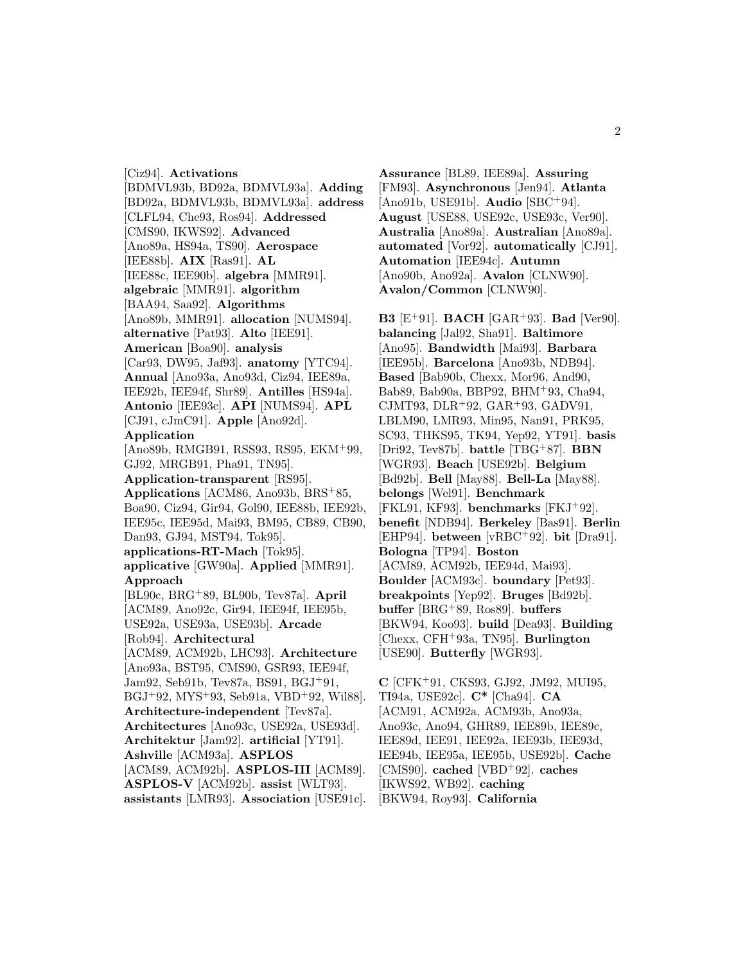[Ciz94]. **Activations** [BDMVL93b, BD92a, BDMVL93a]. **Adding** [BD92a, BDMVL93b, BDMVL93a]. **address** [CLFL94, Che93, Ros94]. **Addressed** [CMS90, IKWS92]. **Advanced** [Ano89a, HS94a, TS90]. **Aerospace** [IEE88b]. **AIX** [Ras91]. **AL** [IEE88c, IEE90b]. **algebra** [MMR91]. **algebraic** [MMR91]. **algorithm** [BAA94, Saa92]. **Algorithms** [Ano89b, MMR91]. **allocation** [NUMS94]. **alternative** [Pat93]. **Alto** [IEE91]. **American** [Boa90]. **analysis** [Car93, DW95, Jaf93]. **anatomy** [YTC94]. **Annual** [Ano93a, Ano93d, Ciz94, IEE89a, IEE92b, IEE94f, Shr89]. **Antilles** [HS94a]. **Antonio** [IEE93c]. **API** [NUMS94]. **APL** [CJ91, cJmC91]. **Apple** [Ano92d]. **Application** [Ano89b, RMGB91, RSS93, RS95, EKM<sup>+</sup>99, GJ92, MRGB91, Pha91, TN95]. **Application-transparent** [RS95]. **Applications** [ACM86, Ano93b, BRS<sup>+</sup>85, Boa90, Ciz94, Gir94, Gol90, IEE88b, IEE92b, IEE95c, IEE95d, Mai93, BM95, CB89, CB90, Dan93, GJ94, MST94, Tok95]. **applications-RT-Mach** [Tok95]. **applicative** [GW90a]. **Applied** [MMR91]. **Approach** [BL90c, BRG<sup>+</sup>89, BL90b, Tev87a]. **April** [ACM89, Ano92c, Gir94, IEE94f, IEE95b, USE92a, USE93a, USE93b]. **Arcade** [Rob94]. **Architectural** [ACM89, ACM92b, LHC93]. **Architecture** [Ano93a, BST95, CMS90, GSR93, IEE94f, Jam92, Seb91b, Tev87a, BS91, BGJ<sup>+</sup>91, BGJ<sup>+</sup>92, MYS<sup>+</sup>93, Seb91a, VBD<sup>+</sup>92, Wil88]. **Architecture-independent** [Tev87a]. **Architectures** [Ano93c, USE92a, USE93d]. **Architektur** [Jam92]. **artificial** [YT91]. **Ashville** [ACM93a]. **ASPLOS** [ACM89, ACM92b]. **ASPLOS-III** [ACM89]. **ASPLOS-V** [ACM92b]. **assist** [WLT93]. **assistants** [LMR93]. **Association** [USE91c].

**Assurance** [BL89, IEE89a]. **Assuring** [FM93]. **Asynchronous** [Jen94]. **Atlanta** [Ano91b, USE91b]. **Audio** [SBC<sup>+</sup>94]. **August** [USE88, USE92c, USE93c, Ver90]. **Australia** [Ano89a]. **Australian** [Ano89a]. **automated** [Vor92]. **automatically** [CJ91]. **Automation** [IEE94c]. **Autumn** [Ano90b, Ano92a]. **Avalon** [CLNW90]. **Avalon/Common** [CLNW90].

**B3** [E<sup>+</sup>91]. **BACH** [GAR<sup>+</sup>93]. **Bad** [Ver90]. **balancing** [Jal92, Sha91]. **Baltimore** [Ano95]. **Bandwidth** [Mai93]. **Barbara** [IEE95b]. **Barcelona** [Ano93b, NDB94]. **Based** [Bab90b, Chexx, Mor96, And90, Bab89, Bab90a, BBP92, BHM<sup>+</sup>93, Cha94, CJMT93, DLR<sup>+</sup>92, GAR<sup>+</sup>93, GADV91, LBLM90, LMR93, Min95, Nan91, PRK95, SC93, THKS95, TK94, Yep92, YT91]. **basis** [Dri92, Tev87b]. **battle** [TBG<sup>+</sup>87]. **BBN** [WGR93]. **Beach** [USE92b]. **Belgium** [Bd92b]. **Bell** [May88]. **Bell-La** [May88]. **belongs** [Wel91]. **Benchmark** [FKL91, KF93]. **benchmarks** [FKJ<sup>+</sup>92]. **benefit** [NDB94]. **Berkeley** [Bas91]. **Berlin** [EHP94]. **between** [vRBC<sup>+</sup>92]. **bit** [Dra91]. **Bologna** [TP94]. **Boston** [ACM89, ACM92b, IEE94d, Mai93]. **Boulder** [ACM93c]. **boundary** [Pet93]. **breakpoints** [Yep92]. **Bruges** [Bd92b]. **buffer** [BRG<sup>+</sup>89, Ros89]. **buffers** [BKW94, Koo93]. **build** [Dea93]. **Building** [Chexx, CFH<sup>+</sup>93a, TN95]. **Burlington** [USE90]. **Butterfly** [WGR93].

**C** [CFK<sup>+</sup>91, CKS93, GJ92, JM92, MUI95, TI94a, USE92c]. **C\*** [Cha94]. **CA** [ACM91, ACM92a, ACM93b, Ano93a, Ano93c, Ano94, GHR89, IEE89b, IEE89c, IEE89d, IEE91, IEE92a, IEE93b, IEE93d, IEE94b, IEE95a, IEE95b, USE92b]. **Cache** [CMS90]. **cached** [VBD<sup>+</sup>92]. **caches** [IKWS92, WB92]. **caching** [BKW94, Roy93]. **California**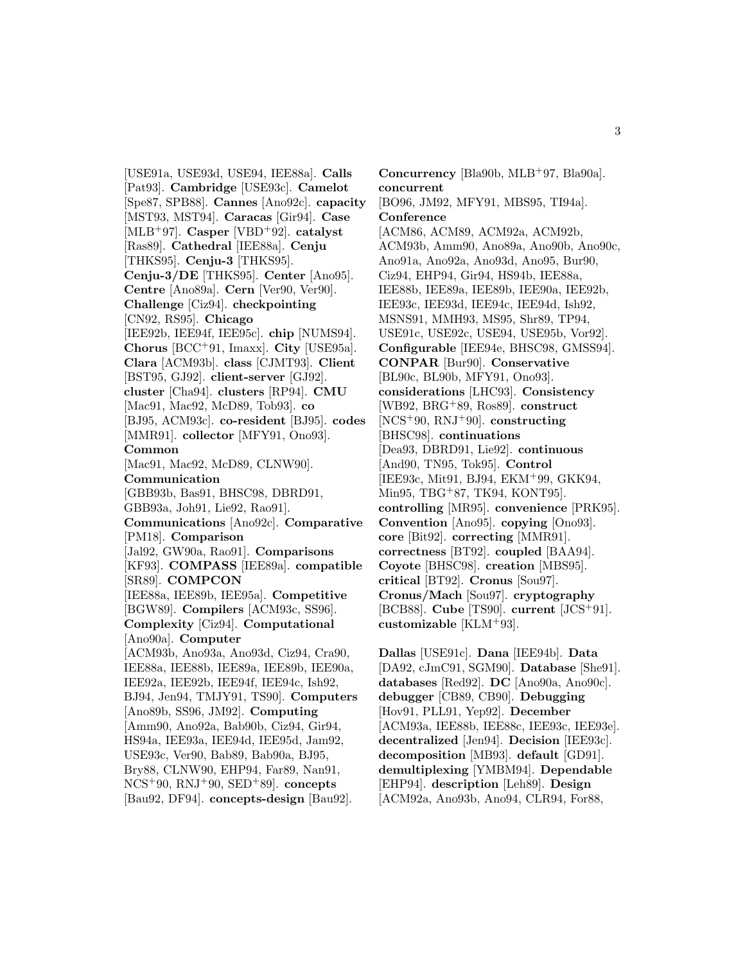[USE91a, USE93d, USE94, IEE88a]. **Calls** [Pat93]. **Cambridge** [USE93c]. **Camelot** [Spe87, SPB88]. **Cannes** [Ano92c]. **capacity** [MST93, MST94]. **Caracas** [Gir94]. **Case** [MLB<sup>+</sup>97]. **Casper** [VBD<sup>+</sup>92]. **catalyst** [Ras89]. **Cathedral** [IEE88a]. **Cenju** [THKS95]. **Cenju-3** [THKS95]. **Cenju-3/DE** [THKS95]. **Center** [Ano95]. **Centre** [Ano89a]. **Cern** [Ver90, Ver90]. **Challenge** [Ciz94]. **checkpointing** [CN92, RS95]. **Chicago** [IEE92b, IEE94f, IEE95c]. **chip** [NUMS94]. **Chorus** [BCC<sup>+</sup>91, Imaxx]. **City** [USE95a]. **Clara** [ACM93b]. **class** [CJMT93]. **Client** [BST95, GJ92]. **client-server** [GJ92]. **cluster** [Cha94]. **clusters** [RP94]. **CMU** [Mac91, Mac92, McD89, Tob93]. **co** [BJ95, ACM93c]. **co-resident** [BJ95]. **codes** [MMR91]. **collector** [MFY91, Ono93]. **Common** [Mac91, Mac92, McD89, CLNW90]. **Communication** [GBB93b, Bas91, BHSC98, DBRD91, GBB93a, Joh91, Lie92, Rao91]. **Communications** [Ano92c]. **Comparative** [PM18]. **Comparison** [Jal92, GW90a, Rao91]. **Comparisons** [KF93]. **COMPASS** [IEE89a]. **compatible** [SR89]. **COMPCON** [IEE88a, IEE89b, IEE95a]. **Competitive** [BGW89]. **Compilers** [ACM93c, SS96]. **Complexity** [Ciz94]. **Computational** [Ano90a]. **Computer** [ACM93b, Ano93a, Ano93d, Ciz94, Cra90, IEE88a, IEE88b, IEE89a, IEE89b, IEE90a, IEE92a, IEE92b, IEE94f, IEE94c, Ish92, BJ94, Jen94, TMJY91, TS90]. **Computers** [Ano89b, SS96, JM92]. **Computing** [Amm90, Ano92a, Bab90b, Ciz94, Gir94, HS94a, IEE93a, IEE94d, IEE95d, Jam92, USE93c, Ver90, Bab89, Bab90a, BJ95, Bry88, CLNW90, EHP94, Far89, Nan91, NCS<sup>+</sup>90, RNJ<sup>+</sup>90, SED<sup>+</sup>89]. **concepts**

[Bau92, DF94]. **concepts-design** [Bau92].

**Concurrency** [Bla90b, MLB<sup>+</sup>97, Bla90a]. **concurrent** [BO96, JM92, MFY91, MBS95, TI94a]. **Conference** [ACM86, ACM89, ACM92a, ACM92b, ACM93b, Amm90, Ano89a, Ano90b, Ano90c, Ano91a, Ano92a, Ano93d, Ano95, Bur90, Ciz94, EHP94, Gir94, HS94b, IEE88a, IEE88b, IEE89a, IEE89b, IEE90a, IEE92b, IEE93c, IEE93d, IEE94c, IEE94d, Ish92, MSNS91, MMH93, MS95, Shr89, TP94, USE91c, USE92c, USE94, USE95b, Vor92]. **Configurable** [IEE94e, BHSC98, GMSS94]. **CONPAR** [Bur90]. **Conservative** [BL90c, BL90b, MFY91, Ono93]. **considerations** [LHC93]. **Consistency** [WB92, BRG<sup>+</sup>89, Ros89]. **construct** [NCS<sup>+</sup>90, RNJ<sup>+</sup>90]. **constructing** [BHSC98]. **continuations** [Dea93, DBRD91, Lie92]. **continuous** [And90, TN95, Tok95]. **Control** [IEE93c, Mit91, BJ94, EKM<sup>+</sup>99, GKK94, Min95, TBG<sup>+</sup>87, TK94, KONT95]. **controlling** [MR95]. **convenience** [PRK95]. **Convention** [Ano95]. **copying** [Ono93]. **core** [Bit92]. **correcting** [MMR91]. **correctness** [BT92]. **coupled** [BAA94]. **Coyote** [BHSC98]. **creation** [MBS95]. **critical** [BT92]. **Cronus** [Sou97]. **Cronus/Mach** [Sou97]. **cryptography** [BCB88]. **Cube** [TS90]. **current** [JCS<sup>+</sup>91]. **customizable** [KLM<sup>+</sup>93].

**Dallas** [USE91c]. **Dana** [IEE94b]. **Data** [DA92, cJmC91, SGM90]. **Database** [She91]. **databases** [Red92]. **DC** [Ano90a, Ano90c]. **debugger** [CB89, CB90]. **Debugging** [Hov91, PLL91, Yep92]. **December** [ACM93a, IEE88b, IEE88c, IEE93c, IEE93e]. **decentralized** [Jen94]. **Decision** [IEE93c]. **decomposition** [MB93]. **default** [GD91]. **demultiplexing** [YMBM94]. **Dependable** [EHP94]. **description** [Leh89]. **Design** [ACM92a, Ano93b, Ano94, CLR94, For88,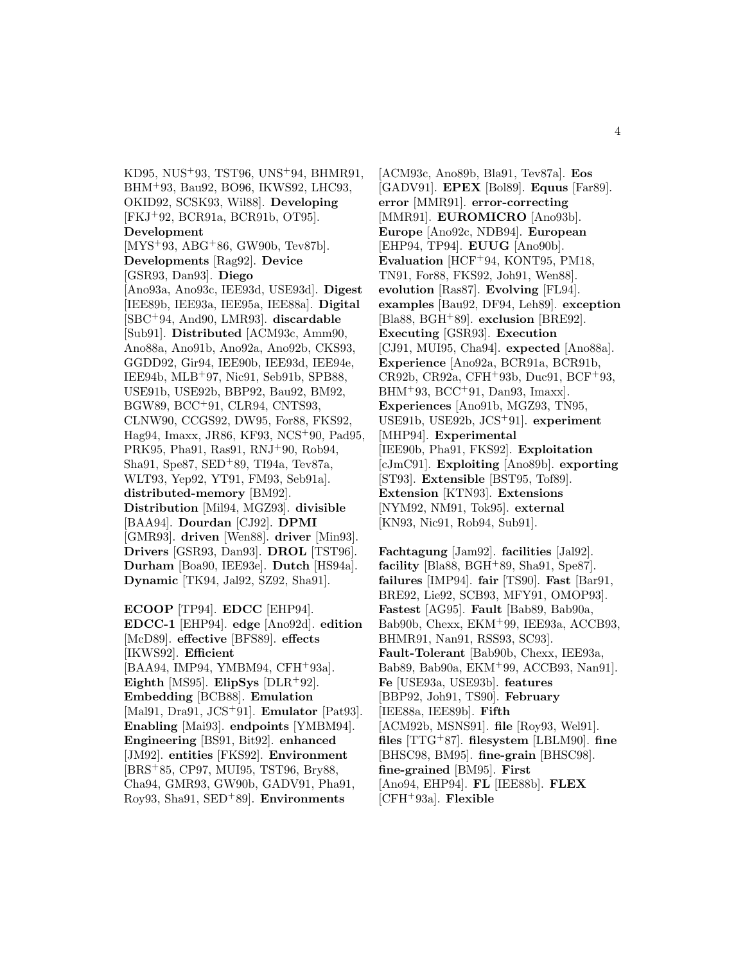KD95, NUS<sup>+</sup>93, TST96, UNS<sup>+</sup>94, BHMR91, BHM<sup>+</sup>93, Bau92, BO96, IKWS92, LHC93, OKID92, SCSK93, Wil88]. **Developing** [FKJ<sup>+</sup>92, BCR91a, BCR91b, OT95]. **Development** [MYS<sup>+</sup>93, ABG<sup>+</sup>86, GW90b, Tev87b]. **Developments** [Rag92]. **Device** [GSR93, Dan93]. **Diego** [Ano93a, Ano93c, IEE93d, USE93d]. **Digest** [IEE89b, IEE93a, IEE95a, IEE88a]. **Digital** [SBC<sup>+</sup>94, And90, LMR93]. **discardable** [Sub91]. **Distributed** [ACM93c, Amm90, Ano88a, Ano91b, Ano92a, Ano92b, CKS93, GGDD92, Gir94, IEE90b, IEE93d, IEE94e, IEE94b, MLB<sup>+</sup>97, Nic91, Seb91b, SPB88, USE91b, USE92b, BBP92, Bau92, BM92, BGW89, BCC<sup>+</sup>91, CLR94, CNTS93, CLNW90, CCGS92, DW95, For88, FKS92, Hag94, Imaxx, JR86, KF93, NCS<sup>+</sup>90, Pad95, PRK95, Pha91, Ras91, RNJ<sup>+</sup>90, Rob94, Sha91, Spe87, SED<sup>+</sup>89, TI94a, Tev87a, WLT93, Yep92, YT91, FM93, Seb91a]. **distributed-memory** [BM92]. **Distribution** [Mil94, MGZ93]. **divisible** [BAA94]. **Dourdan** [CJ92]. **DPMI** [GMR93]. **driven** [Wen88]. **driver** [Min93]. **Drivers** [GSR93, Dan93]. **DROL** [TST96]. **Durham** [Boa90, IEE93e]. **Dutch** [HS94a]. **Dynamic** [TK94, Jal92, SZ92, Sha91].

**ECOOP** [TP94]. **EDCC** [EHP94]. **EDCC-1** [EHP94]. **edge** [Ano92d]. **edition** [McD89]. **effective** [BFS89]. **effects** [IKWS92]. **Efficient** [BAA94, IMP94, YMBM94, CFH<sup>+</sup>93a]. **Eighth** [MS95]. **ElipSys** [DLR<sup>+</sup>92]. **Embedding** [BCB88]. **Emulation** [Mal91, Dra91, JCS<sup>+</sup>91]. **Emulator** [Pat93]. **Enabling** [Mai93]. **endpoints** [YMBM94]. **Engineering** [BS91, Bit92]. **enhanced** [JM92]. **entities** [FKS92]. **Environment** [BRS<sup>+</sup>85, CP97, MUI95, TST96, Bry88, Cha94, GMR93, GW90b, GADV91, Pha91, Roy93, Sha91, SED<sup>+</sup>89]. **Environments**

[ACM93c, Ano89b, Bla91, Tev87a]. **Eos** [GADV91]. **EPEX** [Bol89]. **Equus** [Far89]. **error** [MMR91]. **error-correcting** [MMR91]. **EUROMICRO** [Ano93b]. **Europe** [Ano92c, NDB94]. **European** [EHP94, TP94]. **EUUG** [Ano90b]. **Evaluation** [HCF<sup>+</sup>94, KONT95, PM18, TN91, For88, FKS92, Joh91, Wen88]. **evolution** [Ras87]. **Evolving** [FL94]. **examples** [Bau92, DF94, Leh89]. **exception** [Bla88, BGH<sup>+</sup>89]. **exclusion** [BRE92]. **Executing** [GSR93]. **Execution** [CJ91, MUI95, Cha94]. **expected** [Ano88a]. **Experience** [Ano92a, BCR91a, BCR91b, CR92b, CR92a, CFH<sup>+</sup>93b, Duc91, BCF<sup>+</sup>93, BHM<sup>+</sup>93, BCC<sup>+</sup>91, Dan93, Imaxx. **Experiences** [Ano91b, MGZ93, TN95, USE91b, USE92b, JCS<sup>+</sup>91]. **experiment** [MHP94]. **Experimental** [IEE90b, Pha91, FKS92]. **Exploitation** [cJmC91]. **Exploiting** [Ano89b]. **exporting** [ST93]. **Extensible** [BST95, Tof89]. **Extension** [KTN93]. **Extensions** [NYM92, NM91, Tok95]. **external** [KN93, Nic91, Rob94, Sub91].

**Fachtagung** [Jam92]. **facilities** [Jal92]. **facility** [Bla88, BGH<sup>+</sup>89, Sha91, Spe87]. **failures** [IMP94]. **fair** [TS90]. **Fast** [Bar91, BRE92, Lie92, SCB93, MFY91, OMOP93]. **Fastest** [AG95]. **Fault** [Bab89, Bab90a, Bab90b, Chexx, EKM<sup>+</sup>99, IEE93a, ACCB93, BHMR91, Nan91, RSS93, SC93]. **Fault-Tolerant** [Bab90b, Chexx, IEE93a, Bab89, Bab90a, EKM<sup>+</sup>99, ACCB93, Nan91]. **Fe** [USE93a, USE93b]. **features** [BBP92, Joh91, TS90]. **February** [IEE88a, IEE89b]. **Fifth** [ACM92b, MSNS91]. **file** [Roy93, Wel91]. **files** [TTG<sup>+</sup>87]. **filesystem** [LBLM90]. **fine** [BHSC98, BM95]. **fine-grain** [BHSC98]. **fine-grained** [BM95]. **First** [Ano94, EHP94]. **FL** [IEE88b]. **FLEX** [CFH<sup>+</sup>93a]. **Flexible**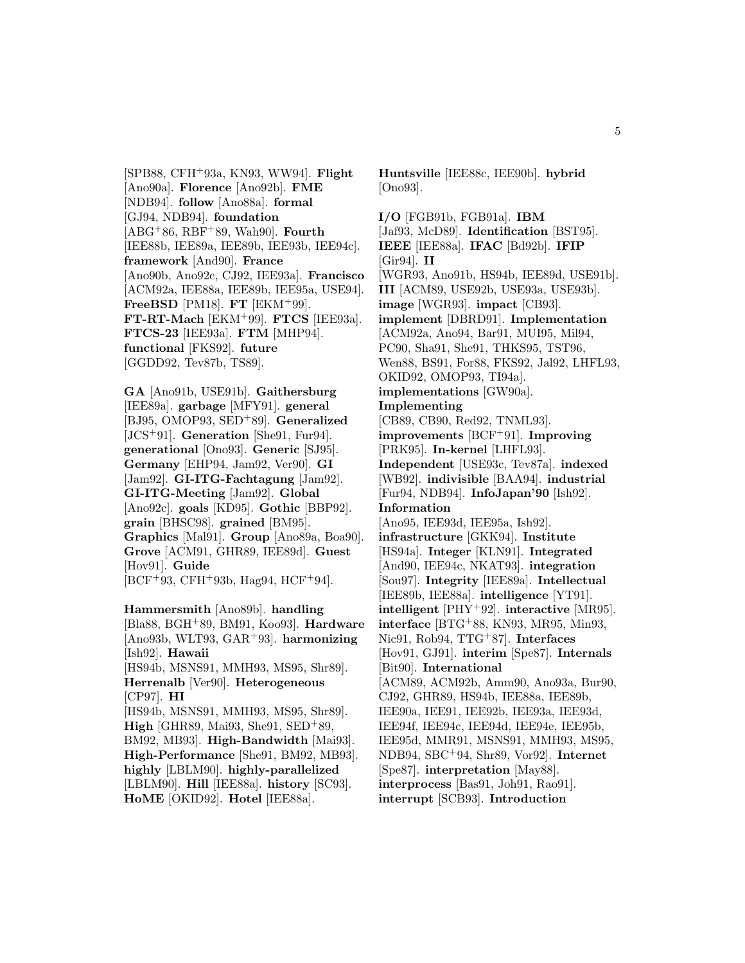[SPB88, CFH<sup>+</sup>93a, KN93, WW94]. **Flight** [Ano90a]. **Florence** [Ano92b]. **FME** [NDB94]. **follow** [Ano88a]. **formal** [GJ94, NDB94]. **foundation** [ABG<sup>+</sup>86, RBF<sup>+</sup>89, Wah90]. **Fourth** [IEE88b, IEE89a, IEE89b, IEE93b, IEE94c]. **framework** [And90]. **France** [Ano90b, Ano92c, CJ92, IEE93a]. **Francisco** [ACM92a, IEE88a, IEE89b, IEE95a, USE94]. **FreeBSD** [PM18]. **FT** [EKM<sup>+</sup>99]. **FT-RT-Mach** [EKM<sup>+</sup>99]. **FTCS** [IEE93a]. **FTCS-23** [IEE93a]. **FTM** [MHP94]. **functional** [FKS92]. **future** [GGDD92, Tev87b, TS89].

**GA** [Ano91b, USE91b]. **Gaithersburg** [IEE89a]. **garbage** [MFY91]. **general** [BJ95, OMOP93, SED<sup>+</sup>89]. **Generalized** [JCS<sup>+</sup>91]. **Generation** [She91, Fur94]. **generational** [Ono93]. **Generic** [SJ95]. **Germany** [EHP94, Jam92, Ver90]. **GI** [Jam92]. **GI-ITG-Fachtagung** [Jam92]. **GI-ITG-Meeting** [Jam92]. **Global** [Ano92c]. **goals** [KD95]. **Gothic** [BBP92]. **grain** [BHSC98]. **grained** [BM95]. **Graphics** [Mal91]. **Group** [Ano89a, Boa90]. **Grove** [ACM91, GHR89, IEE89d]. **Guest** [Hov91]. **Guide** [BCF<sup>+</sup>93, CFH<sup>+</sup>93b, Hag94, HCF<sup>+</sup>94].

**Hammersmith** [Ano89b]. **handling** [Bla88, BGH<sup>+</sup>89, BM91, Koo93]. **Hardware** [Ano93b, WLT93, GAR<sup>+</sup>93]. **harmonizing** [Ish92]. **Hawaii** [HS94b, MSNS91, MMH93, MS95, Shr89]. **Herrenalb** [Ver90]. **Heterogeneous** [CP97]. **HI** [HS94b, MSNS91, MMH93, MS95, Shr89]. **High** [GHR89, Mai93, She91, SED<sup>+</sup>89, BM92, MB93]. **High-Bandwidth** [Mai93]. **High-Performance** [She91, BM92, MB93]. **highly** [LBLM90]. **highly-parallelized** [LBLM90]. **Hill** [IEE88a]. **history** [SC93]. **HoME** [OKID92]. **Hotel** [IEE88a].

**Huntsville** [IEE88c, IEE90b]. **hybrid** [Ono93].

**I/O** [FGB91b, FGB91a]. **IBM** [Jaf93, McD89]. **Identification** [BST95]. **IEEE** [IEE88a]. **IFAC** [Bd92b]. **IFIP** [Gir94]. **II** [WGR93, Ano91b, HS94b, IEE89d, USE91b]. **III** [ACM89, USE92b, USE93a, USE93b]. **image** [WGR93]. **impact** [CB93]. **implement** [DBRD91]. **Implementation** [ACM92a, Ano94, Bar91, MUI95, Mil94, PC90, Sha91, She91, THKS95, TST96, Wen88, BS91, For88, FKS92, Jal92, LHFL93, OKID92, OMOP93, TI94a]. **implementations** [GW90a]. **Implementing** [CB89, CB90, Red92, TNML93]. **improvements** [BCF<sup>+</sup>91]. **Improving** [PRK95]. **In-kernel** [LHFL93]. **Independent** [USE93c, Tev87a]. **indexed** [WB92]. **indivisible** [BAA94]. **industrial** [Fur94, NDB94]. **InfoJapan'90** [Ish92]. **Information** [Ano95, IEE93d, IEE95a, Ish92]. **infrastructure** [GKK94]. **Institute** [HS94a]. **Integer** [KLN91]. **Integrated** [And90, IEE94c, NKAT93]. **integration** [Sou97]. **Integrity** [IEE89a]. **Intellectual** [IEE89b, IEE88a]. **intelligence** [YT91]. **intelligent** [PHY<sup>+</sup>92]. **interactive** [MR95]. **interface** [BTG<sup>+</sup>88, KN93, MR95, Min93, Nic91, Rob94, TTG<sup>+</sup>87]. **Interfaces** [Hov91, GJ91]. **interim** [Spe87]. **Internals** [Bit90]. **International** [ACM89, ACM92b, Amm90, Ano93a, Bur90, CJ92, GHR89, HS94b, IEE88a, IEE89b, IEE90a, IEE91, IEE92b, IEE93a, IEE93d, IEE94f, IEE94c, IEE94d, IEE94e, IEE95b, IEE95d, MMR91, MSNS91, MMH93, MS95, NDB94, SBC<sup>+</sup>94, Shr89, Vor92]. **Internet** [Spe87]. **interpretation** [May88]. **interprocess** [Bas91, Joh91, Rao91]. **interrupt** [SCB93]. **Introduction**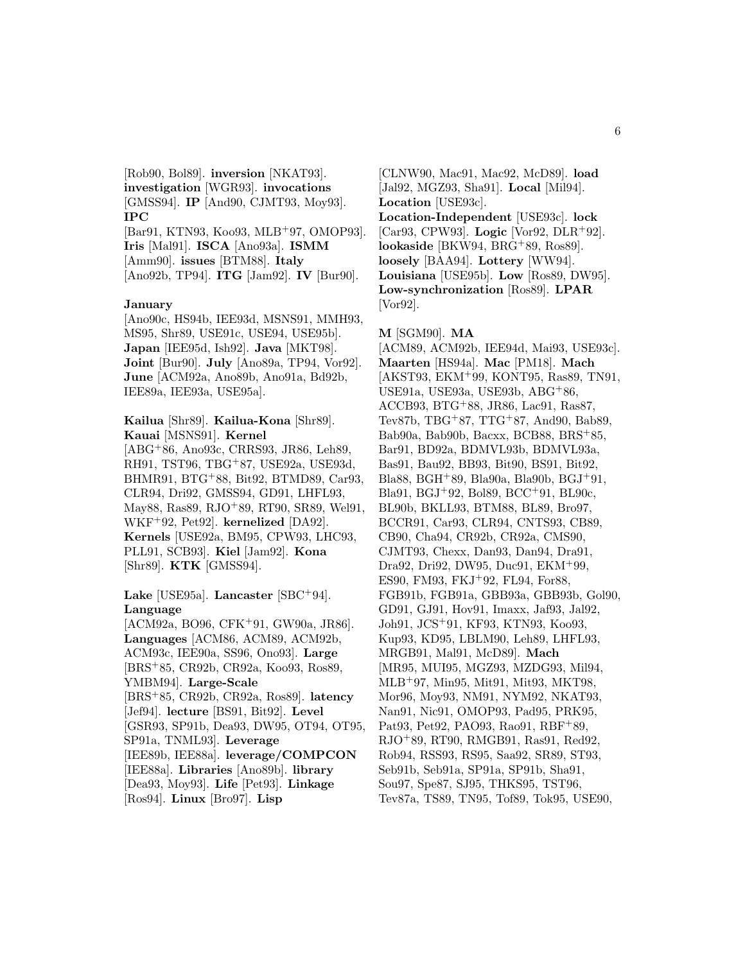[Rob90, Bol89]. **inversion** [NKAT93]. **investigation** [WGR93]. **invocations** [GMSS94]. **IP** [And90, CJMT93, Moy93]. **IPC**

[Bar91, KTN93, Koo93, MLB<sup>+</sup>97, OMOP93]. **Iris** [Mal91]. **ISCA** [Ano93a]. **ISMM** [Amm90]. **issues** [BTM88]. **Italy** [Ano92b, TP94]. **ITG** [Jam92]. **IV** [Bur90].

#### **January**

[Ano90c, HS94b, IEE93d, MSNS91, MMH93, MS95, Shr89, USE91c, USE94, USE95b]. **Japan** [IEE95d, Ish92]. **Java** [MKT98]. **Joint** [Bur90]. **July** [Ano89a, TP94, Vor92]. **June** [ACM92a, Ano89b, Ano91a, Bd92b, IEE89a, IEE93a, USE95a].

**Kailua** [Shr89]. **Kailua-Kona** [Shr89]. **Kauai** [MSNS91]. **Kernel** [ABG<sup>+</sup>86, Ano93c, CRRS93, JR86, Leh89, RH91, TST96, TBG<sup>+</sup>87, USE92a, USE93d, BHMR91, BTG<sup>+</sup>88, Bit92, BTMD89, Car93, CLR94, Dri92, GMSS94, GD91, LHFL93, May88, Ras89, RJO<sup>+</sup>89, RT90, SR89, Wel91, WKF<sup>+</sup>92, Pet92]. **kernelized** [DA92]. **Kernels** [USE92a, BM95, CPW93, LHC93,

PLL91, SCB93]. **Kiel** [Jam92]. **Kona** [Shr89]. **KTK** [GMSS94].

### **Lake** [USE95a]. **Lancaster** [SBC<sup>+</sup>94]. **Language**

[ACM92a, BO96, CFK<sup>+</sup>91, GW90a, JR86]. **Languages** [ACM86, ACM89, ACM92b, ACM93c, IEE90a, SS96, Ono93]. **Large** [BRS<sup>+</sup>85, CR92b, CR92a, Koo93, Ros89, YMBM94]. **Large-Scale** [BRS<sup>+</sup>85, CR92b, CR92a, Ros89]. **latency** [Jef94]. **lecture** [BS91, Bit92]. **Level** [GSR93, SP91b, Dea93, DW95, OT94, OT95, SP91a, TNML93]. **Leverage** [IEE89b, IEE88a]. **leverage/COMPCON** [IEE88a]. **Libraries** [Ano89b]. **library** [Dea93, Moy93]. **Life** [Pet93]. **Linkage** [Ros94]. **Linux** [Bro97]. **Lisp**

[CLNW90, Mac91, Mac92, McD89]. **load** [Jal92, MGZ93, Sha91]. **Local** [Mil94]. **Location** [USE93c]. **Location-Independent** [USE93c]. **lock** [Car93, CPW93]. **Logic** [Vor92, DLR<sup>+</sup>92]. **lookaside** [BKW94, BRG<sup>+</sup>89, Ros89]. **loosely** [BAA94]. **Lottery** [WW94]. **Louisiana** [USE95b]. **Low** [Ros89, DW95]. **Low-synchronization** [Ros89]. **LPAR** [Vor92].

#### **M** [SGM90]. **MA**

[ACM89, ACM92b, IEE94d, Mai93, USE93c]. **Maarten** [HS94a]. **Mac** [PM18]. **Mach** [AKST93, EKM<sup>+</sup>99, KONT95, Ras89, TN91, USE91a, USE93a, USE93b, ABG<sup>+</sup>86, ACCB93, BTG<sup>+</sup>88, JR86, Lac91, Ras87, Tev87b, TBG<sup>+</sup>87, TTG<sup>+</sup>87, And90, Bab89, Bab90a, Bab90b, Bacxx, BCB88, BRS<sup>+</sup>85, Bar91, BD92a, BDMVL93b, BDMVL93a, Bas91, Bau92, BB93, Bit90, BS91, Bit92, Bla88, BGH<sup>+</sup>89, Bla90a, Bla90b, BGJ<sup>+</sup>91, Bla91, BGJ<sup>+</sup>92, Bol89, BCC<sup>+</sup>91, BL90c, BL90b, BKLL93, BTM88, BL89, Bro97, BCCR91, Car93, CLR94, CNTS93, CB89, CB90, Cha94, CR92b, CR92a, CMS90, CJMT93, Chexx, Dan93, Dan94, Dra91, Dra92, Dri92, DW95, Duc91, EKM<sup>+</sup>99, ES90, FM93, FKJ<sup>+</sup>92, FL94, For88, FGB91b, FGB91a, GBB93a, GBB93b, Gol90, GD91, GJ91, Hov91, Imaxx, Jaf93, Jal92, Joh91, JCS<sup>+</sup>91, KF93, KTN93, Koo93, Kup93, KD95, LBLM90, Leh89, LHFL93, MRGB91, Mal91, McD89]. **Mach** [MR95, MUI95, MGZ93, MZDG93, Mil94, MLB<sup>+</sup>97, Min95, Mit91, Mit93, MKT98, Mor96, Moy93, NM91, NYM92, NKAT93, Nan91, Nic91, OMOP93, Pad95, PRK95, Pat93, Pet92, PAO93, Rao91, RBF+89, RJO<sup>+</sup>89, RT90, RMGB91, Ras91, Red92, Rob94, RSS93, RS95, Saa92, SR89, ST93, Seb91b, Seb91a, SP91a, SP91b, Sha91, Sou97, Spe87, SJ95, THKS95, TST96, Tev87a, TS89, TN95, Tof89, Tok95, USE90,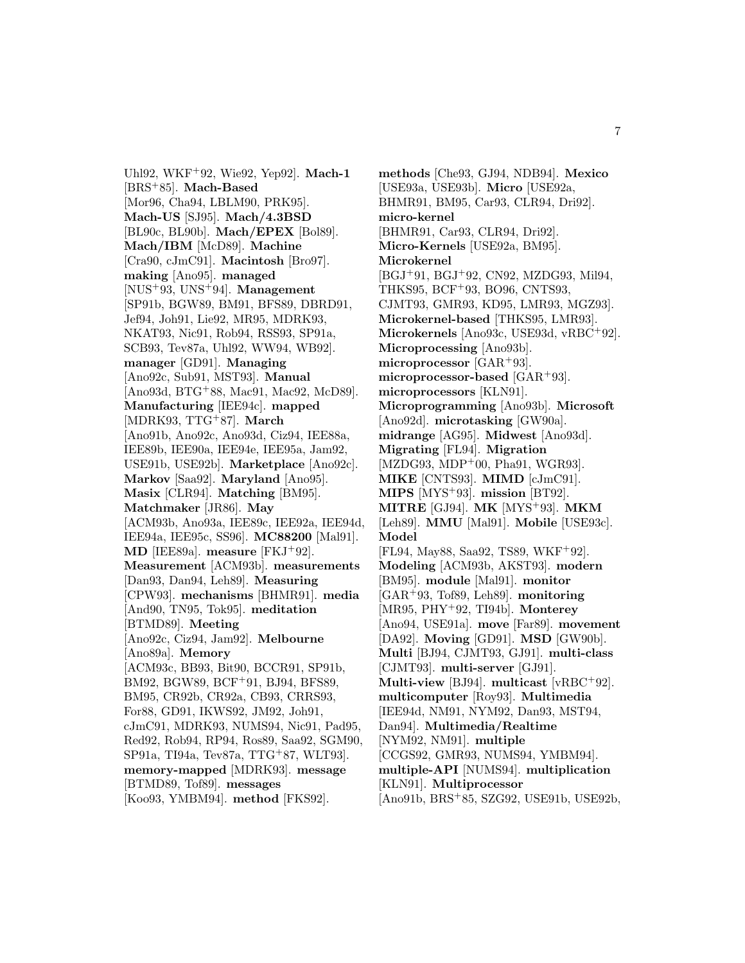Uhl92, WKF<sup>+</sup>92, Wie92, Yep92]. **Mach-1** [BRS<sup>+</sup>85]. **Mach-Based** [Mor96, Cha94, LBLM90, PRK95]. **Mach-US** [SJ95]. **Mach/4.3BSD** [BL90c, BL90b]. **Mach/EPEX** [Bol89]. **Mach/IBM** [McD89]. **Machine** [Cra90, cJmC91]. **Macintosh** [Bro97]. **making** [Ano95]. **managed** [NUS<sup>+</sup>93, UNS<sup>+</sup>94]. **Management** [SP91b, BGW89, BM91, BFS89, DBRD91, Jef94, Joh91, Lie92, MR95, MDRK93, NKAT93, Nic91, Rob94, RSS93, SP91a, SCB93, Tev87a, Uhl92, WW94, WB92]. **manager** [GD91]. **Managing** [Ano92c, Sub91, MST93]. **Manual** [Ano93d, BTG<sup>+</sup>88, Mac91, Mac92, McD89]. **Manufacturing** [IEE94c]. **mapped** [MDRK93, TTG<sup>+</sup>87]. **March** [Ano91b, Ano92c, Ano93d, Ciz94, IEE88a, IEE89b, IEE90a, IEE94e, IEE95a, Jam92, USE91b, USE92b]. **Marketplace** [Ano92c]. **Markov** [Saa92]. **Maryland** [Ano95]. **Masix** [CLR94]. **Matching** [BM95]. **Matchmaker** [JR86]. **May** [ACM93b, Ano93a, IEE89c, IEE92a, IEE94d, IEE94a, IEE95c, SS96]. **MC88200** [Mal91]. **MD** [IEE89a]. **measure** [FKJ<sup>+</sup>92]. **Measurement** [ACM93b]. **measurements** [Dan93, Dan94, Leh89]. **Measuring** [CPW93]. **mechanisms** [BHMR91]. **media** [And90, TN95, Tok95]. **meditation** [BTMD89]. **Meeting** [Ano92c, Ciz94, Jam92]. **Melbourne** [Ano89a]. **Memory** [ACM93c, BB93, Bit90, BCCR91, SP91b, BM92, BGW89, BCF<sup>+</sup>91, BJ94, BFS89, BM95, CR92b, CR92a, CB93, CRRS93, For88, GD91, IKWS92, JM92, Joh91, cJmC91, MDRK93, NUMS94, Nic91, Pad95, Red92, Rob94, RP94, Ros89, Saa92, SGM90, SP91a, TI94a, Tev87a, TTG<sup>+</sup>87, WLT93]. **memory-mapped** [MDRK93]. **message** [BTMD89, Tof89]. **messages** [Koo93, YMBM94]. **method** [FKS92].

**methods** [Che93, GJ94, NDB94]. **Mexico** [USE93a, USE93b]. **Micro** [USE92a, BHMR91, BM95, Car93, CLR94, Dri92]. **micro-kernel** [BHMR91, Car93, CLR94, Dri92]. **Micro-Kernels** [USE92a, BM95]. **Microkernel** [BGJ<sup>+</sup>91, BGJ<sup>+</sup>92, CN92, MZDG93, Mil94, THKS95, BCF<sup>+</sup>93, BO96, CNTS93, CJMT93, GMR93, KD95, LMR93, MGZ93]. **Microkernel-based** [THKS95, LMR93]. **Microkernels** [Ano93c, USE93d, vRBC<sup>+</sup>92]. **Microprocessing** [Ano93b]. **microprocessor** [GAR<sup>+</sup>93]. **microprocessor-based** [GAR<sup>+</sup>93]. **microprocessors** [KLN91]. **Microprogramming** [Ano93b]. **Microsoft** [Ano92d]. **microtasking** [GW90a]. **midrange** [AG95]. **Midwest** [Ano93d]. **Migrating** [FL94]. **Migration** [MZDG93, MDP<sup>+</sup>00, Pha91, WGR93]. **MIKE** [CNTS93]. **MIMD** [cJmC91]. **MIPS** [MYS<sup>+</sup>93]. **mission** [BT92]. **MITRE** [GJ94]. **MK** [MYS<sup>+</sup>93]. **MKM** [Leh89]. **MMU** [Mal91]. **Mobile** [USE93c]. **Model** [FL94, May88, Saa92, TS89, WKF<sup>+</sup>92]. **Modeling** [ACM93b, AKST93]. **modern** [BM95]. **module** [Mal91]. **monitor** [GAR<sup>+</sup>93, Tof89, Leh89]. **monitoring** [MR95, PHY<sup>+</sup>92, TI94b]. **Monterey** [Ano94, USE91a]. **move** [Far89]. **movement** [DA92]. **Moving** [GD91]. **MSD** [GW90b]. **Multi** [BJ94, CJMT93, GJ91]. **multi-class** [CJMT93]. **multi-server** [GJ91]. **Multi-view** [BJ94]. **multicast** [vRBC<sup>+</sup>92]. **multicomputer** [Roy93]. **Multimedia** [IEE94d, NM91, NYM92, Dan93, MST94, Dan94]. **Multimedia/Realtime** [NYM92, NM91]. **multiple** [CCGS92, GMR93, NUMS94, YMBM94]. **multiple-API** [NUMS94]. **multiplication** [KLN91]. **Multiprocessor** [Ano91b, BRS<sup>+</sup>85, SZG92, USE91b, USE92b,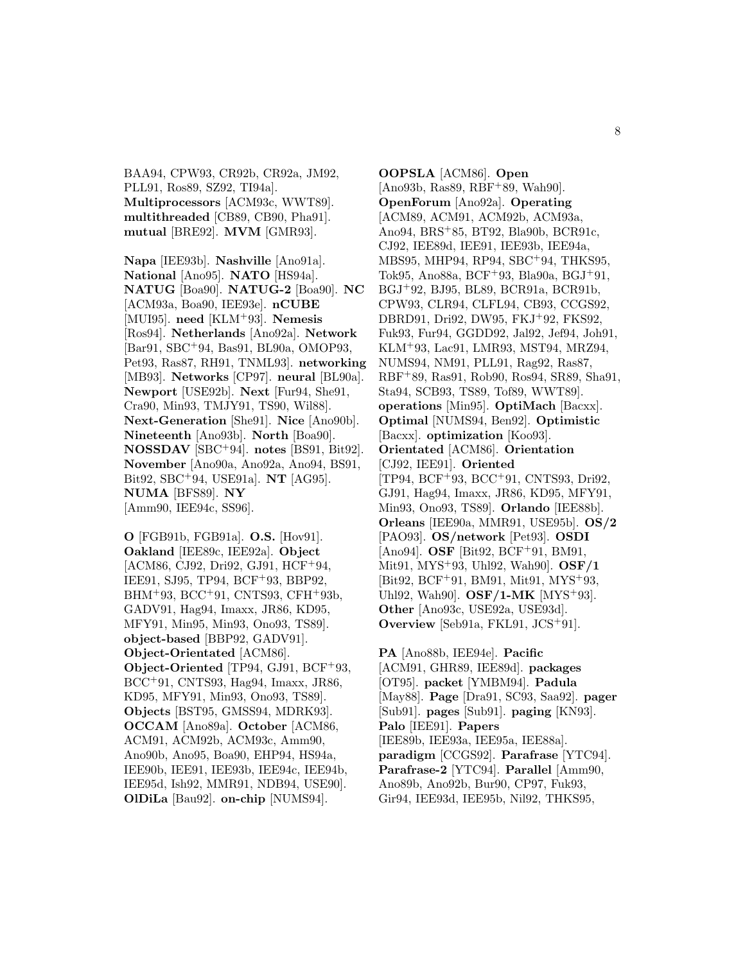BAA94, CPW93, CR92b, CR92a, JM92, PLL91, Ros89, SZ92, TI94a]. **Multiprocessors** [ACM93c, WWT89]. **multithreaded** [CB89, CB90, Pha91]. **mutual** [BRE92]. **MVM** [GMR93].

**Napa** [IEE93b]. **Nashville** [Ano91a]. **National** [Ano95]. **NATO** [HS94a]. **NATUG** [Boa90]. **NATUG-2** [Boa90]. **NC** [ACM93a, Boa90, IEE93e]. **nCUBE** [MUI95]. **need** [KLM<sup>+</sup>93]. **Nemesis** [Ros94]. **Netherlands** [Ano92a]. **Network** [Bar91, SBC<sup>+</sup>94, Bas91, BL90a, OMOP93, Pet93, Ras87, RH91, TNML93]. **networking** [MB93]. **Networks** [CP97]. **neural** [BL90a]. **Newport** [USE92b]. **Next** [Fur94, She91, Cra90, Min93, TMJY91, TS90, Wil88]. **Next-Generation** [She91]. **Nice** [Ano90b]. **Nineteenth** [Ano93b]. **North** [Boa90]. **NOSSDAV** [SBC<sup>+</sup>94]. **notes** [BS91, Bit92]. **November** [Ano90a, Ano92a, Ano94, BS91, Bit92, SBC<sup>+</sup>94, USE91a]. **NT** [AG95]. **NUMA** [BFS89]. **NY** [Amm90, IEE94c, SS96].

**O** [FGB91b, FGB91a]. **O.S.** [Hov91]. **Oakland** [IEE89c, IEE92a]. **Object** [ACM86, CJ92, Dri92, GJ91, HCF<sup>+</sup>94, IEE91, SJ95, TP94, BCF<sup>+</sup>93, BBP92, BHM<sup>+</sup>93, BCC<sup>+</sup>91, CNTS93, CFH<sup>+</sup>93b, GADV91, Hag94, Imaxx, JR86, KD95, MFY91, Min95, Min93, Ono93, TS89]. **object-based** [BBP92, GADV91]. **Object-Orientated** [ACM86]. **Object-Oriented** [TP94, GJ91, BCF<sup>+</sup>93, BCC<sup>+</sup>91, CNTS93, Hag94, Imaxx, JR86, KD95, MFY91, Min93, Ono93, TS89]. **Objects** [BST95, GMSS94, MDRK93]. **OCCAM** [Ano89a]. **October** [ACM86, ACM91, ACM92b, ACM93c, Amm90, Ano90b, Ano95, Boa90, EHP94, HS94a, IEE90b, IEE91, IEE93b, IEE94c, IEE94b, IEE95d, Ish92, MMR91, NDB94, USE90]. **OlDiLa** [Bau92]. **on-chip** [NUMS94].

**OOPSLA** [ACM86]. **Open** [Ano93b, Ras89, RBF<sup>+</sup>89, Wah90]. **OpenForum** [Ano92a]. **Operating** [ACM89, ACM91, ACM92b, ACM93a, Ano94, BRS<sup>+</sup>85, BT92, Bla90b, BCR91c, CJ92, IEE89d, IEE91, IEE93b, IEE94a, MBS95, MHP94, RP94, SBC<sup>+</sup>94, THKS95, Tok95, Ano88a, BCF<sup>+</sup>93, Bla90a, BGJ<sup>+</sup>91, BGJ<sup>+</sup>92, BJ95, BL89, BCR91a, BCR91b, CPW93, CLR94, CLFL94, CB93, CCGS92, DBRD91, Dri92, DW95, FKJ<sup>+</sup>92, FKS92, Fuk93, Fur94, GGDD92, Jal92, Jef94, Joh91, KLM<sup>+</sup>93, Lac91, LMR93, MST94, MRZ94, NUMS94, NM91, PLL91, Rag92, Ras87, RBF<sup>+</sup>89, Ras91, Rob90, Ros94, SR89, Sha91, Sta94, SCB93, TS89, Tof89, WWT89]. **operations** [Min95]. **OptiMach** [Bacxx]. **Optimal** [NUMS94, Ben92]. **Optimistic** [Bacxx]. **optimization** [Koo93]. **Orientated** [ACM86]. **Orientation** [CJ92, IEE91]. **Oriented** [TP94, BCF<sup>+</sup>93, BCC<sup>+</sup>91, CNTS93, Dri92, GJ91, Hag94, Imaxx, JR86, KD95, MFY91, Min93, Ono93, TS89]. **Orlando** [IEE88b]. **Orleans** [IEE90a, MMR91, USE95b]. **OS/2** [PAO93]. **OS/network** [Pet93]. **OSDI** [Ano94]. **OSF** [Bit92, BCF<sup>+</sup>91, BM91, Mit91, MYS<sup>+</sup>93, Uhl92, Wah90]. **OSF/1** [Bit92, BCF<sup>+</sup>91, BM91, Mit91, MYS<sup>+</sup>93, Uhl92, Wah90]. **OSF/1-MK** [MYS<sup>+</sup>93]. **Other** [Ano93c, USE92a, USE93d]. **Overview** [Seb91a, FKL91, JCS<sup>+</sup>91].

**PA** [Ano88b, IEE94e]. **Pacific** [ACM91, GHR89, IEE89d]. **packages** [OT95]. **packet** [YMBM94]. **Padula** [May88]. **Page** [Dra91, SC93, Saa92]. **pager** [Sub91]. **pages** [Sub91]. **paging** [KN93]. **Palo** [IEE91]. **Papers** [IEE89b, IEE93a, IEE95a, IEE88a]. **paradigm** [CCGS92]. **Parafrase** [YTC94]. **Parafrase-2** [YTC94]. **Parallel** [Amm90, Ano89b, Ano92b, Bur90, CP97, Fuk93, Gir94, IEE93d, IEE95b, Nil92, THKS95,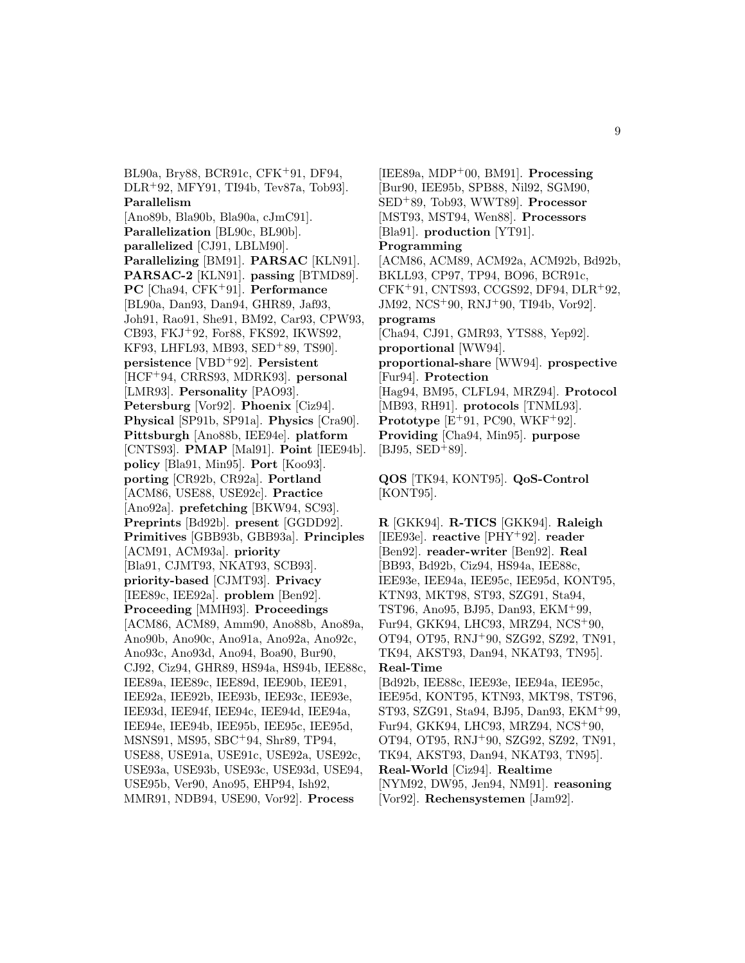BL90a, Bry88, BCR91c, CFK<sup>+</sup>91, DF94, DLR<sup>+</sup>92, MFY91, TI94b, Tev87a, Tob93]. **Parallelism** [Ano89b, Bla90b, Bla90a, cJmC91]. **Parallelization** [BL90c, BL90b]. **parallelized** [CJ91, LBLM90]. **Parallelizing** [BM91]. **PARSAC** [KLN91]. **PARSAC-2** [KLN91]. **passing** [BTMD89]. **PC** [Cha94, CFK<sup>+</sup>91]. **Performance** [BL90a, Dan93, Dan94, GHR89, Jaf93, Joh91, Rao91, She91, BM92, Car93, CPW93, CB93, FKJ<sup>+</sup>92, For88, FKS92, IKWS92, KF93, LHFL93, MB93, SED<sup>+</sup>89, TS90]. **persistence** [VBD<sup>+</sup>92]. **Persistent** [HCF<sup>+</sup>94, CRRS93, MDRK93]. **personal** [LMR93]. **Personality** [PAO93]. **Petersburg** [Vor92]. **Phoenix** [Ciz94]. **Physical** [SP91b, SP91a]. **Physics** [Cra90]. **Pittsburgh** [Ano88b, IEE94e]. **platform** [CNTS93]. **PMAP** [Mal91]. **Point** [IEE94b]. **policy** [Bla91, Min95]. **Port** [Koo93]. **porting** [CR92b, CR92a]. **Portland** [ACM86, USE88, USE92c]. **Practice** [Ano92a]. **prefetching** [BKW94, SC93]. **Preprints** [Bd92b]. **present** [GGDD92]. **Primitives** [GBB93b, GBB93a]. **Principles** [ACM91, ACM93a]. **priority** [Bla91, CJMT93, NKAT93, SCB93]. **priority-based** [CJMT93]. **Privacy** [IEE89c, IEE92a]. **problem** [Ben92]. **Proceeding** [MMH93]. **Proceedings** [ACM86, ACM89, Amm90, Ano88b, Ano89a, Ano90b, Ano90c, Ano91a, Ano92a, Ano92c, Ano93c, Ano93d, Ano94, Boa90, Bur90, CJ92, Ciz94, GHR89, HS94a, HS94b, IEE88c, IEE89a, IEE89c, IEE89d, IEE90b, IEE91, IEE92a, IEE92b, IEE93b, IEE93c, IEE93e, IEE93d, IEE94f, IEE94c, IEE94d, IEE94a, IEE94e, IEE94b, IEE95b, IEE95c, IEE95d, MSNS91, MS95, SBC<sup>+</sup>94, Shr89, TP94, USE88, USE91a, USE91c, USE92a, USE92c, USE93a, USE93b, USE93c, USE93d, USE94, USE95b, Ver90, Ano95, EHP94, Ish92, MMR91, NDB94, USE90, Vor92]. **Process**

[IEE89a, MDP<sup>+</sup>00, BM91]. **Processing** [Bur90, IEE95b, SPB88, Nil92, SGM90, SED<sup>+</sup>89, Tob93, WWT89]. **Processor** [MST93, MST94, Wen88]. **Processors** [Bla91]. **production** [YT91]. **Programming** [ACM86, ACM89, ACM92a, ACM92b, Bd92b, BKLL93, CP97, TP94, BO96, BCR91c, CFK<sup>+</sup>91, CNTS93, CCGS92, DF94, DLR<sup>+</sup>92, JM92, NCS<sup>+</sup>90, RNJ<sup>+</sup>90, TI94b, Vor92]. **programs** [Cha94, CJ91, GMR93, YTS88, Yep92]. **proportional** [WW94]. **proportional-share** [WW94]. **prospective** [Fur94]. **Protection** [Hag94, BM95, CLFL94, MRZ94]. **Protocol** [MB93, RH91]. **protocols** [TNML93]. **Prototype** [E<sup>+</sup>91, PC90, WKF<sup>+</sup>92]. **Providing** [Cha94, Min95]. **purpose**  $[BJ95, SED+89].$ 

**QOS** [TK94, KONT95]. **QoS-Control** [KONT95].

**R** [GKK94]. **R-TICS** [GKK94]. **Raleigh** [IEE93e]. **reactive** [PHY<sup>+</sup>92]. **reader** [Ben92]. **reader-writer** [Ben92]. **Real** [BB93, Bd92b, Ciz94, HS94a, IEE88c, IEE93e, IEE94a, IEE95c, IEE95d, KONT95, KTN93, MKT98, ST93, SZG91, Sta94, TST96, Ano95, BJ95, Dan93, EKM<sup>+</sup>99, Fur94, GKK94, LHC93, MRZ94, NCS<sup>+</sup>90, OT94, OT95, RNJ<sup>+</sup>90, SZG92, SZ92, TN91, TK94, AKST93, Dan94, NKAT93, TN95]. **Real-Time**

[Bd92b, IEE88c, IEE93e, IEE94a, IEE95c, IEE95d, KONT95, KTN93, MKT98, TST96, ST93, SZG91, Sta94, BJ95, Dan93, EKM<sup>+</sup>99, Fur94, GKK94, LHC93, MRZ94, NCS<sup>+</sup>90, OT94, OT95, RNJ<sup>+</sup>90, SZG92, SZ92, TN91, TK94, AKST93, Dan94, NKAT93, TN95]. **Real-World** [Ciz94]. **Realtime** [NYM92, DW95, Jen94, NM91]. **reasoning** [Vor92]. **Rechensystemen** [Jam92].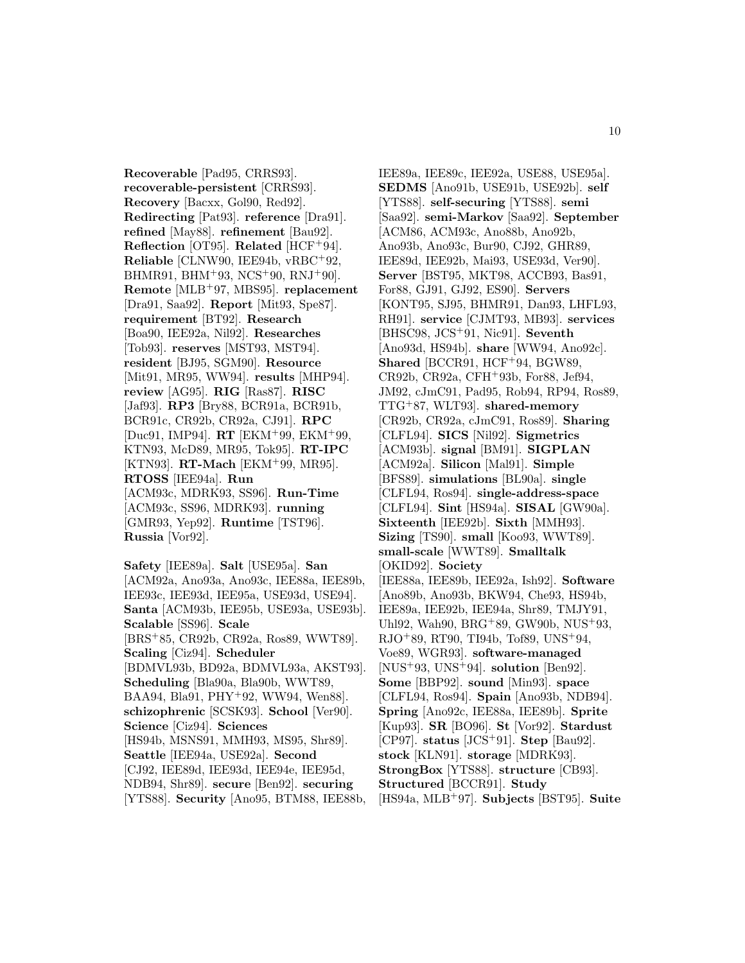**Recoverable** [Pad95, CRRS93]. **recoverable-persistent** [CRRS93]. **Recovery** [Bacxx, Gol90, Red92]. **Redirecting** [Pat93]. **reference** [Dra91]. **refined** [May88]. **refinement** [Bau92]. **Reflection** [OT95]. **Related** [HCF<sup>+</sup>94]. **Reliable** [CLNW90, IEE94b, vRBC<sup>+</sup>92, BHMR91, BHM<sup>+</sup>93, NCS<sup>+</sup>90, RNJ<sup>+</sup>90]. **Remote** [MLB<sup>+</sup>97, MBS95]. **replacement** [Dra91, Saa92]. **Report** [Mit93, Spe87]. **requirement** [BT92]. **Research** [Boa90, IEE92a, Nil92]. **Researches** [Tob93]. **reserves** [MST93, MST94]. **resident** [BJ95, SGM90]. **Resource** [Mit91, MR95, WW94]. **results** [MHP94]. **review** [AG95]. **RIG** [Ras87]. **RISC** [Jaf93]. **RP3** [Bry88, BCR91a, BCR91b, BCR91c, CR92b, CR92a, CJ91]. **RPC** [Duc91, IMP94]. **RT** [EKM<sup>+</sup>99, EKM<sup>+</sup>99, KTN93, McD89, MR95, Tok95]. **RT-IPC** [KTN93]. **RT-Mach** [EKM<sup>+</sup>99, MR95]. **RTOSS** [IEE94a]. **Run** [ACM93c, MDRK93, SS96]. **Run-Time** [ACM93c, SS96, MDRK93]. **running** [GMR93, Yep92]. **Runtime** [TST96]. **Russia** [Vor92].

**Safety** [IEE89a]. **Salt** [USE95a]. **San** [ACM92a, Ano93a, Ano93c, IEE88a, IEE89b, IEE93c, IEE93d, IEE95a, USE93d, USE94]. **Santa** [ACM93b, IEE95b, USE93a, USE93b]. **Scalable** [SS96]. **Scale** [BRS<sup>+</sup>85, CR92b, CR92a, Ros89, WWT89]. **Scaling** [Ciz94]. **Scheduler** [BDMVL93b, BD92a, BDMVL93a, AKST93]. **Scheduling** [Bla90a, Bla90b, WWT89, BAA94, Bla91, PHY<sup>+</sup>92, WW94, Wen88]. **schizophrenic** [SCSK93]. **School** [Ver90]. **Science** [Ciz94]. **Sciences** [HS94b, MSNS91, MMH93, MS95, Shr89]. **Seattle** [IEE94a, USE92a]. **Second** [CJ92, IEE89d, IEE93d, IEE94e, IEE95d, NDB94, Shr89]. **secure** [Ben92]. **securing** [YTS88]. **Security** [Ano95, BTM88, IEE88b,

IEE89a, IEE89c, IEE92a, USE88, USE95a]. **SEDMS** [Ano91b, USE91b, USE92b]. **self** [YTS88]. **self-securing** [YTS88]. **semi** [Saa92]. **semi-Markov** [Saa92]. **September** [ACM86, ACM93c, Ano88b, Ano92b, Ano93b, Ano93c, Bur90, CJ92, GHR89, IEE89d, IEE92b, Mai93, USE93d, Ver90]. **Server** [BST95, MKT98, ACCB93, Bas91, For88, GJ91, GJ92, ES90]. **Servers** [KONT95, SJ95, BHMR91, Dan93, LHFL93, RH91]. **service** [CJMT93, MB93]. **services** [BHSC98, JCS<sup>+</sup>91, Nic91]. **Seventh** [Ano93d, HS94b]. **share** [WW94, Ano92c]. **Shared** [BCCR91, HCF<sup>+</sup>94, BGW89, CR92b, CR92a, CFH<sup>+</sup>93b, For88, Jef94, JM92, cJmC91, Pad95, Rob94, RP94, Ros89, TTG<sup>+</sup>87, WLT93]. **shared-memory** [CR92b, CR92a, cJmC91, Ros89]. **Sharing** [CLFL94]. **SICS** [Nil92]. **Sigmetrics** [ACM93b]. **signal** [BM91]. **SIGPLAN** [ACM92a]. **Silicon** [Mal91]. **Simple** [BFS89]. **simulations** [BL90a]. **single** [CLFL94, Ros94]. **single-address-space** [CLFL94]. **Sint** [HS94a]. **SISAL** [GW90a]. **Sixteenth** [IEE92b]. **Sixth** [MMH93]. **Sizing** [TS90]. **small** [Koo93, WWT89]. **small-scale** [WWT89]. **Smalltalk** [OKID92]. **Society** [IEE88a, IEE89b, IEE92a, Ish92]. **Software** [Ano89b, Ano93b, BKW94, Che93, HS94b, IEE89a, IEE92b, IEE94a, Shr89, TMJY91, Uhl92, Wah90, BRG<sup>+</sup>89, GW90b, NUS<sup>+</sup>93, RJO<sup>+</sup>89, RT90, TI94b, Tof89, UNS<sup>+</sup>94, Voe89, WGR93]. **software-managed** [NUS<sup>+</sup>93, UNS<sup>+</sup>94]. **solution** [Ben92]. **Some** [BBP92]. **sound** [Min93]. **space** [CLFL94, Ros94]. **Spain** [Ano93b, NDB94]. **Spring** [Ano92c, IEE88a, IEE89b]. **Sprite** [Kup93]. **SR** [BO96]. **St** [Vor92]. **Stardust** [CP97]. **status** [JCS<sup>+</sup>91]. **Step** [Bau92]. **stock** [KLN91]. **storage** [MDRK93]. **StrongBox** [YTS88]. **structure** [CB93]. **Structured** [BCCR91]. **Study** [HS94a, MLB<sup>+</sup>97]. **Subjects** [BST95]. **Suite**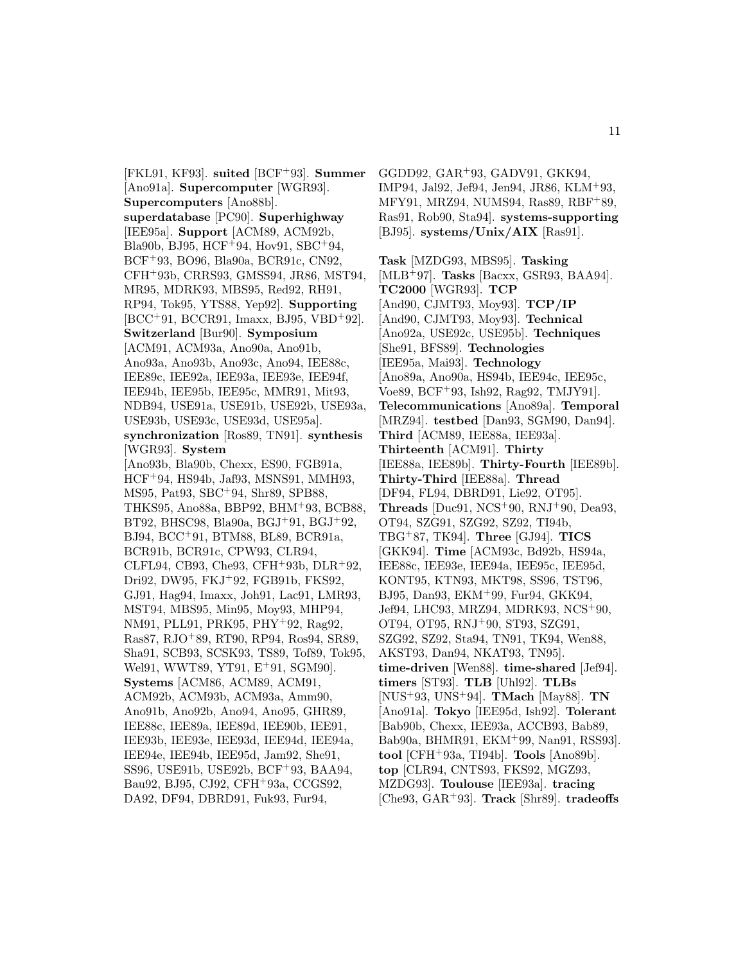[FKL91, KF93]. **suited** [BCF<sup>+</sup>93]. **Summer** [Ano91a]. **Supercomputer** [WGR93]. **Supercomputers** [Ano88b]. **superdatabase** [PC90]. **Superhighway** [IEE95a]. **Support** [ACM89, ACM92b, Bla90b, BJ95, HCF<sup>+</sup>94, Hov91, SBC<sup>+</sup>94, BCF<sup>+</sup>93, BO96, Bla90a, BCR91c, CN92, CFH<sup>+</sup>93b, CRRS93, GMSS94, JR86, MST94, MR95, MDRK93, MBS95, Red92, RH91, RP94, Tok95, YTS88, Yep92]. **Supporting** [BCC<sup>+</sup>91, BCCR91, Imaxx, BJ95, VBD<sup>+</sup>92]. **Switzerland** [Bur90]. **Symposium** [ACM91, ACM93a, Ano90a, Ano91b, Ano93a, Ano93b, Ano93c, Ano94, IEE88c, IEE89c, IEE92a, IEE93a, IEE93e, IEE94f, IEE94b, IEE95b, IEE95c, MMR91, Mit93, NDB94, USE91a, USE91b, USE92b, USE93a, USE93b, USE93c, USE93d, USE95a]. **synchronization** [Ros89, TN91]. **synthesis** [WGR93]. **System** [Ano93b, Bla90b, Chexx, ES90, FGB91a, HCF<sup>+</sup>94, HS94b, Jaf93, MSNS91, MMH93, MS95, Pat93, SBC<sup>+</sup>94, Shr89, SPB88, THKS95, Ano88a, BBP92, BHM<sup>+</sup>93, BCB88, BT92, BHSC98, Bla90a, BGJ<sup>+</sup>91, BGJ<sup>+</sup>92, BJ94, BCC<sup>+</sup>91, BTM88, BL89, BCR91a, BCR91b, BCR91c, CPW93, CLR94, CLFL94, CB93, Che93, CFH<sup>+</sup>93b, DLR<sup>+</sup>92, Dri92, DW95, FKJ<sup>+</sup>92, FGB91b, FKS92, GJ91, Hag94, Imaxx, Joh91, Lac91, LMR93, MST94, MBS95, Min95, Moy93, MHP94, NM91, PLL91, PRK95, PHY<sup>+</sup>92, Rag92, Ras87, RJO<sup>+</sup>89, RT90, RP94, Ros94, SR89, Sha91, SCB93, SCSK93, TS89, Tof89, Tok95, Wel91, WWT89, YT91, E<sup>+</sup>91, SGM90]. **Systems** [ACM86, ACM89, ACM91, ACM92b, ACM93b, ACM93a, Amm90, Ano91b, Ano92b, Ano94, Ano95, GHR89, IEE88c, IEE89a, IEE89d, IEE90b, IEE91, IEE93b, IEE93e, IEE93d, IEE94d, IEE94a, IEE94e, IEE94b, IEE95d, Jam92, She91, SS96, USE91b, USE92b, BCF<sup>+</sup>93, BAA94, Bau92, BJ95, CJ92, CFH<sup>+</sup>93a, CCGS92, DA92, DF94, DBRD91, Fuk93, Fur94,

GGDD92, GAR<sup>+</sup>93, GADV91, GKK94, IMP94, Jal92, Jef94, Jen94, JR86, KLM<sup>+</sup>93, MFY91, MRZ94, NUMS94, Ras89, RBF<sup>+</sup>89, Ras91, Rob90, Sta94]. **systems-supporting** [BJ95]. **systems/Unix/AIX** [Ras91].

**Task** [MZDG93, MBS95]. **Tasking** [MLB<sup>+</sup>97]. **Tasks** [Bacxx, GSR93, BAA94]. **TC2000** [WGR93]. **TCP** [And90, CJMT93, Moy93]. **TCP/IP** [And90, CJMT93, Moy93]. **Technical** [Ano92a, USE92c, USE95b]. **Techniques** [She91, BFS89]. **Technologies** [IEE95a, Mai93]. **Technology** [Ano89a, Ano90a, HS94b, IEE94c, IEE95c, Voe89, BCF<sup>+</sup>93, Ish92, Rag92, TMJY91]. **Telecommunications** [Ano89a]. **Temporal** [MRZ94]. **testbed** [Dan93, SGM90, Dan94]. **Third** [ACM89, IEE88a, IEE93a]. **Thirteenth** [ACM91]. **Thirty** [IEE88a, IEE89b]. **Thirty-Fourth** [IEE89b]. **Thirty-Third** [IEE88a]. **Thread** [DF94, FL94, DBRD91, Lie92, OT95]. **Threads** [Duc91, NCS<sup>+</sup>90, RNJ<sup>+</sup>90, Dea93, OT94, SZG91, SZG92, SZ92, TI94b, TBG<sup>+</sup>87, TK94]. **Three** [GJ94]. **TICS** [GKK94]. **Time** [ACM93c, Bd92b, HS94a, IEE88c, IEE93e, IEE94a, IEE95c, IEE95d, KONT95, KTN93, MKT98, SS96, TST96, BJ95, Dan93, EKM<sup>+</sup>99, Fur94, GKK94, Jef94, LHC93, MRZ94, MDRK93, NCS<sup>+</sup>90, OT94, OT95, RNJ<sup>+</sup>90, ST93, SZG91, SZG92, SZ92, Sta94, TN91, TK94, Wen88, AKST93, Dan94, NKAT93, TN95]. **time-driven** [Wen88]. **time-shared** [Jef94]. **timers** [ST93]. **TLB** [Uhl92]. **TLBs** [NUS<sup>+</sup>93, UNS<sup>+</sup>94]. **TMach** [May88]. **TN** [Ano91a]. **Tokyo** [IEE95d, Ish92]. **Tolerant** [Bab90b, Chexx, IEE93a, ACCB93, Bab89, Bab90a, BHMR91, EKM<sup>+</sup>99, Nan91, RSS93]. **tool** [CFH<sup>+</sup>93a, TI94b]. **Tools** [Ano89b]. **top** [CLR94, CNTS93, FKS92, MGZ93, MZDG93]. **Toulouse** [IEE93a]. **tracing** [Che93, GAR<sup>+</sup>93]. **Track** [Shr89]. **tradeoffs**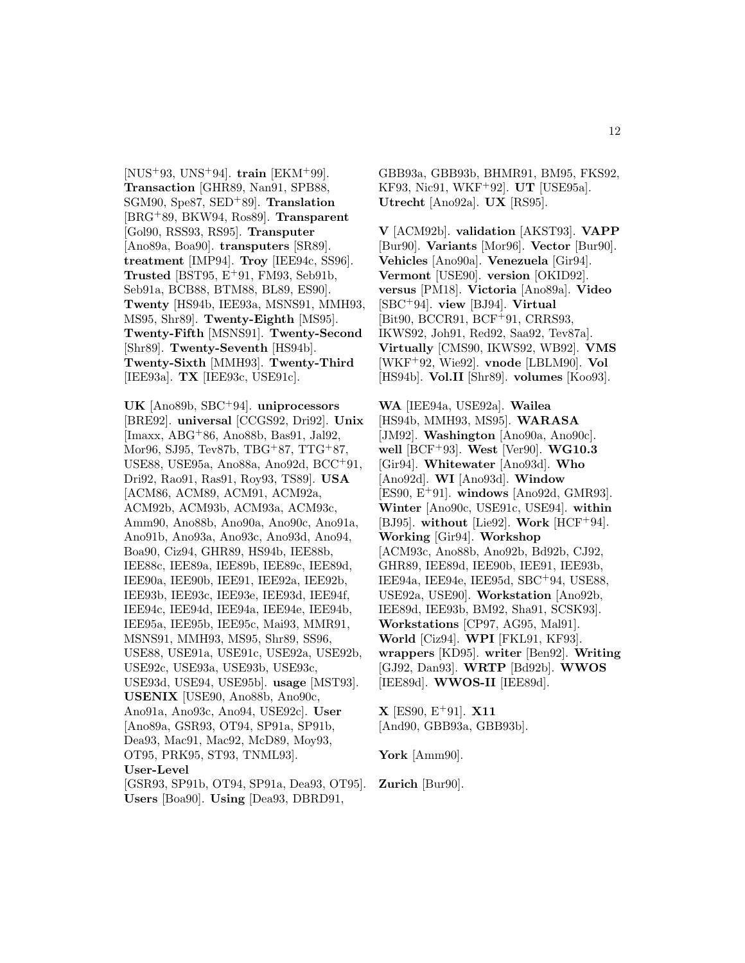[NUS<sup>+</sup>93, UNS<sup>+</sup>94]. **train** [EKM<sup>+</sup>99]. **Transaction** [GHR89, Nan91, SPB88, SGM90, Spe87, SED<sup>+</sup>89]. **Translation** [BRG<sup>+</sup>89, BKW94, Ros89]. **Transparent** [Gol90, RSS93, RS95]. **Transputer** [Ano89a, Boa90]. **transputers** [SR89]. **treatment** [IMP94]. **Troy** [IEE94c, SS96]. **Trusted** [BST95, E<sup>+</sup>91, FM93, Seb91b, Seb91a, BCB88, BTM88, BL89, ES90]. **Twenty** [HS94b, IEE93a, MSNS91, MMH93, MS95, Shr89]. **Twenty-Eighth** [MS95]. **Twenty-Fifth** [MSNS91]. **Twenty-Second** [Shr89]. **Twenty-Seventh** [HS94b]. **Twenty-Sixth** [MMH93]. **Twenty-Third** [IEE93a]. **TX** [IEE93c, USE91c].

**UK** [Ano89b, SBC<sup>+</sup>94]. **uniprocessors** [BRE92]. **universal** [CCGS92, Dri92]. **Unix** [Imaxx, ABG<sup>+</sup>86, Ano88b, Bas91, Jal92, Mor96, SJ95, Tev87b, TBG<sup>+</sup>87, TTG<sup>+</sup>87, USE88, USE95a, Ano88a, Ano92d, BCC<sup>+</sup>91, Dri92, Rao91, Ras91, Roy93, TS89]. **USA** [ACM86, ACM89, ACM91, ACM92a, ACM92b, ACM93b, ACM93a, ACM93c, Amm90, Ano88b, Ano90a, Ano90c, Ano91a, Ano91b, Ano93a, Ano93c, Ano93d, Ano94, Boa90, Ciz94, GHR89, HS94b, IEE88b, IEE88c, IEE89a, IEE89b, IEE89c, IEE89d, IEE90a, IEE90b, IEE91, IEE92a, IEE92b, IEE93b, IEE93c, IEE93e, IEE93d, IEE94f, IEE94c, IEE94d, IEE94a, IEE94e, IEE94b, IEE95a, IEE95b, IEE95c, Mai93, MMR91, MSNS91, MMH93, MS95, Shr89, SS96, USE88, USE91a, USE91c, USE92a, USE92b, USE92c, USE93a, USE93b, USE93c, USE93d, USE94, USE95b]. **usage** [MST93]. **USENIX** [USE90, Ano88b, Ano90c, Ano91a, Ano93c, Ano94, USE92c]. **User** [Ano89a, GSR93, OT94, SP91a, SP91b, Dea93, Mac91, Mac92, McD89, Moy93, OT95, PRK95, ST93, TNML93]. **User-Level** [GSR93, SP91b, OT94, SP91a, Dea93, OT95].

**Users** [Boa90]. **Using** [Dea93, DBRD91,

GBB93a, GBB93b, BHMR91, BM95, FKS92, KF93, Nic91, WKF<sup>+</sup>92]. **UT** [USE95a]. **Utrecht** [Ano92a]. **UX** [RS95].

**V** [ACM92b]. **validation** [AKST93]. **VAPP** [Bur90]. **Variants** [Mor96]. **Vector** [Bur90]. **Vehicles** [Ano90a]. **Venezuela** [Gir94]. **Vermont** [USE90]. **version** [OKID92]. **versus** [PM18]. **Victoria** [Ano89a]. **Video** [SBC<sup>+</sup>94]. **view** [BJ94]. **Virtual** [Bit90, BCCR91, BCF<sup>+</sup>91, CRRS93, IKWS92, Joh91, Red92, Saa92, Tev87a]. **Virtually** [CMS90, IKWS92, WB92]. **VMS** [WKF<sup>+</sup>92, Wie92]. **vnode** [LBLM90]. **Vol** [HS94b]. **Vol.II** [Shr89]. **volumes** [Koo93].

**WA** [IEE94a, USE92a]. **Wailea** [HS94b, MMH93, MS95]. **WARASA** [JM92]. **Washington** [Ano90a, Ano90c]. **well** [BCF<sup>+</sup>93]. **West** [Ver90]. **WG10.3** [Gir94]. **Whitewater** [Ano93d]. **Who** [Ano92d]. **WI** [Ano93d]. **Window** [ES90, E<sup>+</sup>91]. **windows** [Ano92d, GMR93]. **Winter** [Ano90c, USE91c, USE94]. **within** [BJ95]. **without** [Lie92]. **Work** [HCF<sup>+</sup>94]. **Working** [Gir94]. **Workshop** [ACM93c, Ano88b, Ano92b, Bd92b, CJ92, GHR89, IEE89d, IEE90b, IEE91, IEE93b, IEE94a, IEE94e, IEE95d, SBC<sup>+</sup>94, USE88, USE92a, USE90]. **Workstation** [Ano92b, IEE89d, IEE93b, BM92, Sha91, SCSK93]. **Workstations** [CP97, AG95, Mal91]. **World** [Ciz94]. **WPI** [FKL91, KF93]. **wrappers** [KD95]. **writer** [Ben92]. **Writing** [GJ92, Dan93]. **WRTP** [Bd92b]. **WWOS** [IEE89d]. **WWOS-II** [IEE89d].

**X** [ES90, E<sup>+</sup>91]. **X11** [And90, GBB93a, GBB93b].

**York** [Amm90].

**Zurich** [Bur90].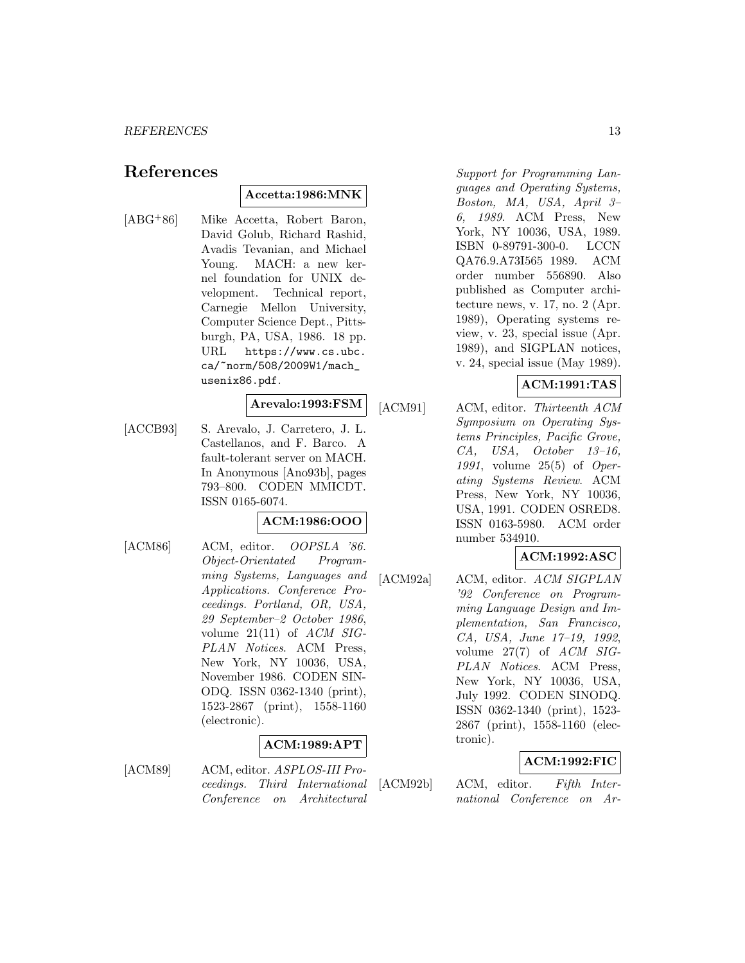# **References**

# **Accetta:1986:MNK**

[ABG<sup>+</sup>86] Mike Accetta, Robert Baron, David Golub, Richard Rashid, Avadis Tevanian, and Michael Young. MACH: a new kernel foundation for UNIX development. Technical report, Carnegie Mellon University, Computer Science Dept., Pittsburgh, PA, USA, 1986. 18 pp. URL https://www.cs.ubc. ca/~norm/508/2009W1/mach\_ usenix86.pdf.

# **Arevalo:1993:FSM**

[ACCB93] S. Arevalo, J. Carretero, J. L. Castellanos, and F. Barco. A fault-tolerant server on MACH. In Anonymous [Ano93b], pages 793–800. CODEN MMICDT. ISSN 0165-6074.

# **ACM:1986:OOO**

[ACM86] ACM, editor. *OOPSLA '86*. Object-Orientated Programming Systems, Languages and Applications. Conference Proceedings. Portland, OR, USA, 29 September–2 October 1986, volume  $21(11)$  of  $ACM$  SIG-PLAN Notices. ACM Press, New York, NY 10036, USA, November 1986. CODEN SIN-ODQ. ISSN 0362-1340 (print), 1523-2867 (print), 1558-1160 (electronic).

# **ACM:1989:APT**

[ACM89] ACM, editor. ASPLOS-III Proceedings. Third International Conference on Architectural

Support for Programming Languages and Operating Systems, Boston, MA, USA, April 3– 6, 1989. ACM Press, New York, NY 10036, USA, 1989. ISBN 0-89791-300-0. LCCN QA76.9.A73I565 1989. ACM order number 556890. Also published as Computer architecture news, v. 17, no. 2 (Apr. 1989), Operating systems review, v. 23, special issue (Apr. 1989), and SIGPLAN notices, v. 24, special issue (May 1989).

# **ACM:1991:TAS**

[ACM91] ACM, editor. Thirteenth ACM Symposium on Operating Systems Principles, Pacific Grove, CA, USA, October 13–16, 1991, volume 25(5) of Operating Systems Review. ACM Press, New York, NY 10036, USA, 1991. CODEN OSRED8. ISSN 0163-5980. ACM order number 534910.

# **ACM:1992:ASC**

[ACM92a] ACM, editor. ACM SIGPLAN '92 Conference on Programming Language Design and Implementation, San Francisco, CA, USA, June 17–19, 1992, volume 27(7) of ACM SIG-PLAN Notices. ACM Press, New York, NY 10036, USA, July 1992. CODEN SINODQ. ISSN 0362-1340 (print), 1523- 2867 (print), 1558-1160 (electronic).

# **ACM:1992:FIC**

[ACM92b] ACM, editor. Fifth International Conference on Ar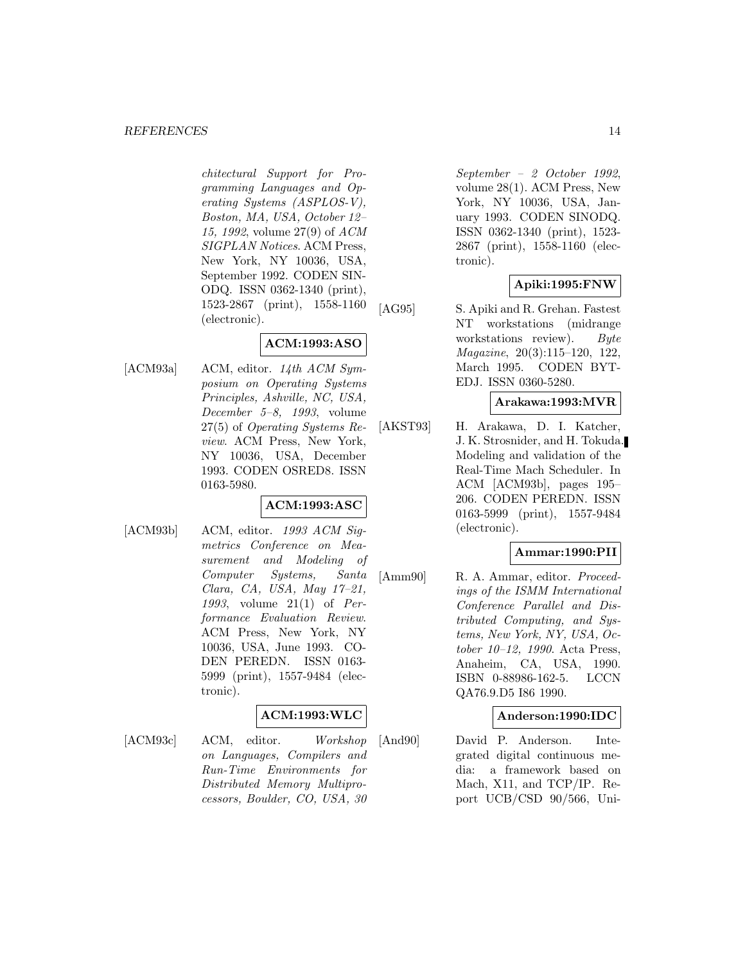chitectural Support for Programming Languages and Operating Systems (ASPLOS-V), Boston, MA, USA, October 12– 15, 1992, volume 27(9) of ACM SIGPLAN Notices. ACM Press, New York, NY 10036, USA, September 1992. CODEN SIN-ODQ. ISSN 0362-1340 (print), 1523-2867 (print), 1558-1160 (electronic).

# **ACM:1993:ASO**

[ACM93a] ACM, editor.  $14$ th ACM Symposium on Operating Systems Principles, Ashville, NC, USA, December 5–8, 1993, volume 27(5) of Operating Systems Review. ACM Press, New York, NY 10036, USA, December 1993. CODEN OSRED8. ISSN 0163-5980.

# **ACM:1993:ASC**

[ACM93b] ACM, editor. 1993 ACM Siqmetrics Conference on Measurement and Modeling of Computer Systems, Santa Clara, CA, USA, May 17–21, 1993, volume 21(1) of Performance Evaluation Review. ACM Press, New York, NY 10036, USA, June 1993. CO-DEN PEREDN. ISSN 0163- 5999 (print), 1557-9484 (electronic).

# **ACM:1993:WLC**

[ACM93c] ACM, editor. Workshop on Languages, Compilers and Run-Time Environments for Distributed Memory Multiprocessors, Boulder, CO, USA, 30

September – 2 October 1992, volume 28(1). ACM Press, New York, NY 10036, USA, January 1993. CODEN SINODQ. ISSN 0362-1340 (print), 1523- 2867 (print), 1558-1160 (electronic).

# **Apiki:1995:FNW**

[AG95] S. Apiki and R. Grehan. Fastest NT workstations (midrange workstations review). Byte Magazine, 20(3):115–120, 122, March 1995. CODEN BYT-EDJ. ISSN 0360-5280.

# **Arakawa:1993:MVR**

[AKST93] H. Arakawa, D. I. Katcher, J. K. Strosnider, and H. Tokuda. Modeling and validation of the Real-Time Mach Scheduler. In ACM [ACM93b], pages 195– 206. CODEN PEREDN. ISSN 0163-5999 (print), 1557-9484 (electronic).

#### **Ammar:1990:PII**

[Amm90] R. A. Ammar, editor. *Proceed*ings of the ISMM International Conference Parallel and Distributed Computing, and Systems, New York, NY, USA, October 10–12, 1990. Acta Press, Anaheim, CA, USA, 1990. ISBN 0-88986-162-5. LCCN QA76.9.D5 I86 1990.

# **Anderson:1990:IDC**

[And90] David P. Anderson. Integrated digital continuous media: a framework based on Mach, X11, and TCP/IP. Report UCB/CSD 90/566, Uni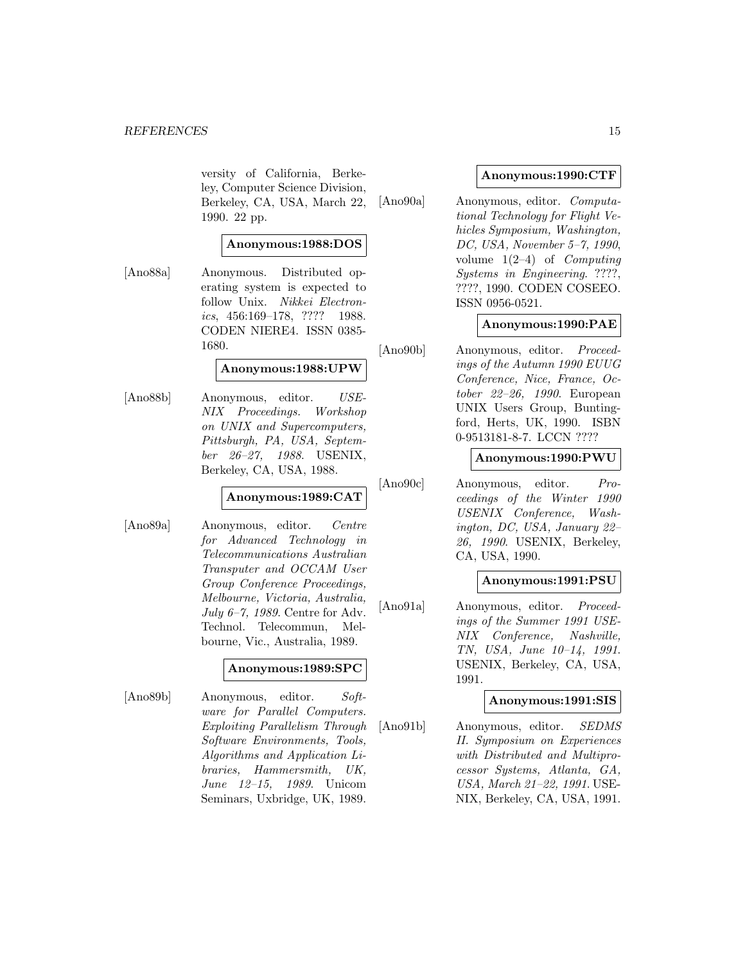versity of California, Berkeley, Computer Science Division, Berkeley, CA, USA, March 22, 1990. 22 pp.

#### **Anonymous:1988:DOS**

[Ano88a] Anonymous. Distributed operating system is expected to follow Unix. Nikkei Electronics, 456:169–178, ???? 1988. CODEN NIERE4. ISSN 0385- 1680.

#### **Anonymous:1988:UPW**

[Ano88b] Anonymous, editor. USE-NIX Proceedings. Workshop on UNIX and Supercomputers, Pittsburgh, PA, USA, September 26–27, 1988. USENIX, Berkeley, CA, USA, 1988.

#### **Anonymous:1989:CAT**

[Ano89a] Anonymous, editor. Centre for Advanced Technology in Telecommunications Australian Transputer and OCCAM User Group Conference Proceedings, Melbourne, Victoria, Australia, July 6–7, 1989. Centre for Adv. Technol. Telecommun, Melbourne, Vic., Australia, 1989.

#### **Anonymous:1989:SPC**

[Ano89b] Anonymous, editor. Software for Parallel Computers. Exploiting Parallelism Through Software Environments, Tools, Algorithms and Application Libraries, Hammersmith, UK, June 12–15, 1989. Unicom Seminars, Uxbridge, UK, 1989.

## **Anonymous:1990:CTF**

[Ano90a] Anonymous, editor. Computational Technology for Flight Vehicles Symposium, Washington, DC, USA, November 5–7, 1990, volume  $1(2-4)$  of *Computing* Systems in Engineering. ????, ????, 1990. CODEN COSEEO. ISSN 0956-0521.

# **Anonymous:1990:PAE**

[Ano90b] Anonymous, editor. Proceedings of the Autumn 1990 EUUG Conference, Nice, France, October 22–26, 1990. European UNIX Users Group, Buntingford, Herts, UK, 1990. ISBN 0-9513181-8-7. LCCN ????

#### **Anonymous:1990:PWU**

[Ano90c] Anonymous, editor. Proceedings of the Winter 1990 USENIX Conference, Washington, DC, USA, January 22– 26, 1990. USENIX, Berkeley, CA, USA, 1990.

### **Anonymous:1991:PSU**

[Ano91a] Anonymous, editor. Proceedings of the Summer 1991 USE-NIX Conference, Nashville, TN, USA, June 10–14, 1991. USENIX, Berkeley, CA, USA, 1991.

### **Anonymous:1991:SIS**

[Ano91b] Anonymous, editor. SEDMS II. Symposium on Experiences with Distributed and Multiprocessor Systems, Atlanta, GA, USA, March 21–22, 1991. USE-NIX, Berkeley, CA, USA, 1991.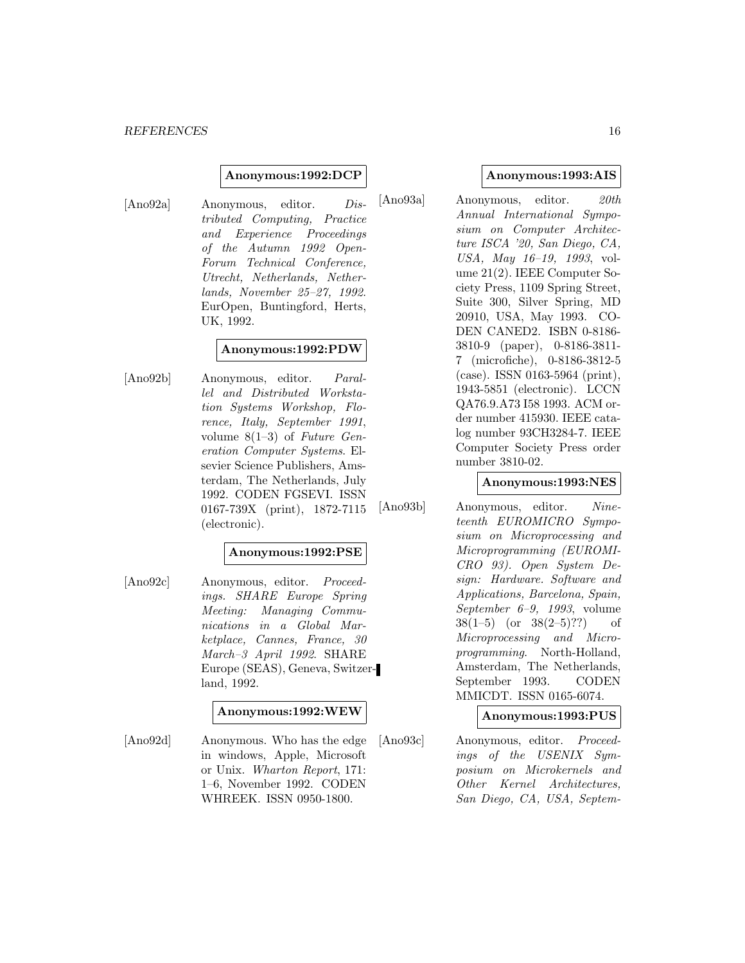#### **Anonymous:1992:DCP**

[Ano92a] Anonymous, editor. Distributed Computing, Practice and Experience Proceedings of the Autumn 1992 Open-Forum Technical Conference, Utrecht, Netherlands, Netherlands, November 25–27, 1992. EurOpen, Buntingford, Herts, UK, 1992.

# **Anonymous:1992:PDW**

[Ano92b] Anonymous, editor. Parallel and Distributed Workstation Systems Workshop, Florence, Italy, September 1991, volume  $8(1-3)$  of Future Generation Computer Systems. Elsevier Science Publishers, Amsterdam, The Netherlands, July 1992. CODEN FGSEVI. ISSN 0167-739X (print), 1872-7115 (electronic).

#### **Anonymous:1992:PSE**

[Ano92c] Anonymous, editor. Proceedings. SHARE Europe Spring Meeting: Managing Communications in a Global Marketplace, Cannes, France, 30 March–3 April 1992. SHARE Europe (SEAS), Geneva, Switzerland, 1992.

#### **Anonymous:1992:WEW**

[Ano92d] Anonymous. Who has the edge in windows, Apple, Microsoft or Unix. Wharton Report, 171: 1–6, November 1992. CODEN WHREEK. ISSN 0950-1800.

#### **Anonymous:1993:AIS**

[Ano93a] Anonymous, editor. 20th Annual International Symposium on Computer Architecture ISCA '20, San Diego, CA, USA, May 16–19, 1993, volume 21(2). IEEE Computer Society Press, 1109 Spring Street, Suite 300, Silver Spring, MD 20910, USA, May 1993. CO-DEN CANED2. ISBN 0-8186- 3810-9 (paper), 0-8186-3811- 7 (microfiche), 0-8186-3812-5 (case). ISSN 0163-5964 (print), 1943-5851 (electronic). LCCN QA76.9.A73 I58 1993. ACM order number 415930. IEEE catalog number 93CH3284-7. IEEE Computer Society Press order number 3810-02.

#### **Anonymous:1993:NES**

[Ano93b] Anonymous, editor. Nineteenth EUROMICRO Symposium on Microprocessing and Microprogramming (EUROMI-CRO 93). Open System Design: Hardware. Software and Applications, Barcelona, Spain, September 6–9, 1993, volume  $38(1-5)$  (or  $38(2-5)$ ??) of Microprocessing and Microprogramming. North-Holland, Amsterdam, The Netherlands, September 1993. CODEN MMICDT. ISSN 0165-6074.

#### **Anonymous:1993:PUS**

[Ano93c] Anonymous, editor. Proceedings of the USENIX Symposium on Microkernels and Other Kernel Architectures, San Diego, CA, USA, Septem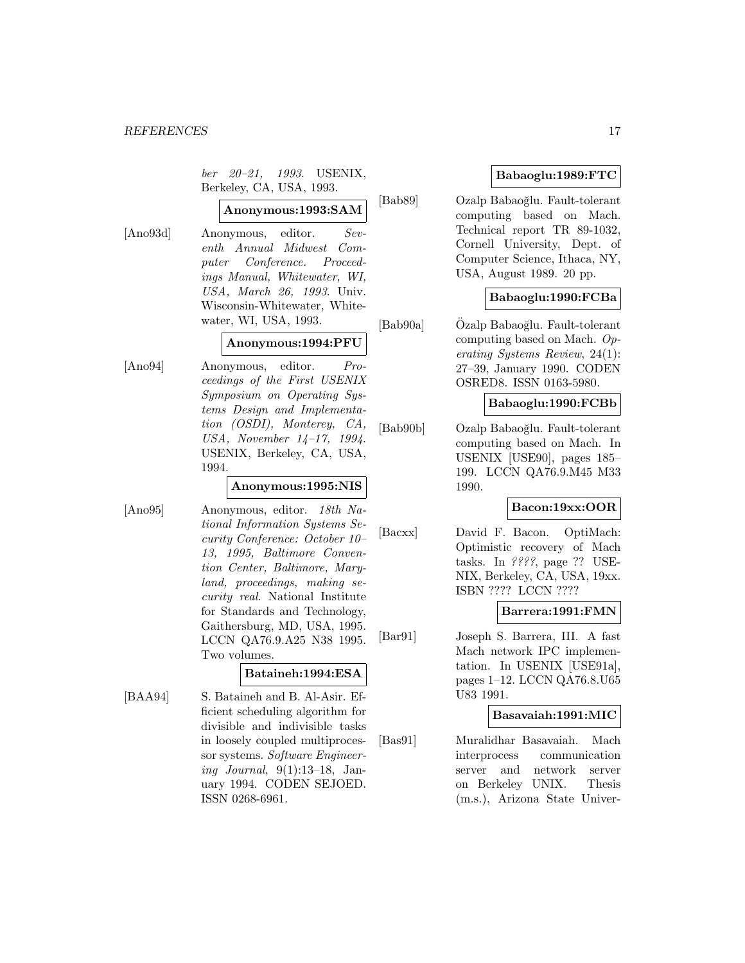ber 20–21, 1993. USENIX, Berkeley, CA, USA, 1993.

# **Anonymous:1993:SAM**

[Ano93d] Anonymous, editor. Seventh Annual Midwest Computer Conference. Proceedings Manual, Whitewater, WI, USA, March 26, 1993. Univ. Wisconsin-Whitewater, Whitewater, WI, USA, 1993.

#### **Anonymous:1994:PFU**

[Ano94] Anonymous, editor. Proceedings of the First USENIX Symposium on Operating Systems Design and Implementation (OSDI), Monterey, CA, USA, November 14–17, 1994. USENIX, Berkeley, CA, USA, 1994.

# **Anonymous:1995:NIS**

[Ano95] Anonymous, editor. 18th National Information Systems Security Conference: October 10– 13, 1995, Baltimore Convention Center, Baltimore, Maryland, proceedings, making security real. National Institute for Standards and Technology, Gaithersburg, MD, USA, 1995. LCCN QA76.9.A25 N38 1995. Two volumes.

# **Bataineh:1994:ESA**

[BAA94] S. Bataineh and B. Al-Asir. Efficient scheduling algorithm for divisible and indivisible tasks in loosely coupled multiprocessor systems. Software Engineering Journal, 9(1):13–18, January 1994. CODEN SEJOED. ISSN 0268-6961.

# **Babaoglu:1989:FTC**

[Bab89] Ozalp Babao˘glu. Fault-tolerant computing based on Mach. Technical report TR 89-1032, Cornell University, Dept. of Computer Science, Ithaca, NY, USA, August 1989. 20 pp.

# **Babaoglu:1990:FCBa**

[Bab90a] Özalp Babaoğlu. Fault-tolerant computing based on Mach. Operating Systems Review, 24(1): 27–39, January 1990. CODEN OSRED8. ISSN 0163-5980.

#### **Babaoglu:1990:FCBb**

[Bab90b] Ozalp Babao˘glu. Fault-tolerant computing based on Mach. In USENIX [USE90], pages 185– 199. LCCN QA76.9.M45 M33 1990.

#### **Bacon:19xx:OOR**

[Bacxx] David F. Bacon. OptiMach: Optimistic recovery of Mach tasks. In ????, page ?? USE-NIX, Berkeley, CA, USA, 19xx. ISBN ???? LCCN ????

#### **Barrera:1991:FMN**

[Bar91] Joseph S. Barrera, III. A fast Mach network IPC implementation. In USENIX [USE91a], pages 1–12. LCCN QA76.8.U65 U83 1991.

### **Basavaiah:1991:MIC**

[Bas91] Muralidhar Basavaiah. Mach interprocess communication server and network server on Berkeley UNIX. Thesis (m.s.), Arizona State Univer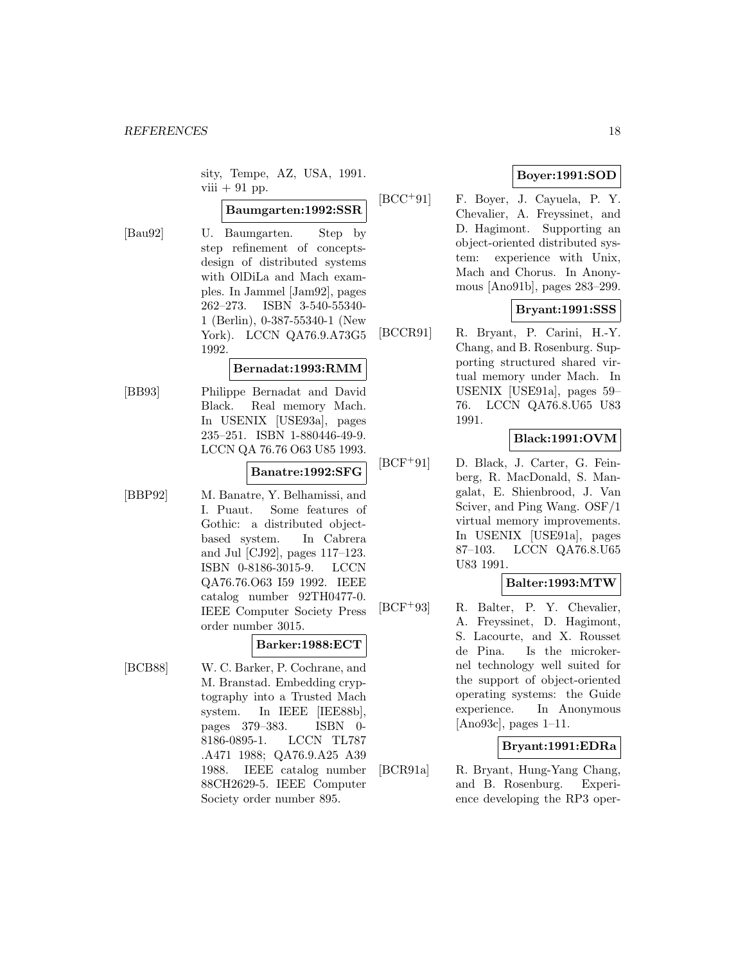sity, Tempe, AZ, USA, 1991. viii  $+91$  pp.

# **Baumgarten:1992:SSR**

[Bau92] U. Baumgarten. Step by step refinement of conceptsdesign of distributed systems with OlDiLa and Mach examples. In Jammel [Jam92], pages 262–273. ISBN 3-540-55340- 1 (Berlin), 0-387-55340-1 (New York). LCCN QA76.9.A73G5 1992.

#### **Bernadat:1993:RMM**

[BB93] Philippe Bernadat and David Black. Real memory Mach. In USENIX [USE93a], pages 235–251. ISBN 1-880446-49-9. LCCN QA 76.76 O63 U85 1993.

#### **Banatre:1992:SFG**

[BBP92] M. Banatre, Y. Belhamissi, and I. Puaut. Some features of Gothic: a distributed objectbased system. In Cabrera and Jul [CJ92], pages 117–123. ISBN 0-8186-3015-9. LCCN QA76.76.O63 I59 1992. IEEE catalog number 92TH0477-0. IEEE Computer Society Press order number 3015.

# **Barker:1988:ECT**

[BCB88] W. C. Barker, P. Cochrane, and M. Branstad. Embedding cryptography into a Trusted Mach system. In IEEE [IEE88b], pages 379–383. ISBN 0- 8186-0895-1. LCCN TL787 .A471 1988; QA76.9.A25 A39 1988. IEEE catalog number 88CH2629-5. IEEE Computer Society order number 895.

# **Boyer:1991:SOD**

[BCC<sup>+</sup>91] F. Boyer, J. Cayuela, P. Y. Chevalier, A. Freyssinet, and D. Hagimont. Supporting an object-oriented distributed system: experience with Unix, Mach and Chorus. In Anonymous [Ano91b], pages 283–299.

#### **Bryant:1991:SSS**

[BCCR91] R. Bryant, P. Carini, H.-Y. Chang, and B. Rosenburg. Supporting structured shared virtual memory under Mach. In USENIX [USE91a], pages 59– 76. LCCN QA76.8.U65 U83 1991.

#### **Black:1991:OVM**

[BCF<sup>+</sup>91] D. Black, J. Carter, G. Feinberg, R. MacDonald, S. Mangalat, E. Shienbrood, J. Van Sciver, and Ping Wang. OSF/1 virtual memory improvements. In USENIX [USE91a], pages 87–103. LCCN QA76.8.U65 U83 1991.

# **Balter:1993:MTW**

[BCF<sup>+</sup>93] R. Balter, P. Y. Chevalier, A. Freyssinet, D. Hagimont, S. Lacourte, and X. Rousset de Pina. Is the microkernel technology well suited for the support of object-oriented operating systems: the Guide experience. In Anonymous [Ano93c], pages 1–11.

# **Bryant:1991:EDRa**

[BCR91a] R. Bryant, Hung-Yang Chang, and B. Rosenburg. Experience developing the RP3 oper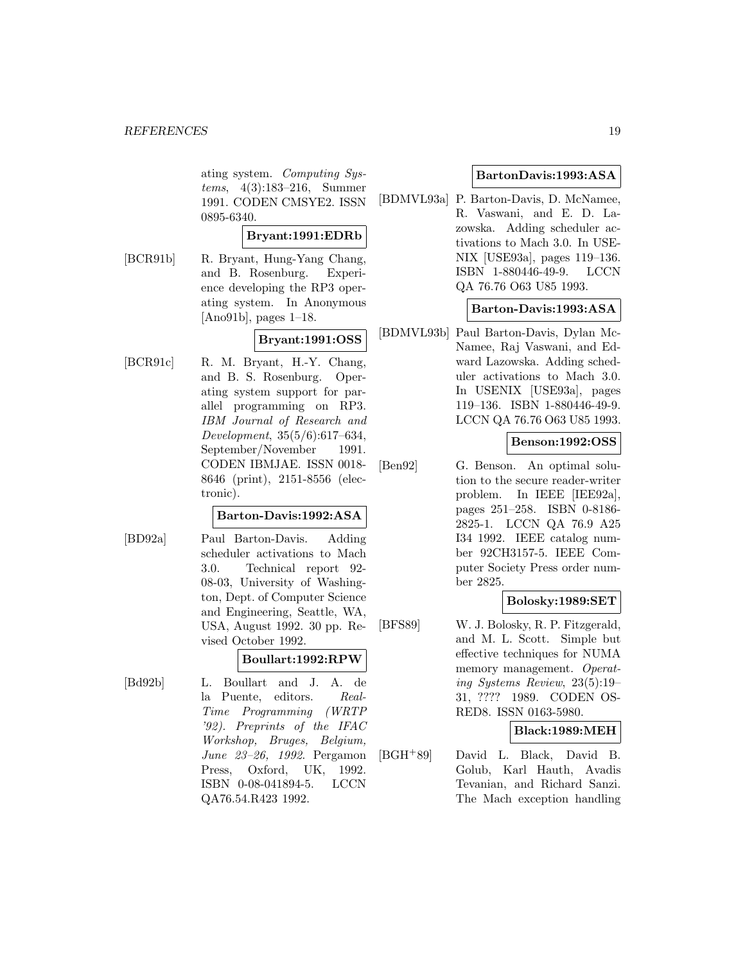ating system. Computing Systems, 4(3):183–216, Summer 1991. CODEN CMSYE2. ISSN 0895-6340.

# **Bryant:1991:EDRb**

[BCR91b] R. Bryant, Hung-Yang Chang, and B. Rosenburg. Experience developing the RP3 operating system. In Anonymous [Ano91b], pages 1–18.

# **Bryant:1991:OSS**

[BCR91c] R. M. Bryant, H.-Y. Chang, and B. S. Rosenburg. Operating system support for parallel programming on RP3. IBM Journal of Research and Development, 35(5/6):617–634, September/November 1991. CODEN IBMJAE. ISSN 0018- 8646 (print), 2151-8556 (electronic).

#### **Barton-Davis:1992:ASA**

[BD92a] Paul Barton-Davis. Adding scheduler activations to Mach 3.0. Technical report 92- 08-03, University of Washington, Dept. of Computer Science and Engineering, Seattle, WA, USA, August 1992. 30 pp. Revised October 1992.

#### **Boullart:1992:RPW**

[Bd92b] L. Boullart and J. A. de la Puente, editors. Real-Time Programming (WRTP '92). Preprints of the IFAC Workshop, Bruges, Belgium, June 23–26, 1992. Pergamon Press, Oxford, UK, 1992. ISBN 0-08-041894-5. LCCN QA76.54.R423 1992.

#### **BartonDavis:1993:ASA**

[BDMVL93a] P. Barton-Davis, D. McNamee, R. Vaswani, and E. D. Lazowska. Adding scheduler activations to Mach 3.0. In USE-NIX [USE93a], pages 119–136. ISBN 1-880446-49-9. LCCN QA 76.76 O63 U85 1993.

#### **Barton-Davis:1993:ASA**

[BDMVL93b] Paul Barton-Davis, Dylan Mc-Namee, Raj Vaswani, and Edward Lazowska. Adding scheduler activations to Mach 3.0. In USENIX [USE93a], pages 119–136. ISBN 1-880446-49-9. LCCN QA 76.76 O63 U85 1993.

# **Benson:1992:OSS**

[Ben92] G. Benson. An optimal solution to the secure reader-writer problem. In IEEE [IEE92a], pages 251–258. ISBN 0-8186- 2825-1. LCCN QA 76.9 A25 I34 1992. IEEE catalog number 92CH3157-5. IEEE Computer Society Press order number 2825.

#### **Bolosky:1989:SET**

[BFS89] W. J. Bolosky, R. P. Fitzgerald, and M. L. Scott. Simple but effective techniques for NUMA memory management. Operating Systems Review, 23(5):19– 31, ???? 1989. CODEN OS-RED8. ISSN 0163-5980.

#### **Black:1989:MEH**

[BGH<sup>+</sup>89] David L. Black, David B. Golub, Karl Hauth, Avadis Tevanian, and Richard Sanzi. The Mach exception handling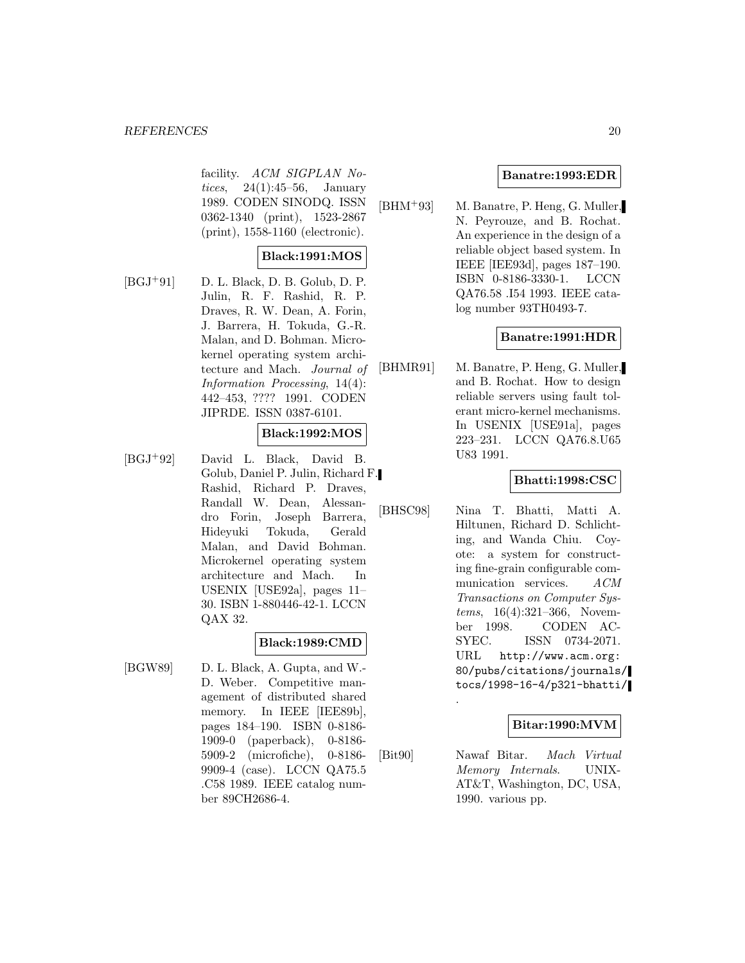facility. ACM SIGPLAN Notices,  $24(1):45-56$ , January 1989. CODEN SINODQ. ISSN 0362-1340 (print), 1523-2867 (print), 1558-1160 (electronic).

# **Black:1991:MOS**

 $[BGJ+91]$  D. L. Black, D. B. Golub, D. P. Julin, R. F. Rashid, R. P. Draves, R. W. Dean, A. Forin, J. Barrera, H. Tokuda, G.-R. Malan, and D. Bohman. Microkernel operating system architecture and Mach. Journal of Information Processing, 14(4): 442–453, ???? 1991. CODEN JIPRDE. ISSN 0387-6101.

# **Black:1992:MOS**

[BGJ<sup>+</sup>92] David L. Black, David B. Golub, Daniel P. Julin, Richard F. Rashid, Richard P. Draves, Randall W. Dean, Alessandro Forin, Joseph Barrera, Hideyuki Tokuda, Gerald Malan, and David Bohman. Microkernel operating system architecture and Mach. In USENIX [USE92a], pages 11– 30. ISBN 1-880446-42-1. LCCN QAX 32.

# **Black:1989:CMD**

[BGW89] D. L. Black, A. Gupta, and W.- D. Weber. Competitive management of distributed shared memory. In IEEE [IEE89b], pages 184–190. ISBN 0-8186- 1909-0 (paperback), 0-8186- 5909-2 (microfiche), 0-8186- 9909-4 (case). LCCN QA75.5 .C58 1989. IEEE catalog number 89CH2686-4.

# **Banatre:1993:EDR**

[BHM<sup>+</sup>93] M. Banatre, P. Heng, G. Muller, N. Peyrouze, and B. Rochat. An experience in the design of a reliable object based system. In IEEE [IEE93d], pages 187–190. ISBN 0-8186-3330-1. LCCN QA76.58 .I54 1993. IEEE catalog number 93TH0493-7.

#### **Banatre:1991:HDR**

[BHMR91] M. Banatre, P. Heng, G. Muller, and B. Rochat. How to design reliable servers using fault tolerant micro-kernel mechanisms. In USENIX [USE91a], pages 223–231. LCCN QA76.8.U65 U83 1991.

# **Bhatti:1998:CSC**

[BHSC98] Nina T. Bhatti, Matti A. Hiltunen, Richard D. Schlichting, and Wanda Chiu. Coyote: a system for constructing fine-grain configurable communication services. ACM Transactions on Computer Systems, 16(4):321–366, November 1998. CODEN AC-SYEC. ISSN 0734-2071. URL http://www.acm.org: 80/pubs/citations/journals/ tocs/1998-16-4/p321-bhatti/

#### **Bitar:1990:MVM**

[Bit90] Nawaf Bitar. Mach Virtual Memory Internals. UNIX-AT&T, Washington, DC, USA, 1990. various pp.

.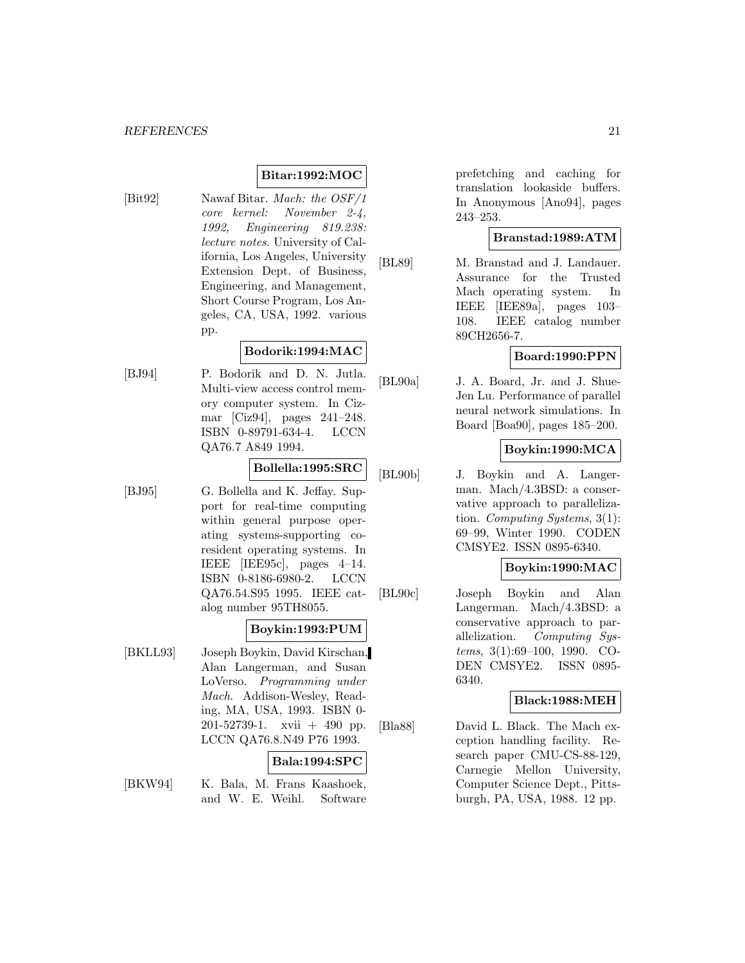# **Bitar:1992:MOC**

[Bit92] Nawaf Bitar. Mach: the OSF/1 core kernel: November 2-4, 1992, Engineering 819.238: lecture notes. University of California, Los Angeles, University Extension Dept. of Business, Engineering, and Management, Short Course Program, Los Angeles, CA, USA, 1992. various pp.

# **Bodorik:1994:MAC**

[BJ94] P. Bodorik and D. N. Jutla. Multi-view access control memory computer system. In Cizmar [Ciz94], pages 241–248. ISBN 0-89791-634-4. LCCN QA76.7 A849 1994.

# **Bollella:1995:SRC**

[BJ95] G. Bollella and K. Jeffay. Support for real-time computing within general purpose operating systems-supporting coresident operating systems. In IEEE [IEE95c], pages 4–14. ISBN 0-8186-6980-2. LCCN QA76.54.S95 1995. IEEE catalog number 95TH8055.

# **Boykin:1993:PUM**

[BKLL93] Joseph Boykin, David Kirschan, Alan Langerman, and Susan LoVerso. Programming under Mach. Addison-Wesley, Reading, MA, USA, 1993. ISBN 0-  $201-52739-1$ . xvii  $+490$  pp. LCCN QA76.8.N49 P76 1993.

# **Bala:1994:SPC**

[BKW94] K. Bala, M. Frans Kaashoek, and W. E. Weihl. Software

prefetching and caching for translation lookaside buffers. In Anonymous [Ano94], pages 243–253.

# **Branstad:1989:ATM**

[BL89] M. Branstad and J. Landauer. Assurance for the Trusted Mach operating system. In IEEE [IEE89a], pages 103– 108. IEEE catalog number 89CH2656-7.

# **Board:1990:PPN**

[BL90a] J. A. Board, Jr. and J. Shue-Jen Lu. Performance of parallel neural network simulations. In Board [Boa90], pages 185–200.

# **Boykin:1990:MCA**

[BL90b] J. Boykin and A. Langerman. Mach/4.3BSD: a conservative approach to parallelization. Computing Systems, 3(1): 69–99, Winter 1990. CODEN CMSYE2. ISSN 0895-6340.

# **Boykin:1990:MAC**

[BL90c] Joseph Boykin and Alan Langerman. Mach/4.3BSD: a conservative approach to parallelization. Computing Systems, 3(1):69–100, 1990. CO-DEN CMSYE2. ISSN 0895- 6340.

# **Black:1988:MEH**

[Bla88] David L. Black. The Mach exception handling facility. Research paper CMU-CS-88-129, Carnegie Mellon University, Computer Science Dept., Pittsburgh, PA, USA, 1988. 12 pp.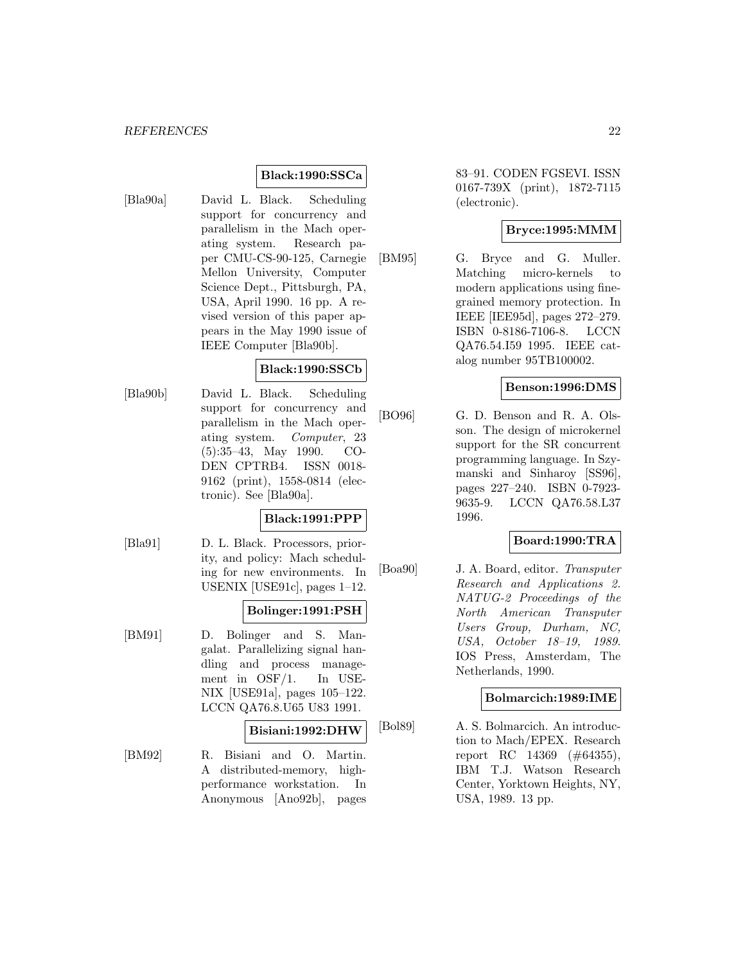# **Black:1990:SSCa**

- 
- [Bla90a] David L. Black. Scheduling support for concurrency and parallelism in the Mach operating system. Research paper CMU-CS-90-125, Carnegie Mellon University, Computer Science Dept., Pittsburgh, PA, USA, April 1990. 16 pp. A revised version of this paper appears in the May 1990 issue of IEEE Computer [Bla90b].

#### **Black:1990:SSCb**

[Bla90b] David L. Black. Scheduling support for concurrency and parallelism in the Mach operating system. Computer, 23 (5):35–43, May 1990. CO-DEN CPTRB4. ISSN 0018- 9162 (print), 1558-0814 (electronic). See [Bla90a].

#### **Black:1991:PPP**

[Bla91] D. L. Black. Processors, priority, and policy: Mach scheduling for new environments. In USENIX [USE91c], pages 1–12.

# **Bolinger:1991:PSH**

[BM91] D. Bolinger and S. Mangalat. Parallelizing signal handling and process management in OSF/1. In USE-NIX [USE91a], pages 105–122. LCCN QA76.8.U65 U83 1991.

### **Bisiani:1992:DHW**

[BM92] R. Bisiani and O. Martin. A distributed-memory, highperformance workstation. In Anonymous [Ano92b], pages

83–91. CODEN FGSEVI. ISSN 0167-739X (print), 1872-7115 (electronic).

# **Bryce:1995:MMM**

[BM95] G. Bryce and G. Muller. Matching micro-kernels to modern applications using finegrained memory protection. In IEEE [IEE95d], pages 272–279. ISBN 0-8186-7106-8. LCCN QA76.54.I59 1995. IEEE catalog number 95TB100002.

# **Benson:1996:DMS**

[BO96] G. D. Benson and R. A. Olsson. The design of microkernel support for the SR concurrent programming language. In Szymanski and Sinharoy [SS96], pages 227–240. ISBN 0-7923- 9635-9. LCCN QA76.58.L37 1996.

# **Board:1990:TRA**

[Boa90] J. A. Board, editor. Transputer Research and Applications 2. NATUG-2 Proceedings of the North American Transputer Users Group, Durham, NC, USA, October 18–19, 1989. IOS Press, Amsterdam, The Netherlands, 1990.

#### **Bolmarcich:1989:IME**

[Bol89] A. S. Bolmarcich. An introduction to Mach/EPEX. Research report RC 14369 (#64355), IBM T.J. Watson Research Center, Yorktown Heights, NY, USA, 1989. 13 pp.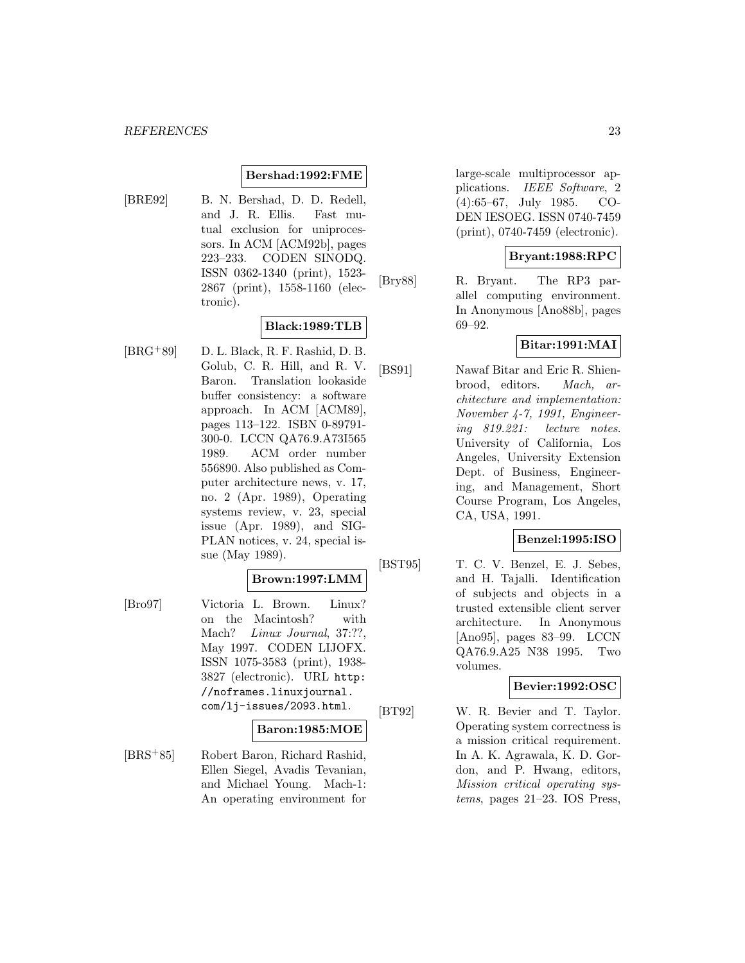#### **Bershad:1992:FME**

[BRE92] B. N. Bershad, D. D. Redell, and J. R. Ellis. Fast mutual exclusion for uniprocessors. In ACM [ACM92b], pages 223–233. CODEN SINODQ. ISSN 0362-1340 (print), 1523- 2867 (print), 1558-1160 (electronic).

# **Black:1989:TLB**

 $[BRG+89]$  D. L. Black, R. F. Rashid, D. B. Golub, C. R. Hill, and R. V. Baron. Translation lookaside buffer consistency: a software approach. In ACM [ACM89], pages 113–122. ISBN 0-89791- 300-0. LCCN QA76.9.A73I565 1989. ACM order number 556890. Also published as Computer architecture news, v. 17, no. 2 (Apr. 1989), Operating systems review, v. 23, special issue (Apr. 1989), and SIG-PLAN notices, v. 24, special issue (May 1989).

#### **Brown:1997:LMM**

[Bro97] Victoria L. Brown. Linux? on the Macintosh? with Mach? Linux Journal, 37:??, May 1997. CODEN LIJOFX. ISSN 1075-3583 (print), 1938- 3827 (electronic). URL http: //noframes.linuxjournal. com/lj-issues/2093.html.

#### **Baron:1985:MOE**

[BRS<sup>+</sup>85] Robert Baron, Richard Rashid, Ellen Siegel, Avadis Tevanian, and Michael Young. Mach-1: An operating environment for

large-scale multiprocessor applications. IEEE Software, 2 (4):65–67, July 1985. CO-DEN IESOEG. ISSN 0740-7459 (print), 0740-7459 (electronic).

# **Bryant:1988:RPC**

[Bry88] R. Bryant. The RP3 parallel computing environment. In Anonymous [Ano88b], pages 69–92.

# **Bitar:1991:MAI**

[BS91] Nawaf Bitar and Eric R. Shienbrood, editors. Mach, architecture and implementation: November 4-7, 1991, Engineering 819.221: lecture notes. University of California, Los Angeles, University Extension Dept. of Business, Engineering, and Management, Short Course Program, Los Angeles, CA, USA, 1991.

#### **Benzel:1995:ISO**

[BST95] T. C. V. Benzel, E. J. Sebes, and H. Tajalli. Identification of subjects and objects in a trusted extensible client server architecture. In Anonymous [Ano95], pages 83–99. LCCN QA76.9.A25 N38 1995. Two volumes.

#### **Bevier:1992:OSC**

[BT92] W. R. Bevier and T. Taylor. Operating system correctness is a mission critical requirement. In A. K. Agrawala, K. D. Gordon, and P. Hwang, editors, Mission critical operating systems, pages 21–23. IOS Press,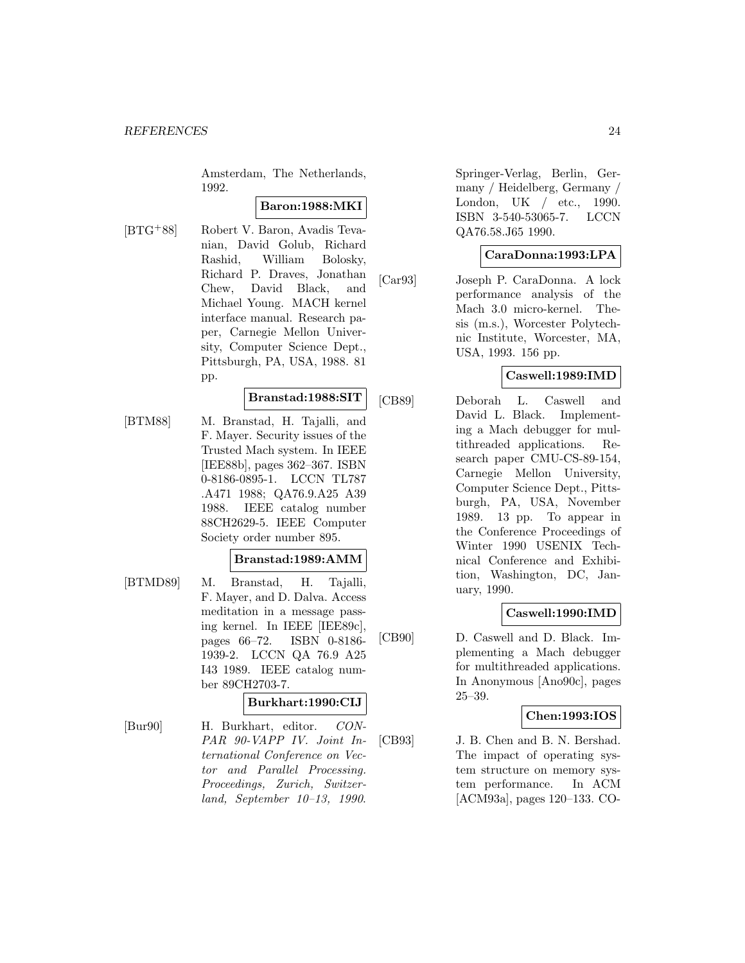Amsterdam, The Netherlands, 1992.

# **Baron:1988:MKI**

[BTG<sup>+</sup>88] Robert V. Baron, Avadis Tevanian, David Golub, Richard Rashid, William Bolosky, Richard P. Draves, Jonathan Chew, David Black, and Michael Young. MACH kernel interface manual. Research paper, Carnegie Mellon University, Computer Science Dept., Pittsburgh, PA, USA, 1988. 81 pp.

# **Branstad:1988:SIT**

[BTM88] M. Branstad, H. Tajalli, and F. Mayer. Security issues of the Trusted Mach system. In IEEE [IEE88b], pages 362–367. ISBN 0-8186-0895-1. LCCN TL787 .A471 1988; QA76.9.A25 A39 1988. IEEE catalog number 88CH2629-5. IEEE Computer Society order number 895.

#### **Branstad:1989:AMM**

[BTMD89] M. Branstad, H. Tajalli, F. Mayer, and D. Dalva. Access meditation in a message passing kernel. In IEEE [IEE89c], pages 66–72. ISBN 0-8186- 1939-2. LCCN QA 76.9 A25 I43 1989. IEEE catalog number 89CH2703-7.

# **Burkhart:1990:CIJ**

[Bur90] H. Burkhart, editor. CON-PAR 90-VAPP IV. Joint International Conference on Vector and Parallel Processing. Proceedings, Zurich, Switzerland, September 10–13, 1990.

Springer-Verlag, Berlin, Germany / Heidelberg, Germany / London, UK / etc., 1990. ISBN 3-540-53065-7. LCCN QA76.58.J65 1990.

#### **CaraDonna:1993:LPA**

[Car93] Joseph P. CaraDonna. A lock performance analysis of the Mach 3.0 micro-kernel. Thesis (m.s.), Worcester Polytechnic Institute, Worcester, MA, USA, 1993. 156 pp.

# **Caswell:1989:IMD**

[CB89] Deborah L. Caswell and David L. Black. Implementing a Mach debugger for multithreaded applications. Research paper CMU-CS-89-154, Carnegie Mellon University, Computer Science Dept., Pittsburgh, PA, USA, November 1989. 13 pp. To appear in the Conference Proceedings of Winter 1990 USENIX Technical Conference and Exhibition, Washington, DC, January, 1990.

#### **Caswell:1990:IMD**

[CB90] D. Caswell and D. Black. Implementing a Mach debugger for multithreaded applications. In Anonymous [Ano90c], pages 25–39.

### **Chen:1993:IOS**

[CB93] J. B. Chen and B. N. Bershad. The impact of operating system structure on memory system performance. In ACM [ACM93a], pages 120–133. CO-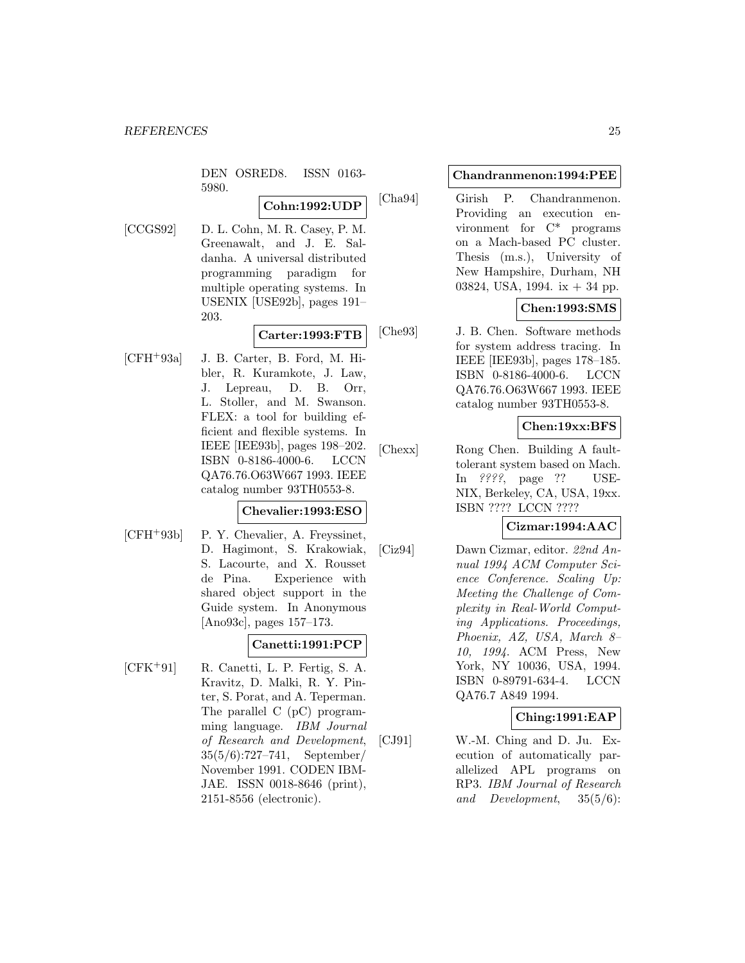DEN OSRED8. ISSN 0163- 5980.

# **Cohn:1992:UDP**

[CCGS92] D. L. Cohn, M. R. Casey, P. M. Greenawalt, and J. E. Saldanha. A universal distributed programming paradigm for multiple operating systems. In USENIX [USE92b], pages 191– 203.

# **Carter:1993:FTB**

[CFH<sup>+</sup>93a] J. B. Carter, B. Ford, M. Hibler, R. Kuramkote, J. Law, J. Lepreau, D. B. Orr, L. Stoller, and M. Swanson. FLEX: a tool for building efficient and flexible systems. In IEEE [IEE93b], pages 198–202. ISBN 0-8186-4000-6. LCCN QA76.76.O63W667 1993. IEEE catalog number 93TH0553-8.

# **Chevalier:1993:ESO**

- 
- [CFH<sup>+</sup>93b] P. Y. Chevalier, A. Freyssinet, D. Hagimont, S. Krakowiak, S. Lacourte, and X. Rousset de Pina. Experience with shared object support in the Guide system. In Anonymous [Ano93c], pages 157–173.

# **Canetti:1991:PCP**

[CFK<sup>+</sup>91] R. Canetti, L. P. Fertig, S. A. Kravitz, D. Malki, R. Y. Pinter, S. Porat, and A. Teperman. The parallel C (pC) programming language. IBM Journal of Research and Development, 35(5/6):727–741, September/ November 1991. CODEN IBM-JAE. ISSN 0018-8646 (print), 2151-8556 (electronic).

#### **Chandranmenon:1994:PEE**

[Cha94] Girish P. Chandranmenon. Providing an execution environment for  $C^*$  programs on a Mach-based PC cluster. Thesis (m.s.), University of New Hampshire, Durham, NH 03824, USA, 1994. ix + 34 pp.

# **Chen:1993:SMS**

[Che93] J. B. Chen. Software methods for system address tracing. In IEEE [IEE93b], pages 178–185. ISBN 0-8186-4000-6. LCCN QA76.76.O63W667 1993. IEEE catalog number 93TH0553-8.

# **Chen:19xx:BFS**

[Chexx] Rong Chen. Building A faulttolerant system based on Mach. In ????, page ?? USE-NIX, Berkeley, CA, USA, 19xx. ISBN ???? LCCN ????

#### **Cizmar:1994:AAC**

[Ciz94] Dawn Cizmar, editor. 22nd Annual 1994 ACM Computer Science Conference. Scaling Up: Meeting the Challenge of Complexity in Real-World Computing Applications. Proceedings, Phoenix, AZ, USA, March 8– 10, 1994. ACM Press, New York, NY 10036, USA, 1994. ISBN 0-89791-634-4. LCCN QA76.7 A849 1994.

#### **Ching:1991:EAP**

[CJ91] W.-M. Ching and D. Ju. Execution of automatically parallelized APL programs on RP3. IBM Journal of Research and Development, 35(5/6):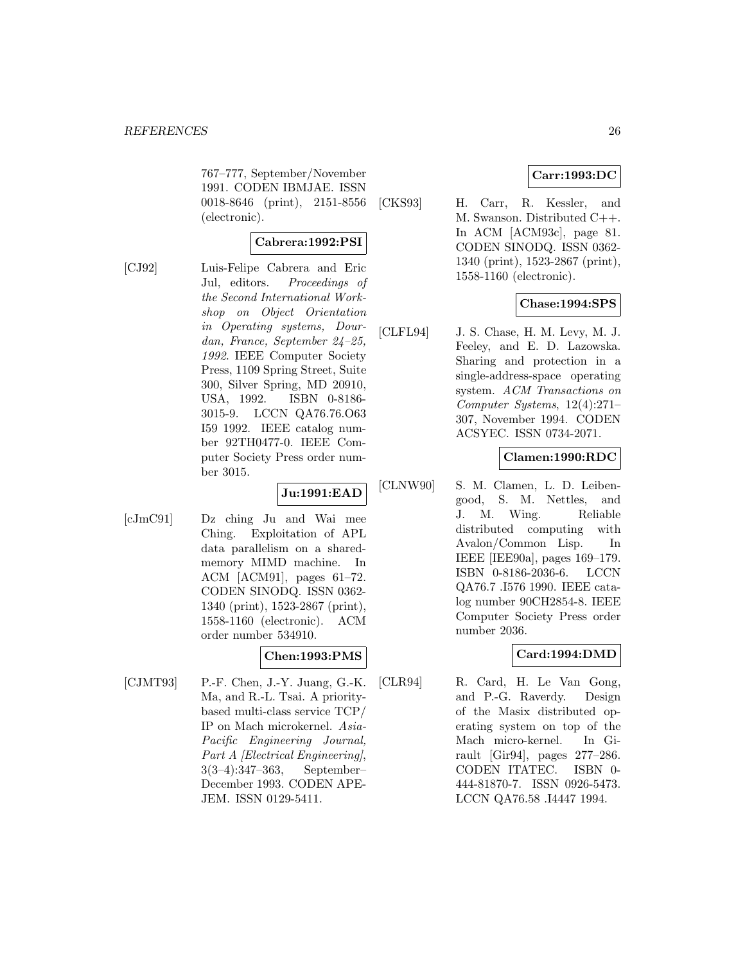767–777, September/November 1991. CODEN IBMJAE. ISSN 0018-8646 (print), 2151-8556 (electronic).

# **Cabrera:1992:PSI**

[CJ92] Luis-Felipe Cabrera and Eric Jul, editors. Proceedings of the Second International Workshop on Object Orientation in Operating systems, Dourdan, France, September 24–25, 1992. IEEE Computer Society Press, 1109 Spring Street, Suite 300, Silver Spring, MD 20910, USA, 1992. ISBN 0-8186- 3015-9. LCCN QA76.76.O63 I59 1992. IEEE catalog number 92TH0477-0. IEEE Computer Society Press order number 3015.

# **Ju:1991:EAD**

[cJmC91] Dz ching Ju and Wai mee Ching. Exploitation of APL data parallelism on a sharedmemory MIMD machine. In ACM [ACM91], pages 61–72. CODEN SINODQ. ISSN 0362- 1340 (print), 1523-2867 (print), 1558-1160 (electronic). ACM order number 534910.

# **Chen:1993:PMS**

[CJMT93] P.-F. Chen, J.-Y. Juang, G.-K. Ma, and R.-L. Tsai. A prioritybased multi-class service TCP/ IP on Mach microkernel. Asia-Pacific Engineering Journal, Part A [Electrical Engineering], 3(3–4):347–363, September– December 1993. CODEN APE-JEM. ISSN 0129-5411.

# **Carr:1993:DC**

[CKS93] H. Carr, R. Kessler, and M. Swanson. Distributed C++. In ACM [ACM93c], page 81. CODEN SINODQ. ISSN 0362- 1340 (print), 1523-2867 (print), 1558-1160 (electronic).

# **Chase:1994:SPS**

[CLFL94] J. S. Chase, H. M. Levy, M. J. Feeley, and E. D. Lazowska. Sharing and protection in a single-address-space operating system. ACM Transactions on Computer Systems, 12(4):271– 307, November 1994. CODEN ACSYEC. ISSN 0734-2071.

# **Clamen:1990:RDC**

[CLNW90] S. M. Clamen, L. D. Leibengood, S. M. Nettles, and J. M. Wing. Reliable distributed computing with Avalon/Common Lisp. In IEEE [IEE90a], pages 169–179. ISBN 0-8186-2036-6. LCCN QA76.7 .I576 1990. IEEE catalog number 90CH2854-8. IEEE Computer Society Press order number 2036.

#### **Card:1994:DMD**

[CLR94] R. Card, H. Le Van Gong, and P.-G. Raverdy. Design of the Masix distributed operating system on top of the Mach micro-kernel. In Girault [Gir94], pages 277–286. CODEN ITATEC. ISBN 0- 444-81870-7. ISSN 0926-5473. LCCN QA76.58 .I4447 1994.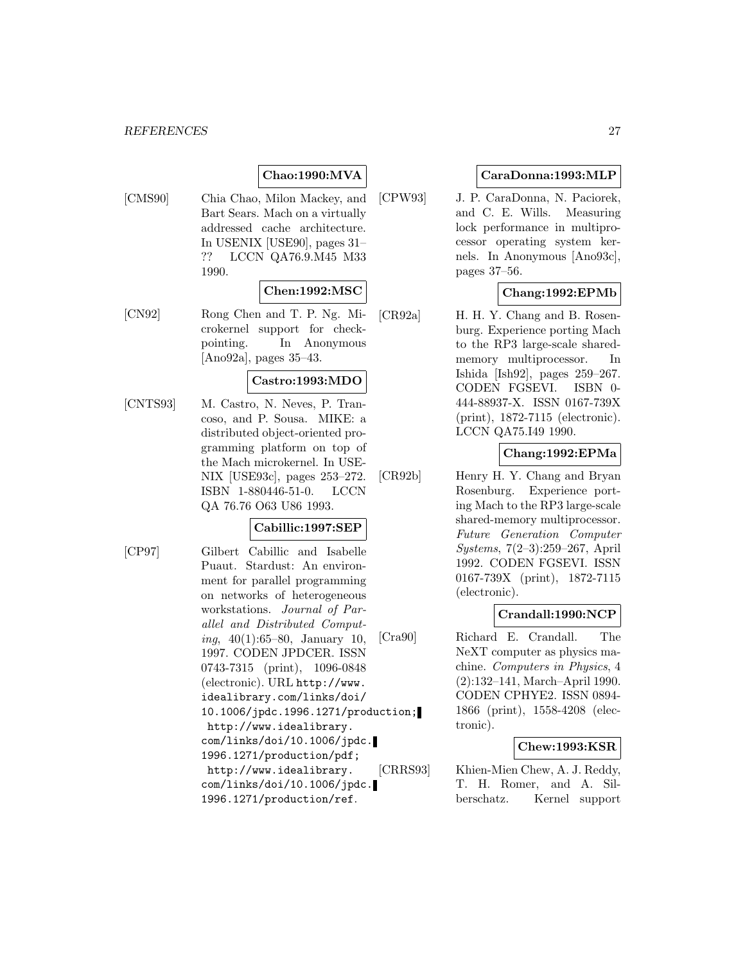# **Chao:1990:MVA**

[CMS90] Chia Chao, Milon Mackey, and Bart Sears. Mach on a virtually addressed cache architecture. In USENIX [USE90], pages 31– ?? LCCN QA76.9.M45 M33 1990.

#### **Chen:1992:MSC**

[CN92] Rong Chen and T. P. Ng. Microkernel support for checkpointing. In Anonymous [Ano92a], pages 35–43.

#### **Castro:1993:MDO**

[CNTS93] M. Castro, N. Neves, P. Trancoso, and P. Sousa. MIKE: a distributed object-oriented programming platform on top of the Mach microkernel. In USE-NIX [USE93c], pages 253–272. ISBN 1-880446-51-0. LCCN QA 76.76 O63 U86 1993.

#### **Cabillic:1997:SEP**

[CP97] Gilbert Cabillic and Isabelle Puaut. Stardust: An environment for parallel programming on networks of heterogeneous workstations. Journal of Parallel and Distributed Computing,  $40(1):65-80$ , January 10, 1997. CODEN JPDCER. ISSN 0743-7315 (print), 1096-0848 (electronic). URL http://www. idealibrary.com/links/doi/ 10.1006/jpdc.1996.1271/production; http://www.idealibrary. com/links/doi/10.1006/jpdc. 1996.1271/production/pdf; http://www.idealibrary. com/links/doi/10.1006/jpdc. 1996.1271/production/ref.

# **CaraDonna:1993:MLP**

[CPW93] J. P. CaraDonna, N. Paciorek, and C. E. Wills. Measuring lock performance in multiprocessor operating system kernels. In Anonymous [Ano93c], pages 37–56.

# **Chang:1992:EPMb**

[CR92a] H. H. Y. Chang and B. Rosenburg. Experience porting Mach to the RP3 large-scale sharedmemory multiprocessor. In Ishida [Ish92], pages 259–267. CODEN FGSEVI. ISBN 0- 444-88937-X. ISSN 0167-739X (print), 1872-7115 (electronic). LCCN QA75.I49 1990.

# **Chang:1992:EPMa**

[CR92b] Henry H. Y. Chang and Bryan Rosenburg. Experience porting Mach to the RP3 large-scale shared-memory multiprocessor. Future Generation Computer Systems, 7(2–3):259–267, April 1992. CODEN FGSEVI. ISSN 0167-739X (print), 1872-7115 (electronic).

#### **Crandall:1990:NCP**

[Cra90] Richard E. Crandall. The NeXT computer as physics machine. Computers in Physics, 4 (2):132–141, March–April 1990. CODEN CPHYE2. ISSN 0894- 1866 (print), 1558-4208 (electronic).

## **Chew:1993:KSR**

[CRRS93] Khien-Mien Chew, A. J. Reddy, T. H. Romer, and A. Silberschatz. Kernel support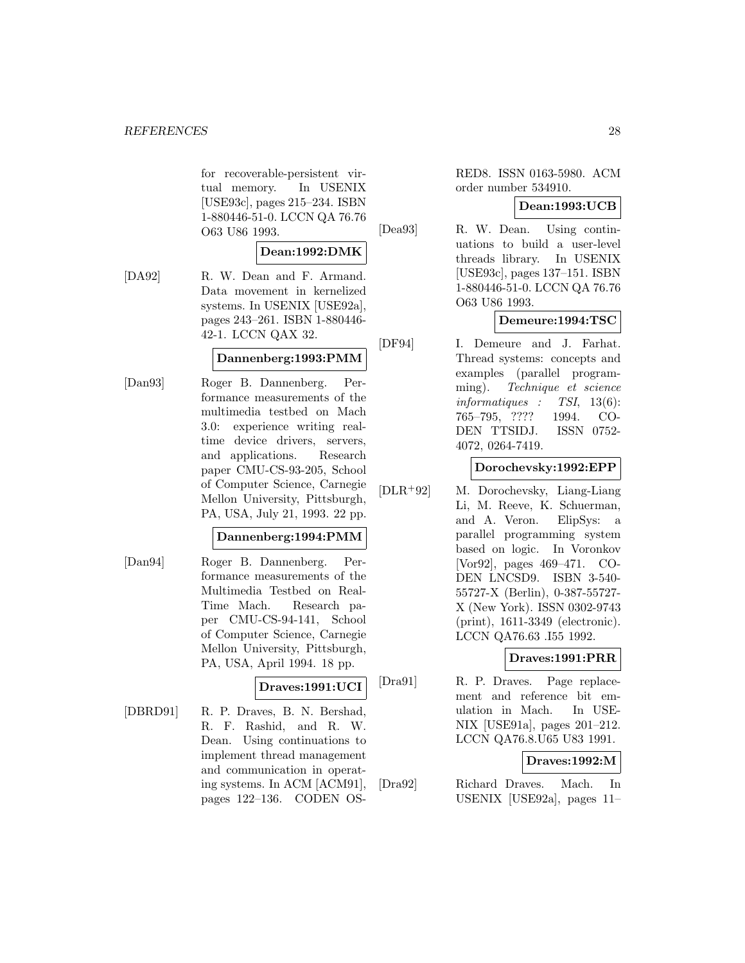for recoverable-persistent virtual memory. In USENIX [USE93c], pages 215–234. ISBN 1-880446-51-0. LCCN QA 76.76 O63 U86 1993.

# **Dean:1992:DMK**

[DA92] R. W. Dean and F. Armand. Data movement in kernelized systems. In USENIX [USE92a], pages 243–261. ISBN 1-880446- 42-1. LCCN QAX 32.

#### **Dannenberg:1993:PMM**

[Dan93] Roger B. Dannenberg. Performance measurements of the multimedia testbed on Mach 3.0: experience writing realtime device drivers, servers, and applications. Research paper CMU-CS-93-205, School of Computer Science, Carnegie Mellon University, Pittsburgh, PA, USA, July 21, 1993. 22 pp.

#### **Dannenberg:1994:PMM**

[Dan94] Roger B. Dannenberg. Performance measurements of the Multimedia Testbed on Real-Time Mach. Research paper CMU-CS-94-141, School of Computer Science, Carnegie Mellon University, Pittsburgh, PA, USA, April 1994. 18 pp.

# **Draves:1991:UCI**

[DBRD91] R. P. Draves, B. N. Bershad, R. F. Rashid, and R. W. Dean. Using continuations to implement thread management and communication in operating systems. In ACM [ACM91], pages 122–136. CODEN OS-

RED8. ISSN 0163-5980. ACM order number 534910.

# **Dean:1993:UCB**

[Dea93] R. W. Dean. Using continuations to build a user-level threads library. In USENIX [USE93c], pages 137–151. ISBN 1-880446-51-0. LCCN QA 76.76 O63 U86 1993.

# **Demeure:1994:TSC**

[DF94] I. Demeure and J. Farhat. Thread systems: concepts and examples (parallel programming). Technique et science informatiques : TSI, 13(6): 765–795, ???? 1994. CO-DEN TTSIDJ. ISSN 0752- 4072, 0264-7419.

#### **Dorochevsky:1992:EPP**

[DLR<sup>+</sup>92] M. Dorochevsky, Liang-Liang Li, M. Reeve, K. Schuerman, and A. Veron. ElipSys: a parallel programming system based on logic. In Voronkov [Vor92], pages 469–471. CO-DEN LNCSD9. ISBN 3-540- 55727-X (Berlin), 0-387-55727- X (New York). ISSN 0302-9743 (print), 1611-3349 (electronic). LCCN QA76.63 .I55 1992.

# **Draves:1991:PRR**

[Dra91] R. P. Draves. Page replacement and reference bit emulation in Mach. In USE-NIX [USE91a], pages 201–212. LCCN QA76.8.U65 U83 1991.

# **Draves:1992:M**

[Dra92] Richard Draves. Mach. In USENIX [USE92a], pages 11–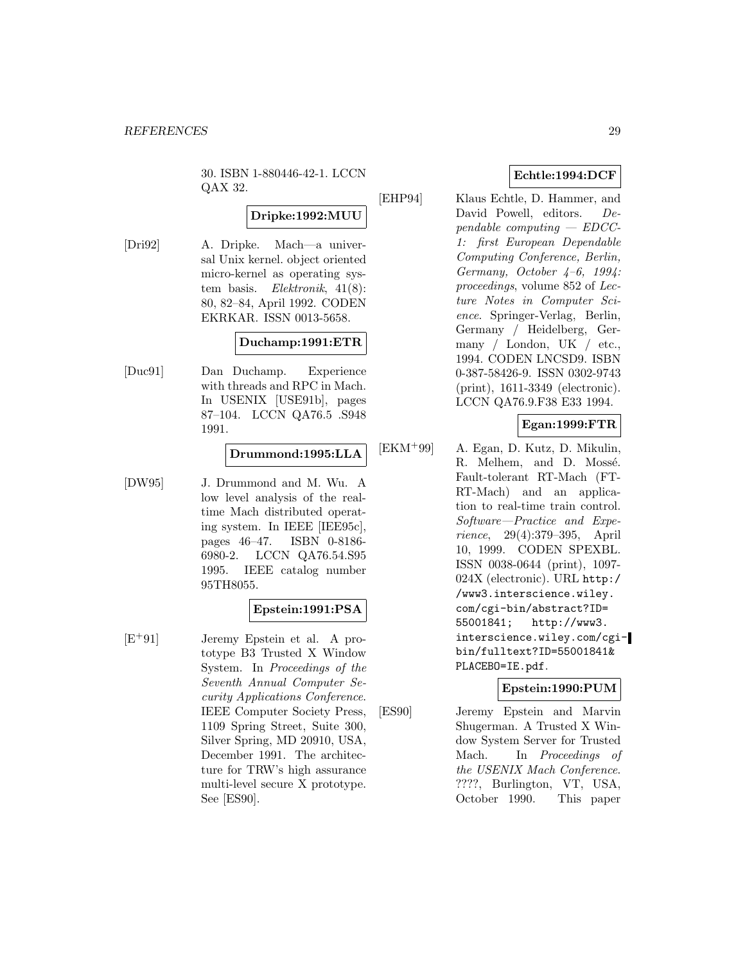30. ISBN 1-880446-42-1. LCCN QAX 32.

# **Dripke:1992:MUU**

[Dri92] A. Dripke. Mach—a universal Unix kernel. object oriented micro-kernel as operating system basis. Elektronik, 41(8): 80, 82–84, April 1992. CODEN EKRKAR. ISSN 0013-5658.

#### **Duchamp:1991:ETR**

[Duc91] Dan Duchamp. Experience with threads and RPC in Mach. In USENIX [USE91b], pages 87–104. LCCN QA76.5 .S948 1991.

# **Drummond:1995:LLA**

[DW95] J. Drummond and M. Wu. A low level analysis of the realtime Mach distributed operating system. In IEEE [IEE95c], pages 46–47. ISBN 0-8186- 6980-2. LCCN QA76.54.S95 1995. IEEE catalog number 95TH8055.

# **Epstein:1991:PSA**

[E<sup>+</sup>91] Jeremy Epstein et al. A prototype B3 Trusted X Window System. In Proceedings of the Seventh Annual Computer Security Applications Conference. IEEE Computer Society Press, 1109 Spring Street, Suite 300, Silver Spring, MD 20910, USA, December 1991. The architecture for TRW's high assurance multi-level secure X prototype. See [ES90].

# **Echtle:1994:DCF**

[EHP94] Klaus Echtle, D. Hammer, and David Powell, editors. Dependable computing — EDCC-1: first European Dependable Computing Conference, Berlin, Germany, October 4–6, 1994: proceedings, volume 852 of Lecture Notes in Computer Science. Springer-Verlag, Berlin, Germany / Heidelberg, Germany / London, UK / etc., 1994. CODEN LNCSD9. ISBN 0-387-58426-9. ISSN 0302-9743 (print), 1611-3349 (electronic). LCCN QA76.9.F38 E33 1994.

# **Egan:1999:FTR**

[EKM<sup>+</sup>99] A. Egan, D. Kutz, D. Mikulin, R. Melhem, and D. Mossé. Fault-tolerant RT-Mach (FT-RT-Mach) and an application to real-time train control. Software—Practice and Experience, 29(4):379–395, April 10, 1999. CODEN SPEXBL. ISSN 0038-0644 (print), 1097- 024X (electronic). URL http:/ /www3.interscience.wiley. com/cgi-bin/abstract?ID= 55001841; http://www3. interscience.wiley.com/cgibin/fulltext?ID=55001841& PLACEBO=IE.pdf.

# **Epstein:1990:PUM**

[ES90] Jeremy Epstein and Marvin Shugerman. A Trusted X Window System Server for Trusted Mach. In Proceedings of the USENIX Mach Conference. ????, Burlington, VT, USA, October 1990. This paper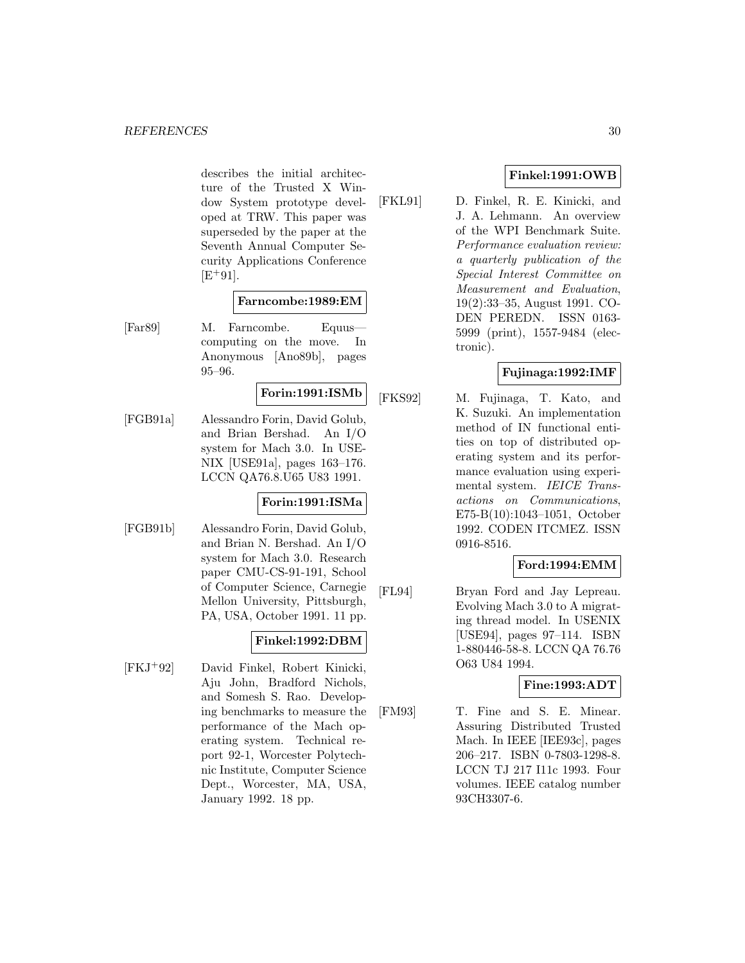describes the initial architecture of the Trusted X Window System prototype developed at TRW. This paper was superseded by the paper at the Seventh Annual Computer Security Applications Conference  $[E+91]$ .

#### **Farncombe:1989:EM**

[Far89] M. Farncombe. Equus computing on the move. In Anonymous [Ano89b], pages 95–96.

# **Forin:1991:ISMb**

[FGB91a] Alessandro Forin, David Golub, and Brian Bershad. An I/O system for Mach 3.0. In USE-NIX [USE91a], pages 163–176. LCCN QA76.8.U65 U83 1991.

# **Forin:1991:ISMa**

[FGB91b] Alessandro Forin, David Golub, and Brian N. Bershad. An I/O system for Mach 3.0. Research paper CMU-CS-91-191, School of Computer Science, Carnegie Mellon University, Pittsburgh, PA, USA, October 1991. 11 pp.

# **Finkel:1992:DBM**

[FKJ<sup>+</sup>92] David Finkel, Robert Kinicki, Aju John, Bradford Nichols, and Somesh S. Rao. Developing benchmarks to measure the performance of the Mach operating system. Technical report 92-1, Worcester Polytechnic Institute, Computer Science Dept., Worcester, MA, USA, January 1992. 18 pp.

# **Finkel:1991:OWB**

[FKL91] D. Finkel, R. E. Kinicki, and J. A. Lehmann. An overview of the WPI Benchmark Suite. Performance evaluation review: a quarterly publication of the Special Interest Committee on Measurement and Evaluation, 19(2):33–35, August 1991. CO-DEN PEREDN. ISSN 0163- 5999 (print), 1557-9484 (electronic).

# **Fujinaga:1992:IMF**

[FKS92] M. Fujinaga, T. Kato, and K. Suzuki. An implementation method of IN functional entities on top of distributed operating system and its performance evaluation using experimental system. IEICE Transactions on Communications, E75-B(10):1043–1051, October 1992. CODEN ITCMEZ. ISSN 0916-8516.

# **Ford:1994:EMM**

[FL94] Bryan Ford and Jay Lepreau. Evolving Mach 3.0 to A migrating thread model. In USENIX [USE94], pages 97–114. ISBN 1-880446-58-8. LCCN QA 76.76 O63 U84 1994.

# **Fine:1993:ADT**

[FM93] T. Fine and S. E. Minear. Assuring Distributed Trusted Mach. In IEEE [IEE93c], pages 206–217. ISBN 0-7803-1298-8. LCCN TJ 217 I11c 1993. Four volumes. IEEE catalog number 93CH3307-6.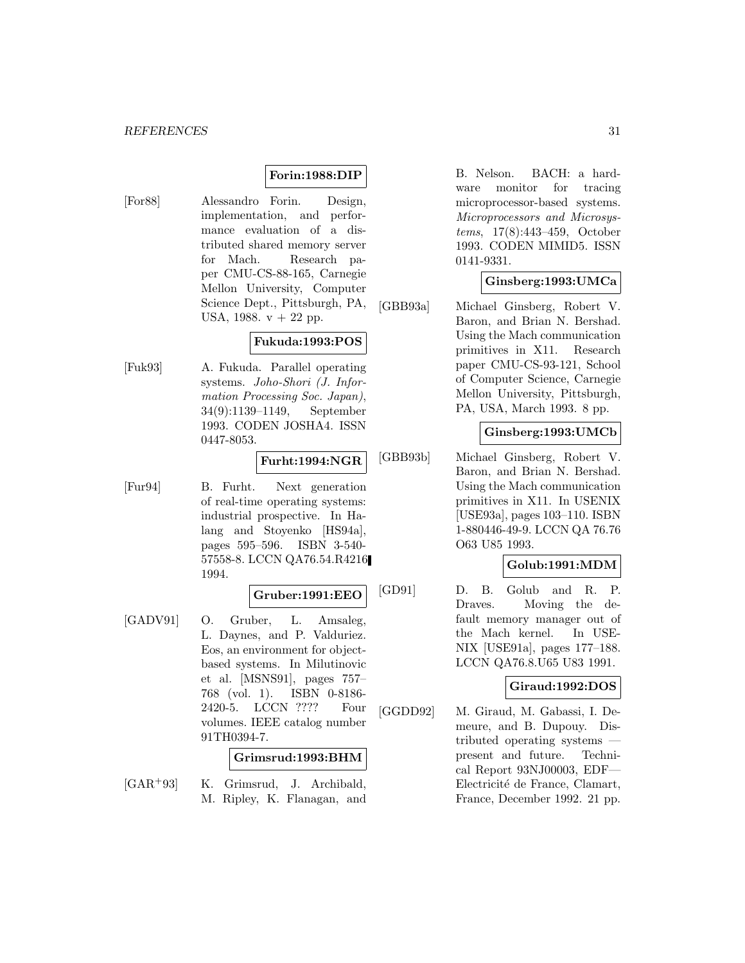# **Forin:1988:DIP**

[For88] Alessandro Forin. Design, implementation, and performance evaluation of a distributed shared memory server for Mach. Research paper CMU-CS-88-165, Carnegie Mellon University, Computer Science Dept., Pittsburgh, PA, USA, 1988. v + 22 pp.

# **Fukuda:1993:POS**

[Fuk93] A. Fukuda. Parallel operating systems. Joho-Shori (J. Information Processing Soc. Japan), 34(9):1139–1149, September 1993. CODEN JOSHA4. ISSN 0447-8053.

# **Furht:1994:NGR**

[Fur94] B. Furht. Next generation of real-time operating systems: industrial prospective. In Halang and Stoyenko [HS94a], pages 595–596. ISBN 3-540- 57558-8. LCCN QA76.54.R4216 1994.

# **Gruber:1991:EEO**

[GADV91] O. Gruber, L. Amsaleg, L. Daynes, and P. Valduriez. Eos, an environment for objectbased systems. In Milutinovic et al. [MSNS91], pages 757– 768 (vol. 1). ISBN 0-8186- 2420-5. LCCN ???? Four volumes. IEEE catalog number 91TH0394-7.

## **Grimsrud:1993:BHM**

[GAR<sup>+</sup>93] K. Grimsrud, J. Archibald, M. Ripley, K. Flanagan, and

B. Nelson. BACH: a hardware monitor for tracing microprocessor-based systems. Microprocessors and Microsystems, 17(8):443–459, October 1993. CODEN MIMID5. ISSN 0141-9331.

# **Ginsberg:1993:UMCa**

[GBB93a] Michael Ginsberg, Robert V. Baron, and Brian N. Bershad. Using the Mach communication primitives in X11. Research paper CMU-CS-93-121, School of Computer Science, Carnegie Mellon University, Pittsburgh, PA, USA, March 1993. 8 pp.

#### **Ginsberg:1993:UMCb**

[GBB93b] Michael Ginsberg, Robert V. Baron, and Brian N. Bershad. Using the Mach communication primitives in X11. In USENIX [USE93a], pages 103–110. ISBN 1-880446-49-9. LCCN QA 76.76 O63 U85 1993.

# **Golub:1991:MDM**

[GD91] D. B. Golub and R. P. Draves. Moving the default memory manager out of the Mach kernel. In USE-NIX [USE91a], pages 177–188. LCCN QA76.8.U65 U83 1991.

#### **Giraud:1992:DOS**

[GGDD92] M. Giraud, M. Gabassi, I. Demeure, and B. Dupouy. Distributed operating systems present and future. Technical Report 93NJ00003, EDF— Electricité de France, Clamart, France, December 1992. 21 pp.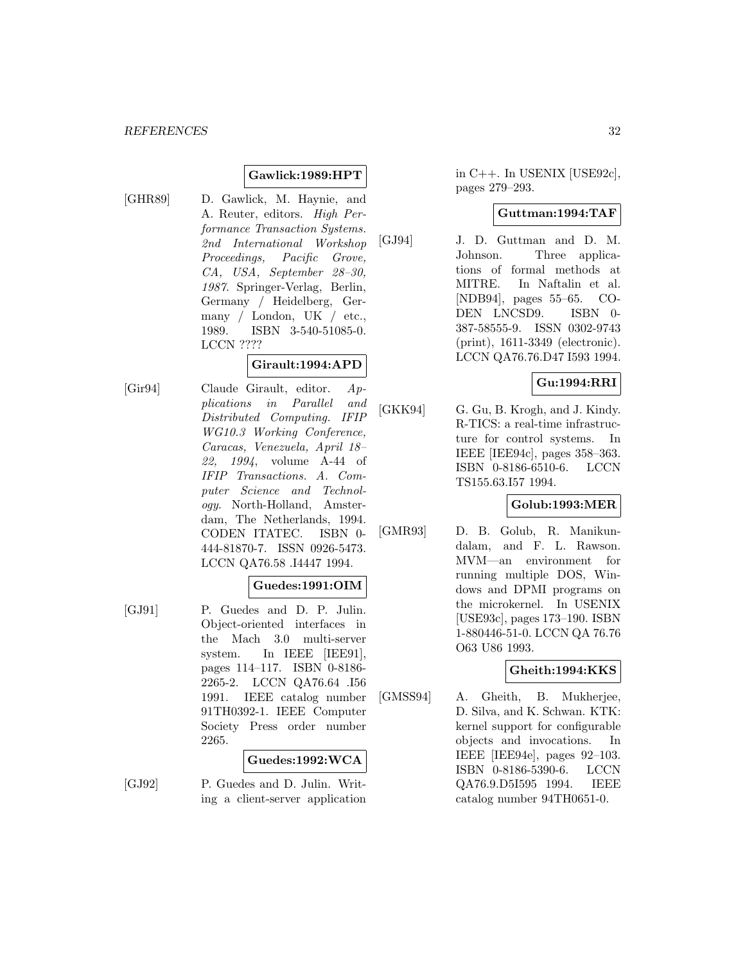## **Gawlick:1989:HPT**

[GHR89] D. Gawlick, M. Haynie, and A. Reuter, editors. High Performance Transaction Systems. 2nd International Workshop Proceedings, Pacific Grove, CA, USA, September 28–30, 1987. Springer-Verlag, Berlin, Germany / Heidelberg, Germany / London, UK / etc., 1989. ISBN 3-540-51085-0. LCCN ????

## **Girault:1994:APD**

[Gir94] Claude Girault, editor. Applications in Parallel and Distributed Computing. IFIP WG10.3 Working Conference, Caracas, Venezuela, April 18– 22, 1994, volume A-44 of IFIP Transactions. A. Computer Science and Technology. North-Holland, Amsterdam, The Netherlands, 1994. CODEN ITATEC. ISBN 0- 444-81870-7. ISSN 0926-5473. LCCN QA76.58 .I4447 1994.

# **Guedes:1991:OIM**

[GJ91] P. Guedes and D. P. Julin. Object-oriented interfaces in the Mach 3.0 multi-server system. In IEEE [IEE91], pages 114–117. ISBN 0-8186- 2265-2. LCCN QA76.64 .I56 1991. IEEE catalog number 91TH0392-1. IEEE Computer Society Press order number 2265.

#### **Guedes:1992:WCA**

[GJ92] P. Guedes and D. Julin. Writing a client-server application in C++. In USENIX [USE92c], pages 279–293.

#### **Guttman:1994:TAF**

[GJ94] J. D. Guttman and D. M. Johnson. Three applications of formal methods at MITRE. In Naftalin et al. [NDB94], pages 55–65. CO-DEN LNCSD9. ISBN 0- 387-58555-9. ISSN 0302-9743 (print), 1611-3349 (electronic). LCCN QA76.76.D47 I593 1994.

# **Gu:1994:RRI**

[GKK94] G. Gu, B. Krogh, and J. Kindy. R-TICS: a real-time infrastructure for control systems. In IEEE [IEE94c], pages 358–363. ISBN 0-8186-6510-6. LCCN TS155.63.I57 1994.

### **Golub:1993:MER**

[GMR93] D. B. Golub, R. Manikundalam, and F. L. Rawson. MVM—an environment for running multiple DOS, Windows and DPMI programs on the microkernel. In USENIX [USE93c], pages 173–190. ISBN 1-880446-51-0. LCCN QA 76.76 O63 U86 1993.

### **Gheith:1994:KKS**

[GMSS94] A. Gheith, B. Mukherjee, D. Silva, and K. Schwan. KTK: kernel support for configurable objects and invocations. In IEEE [IEE94e], pages 92–103. ISBN 0-8186-5390-6. LCCN QA76.9.D5I595 1994. IEEE catalog number 94TH0651-0.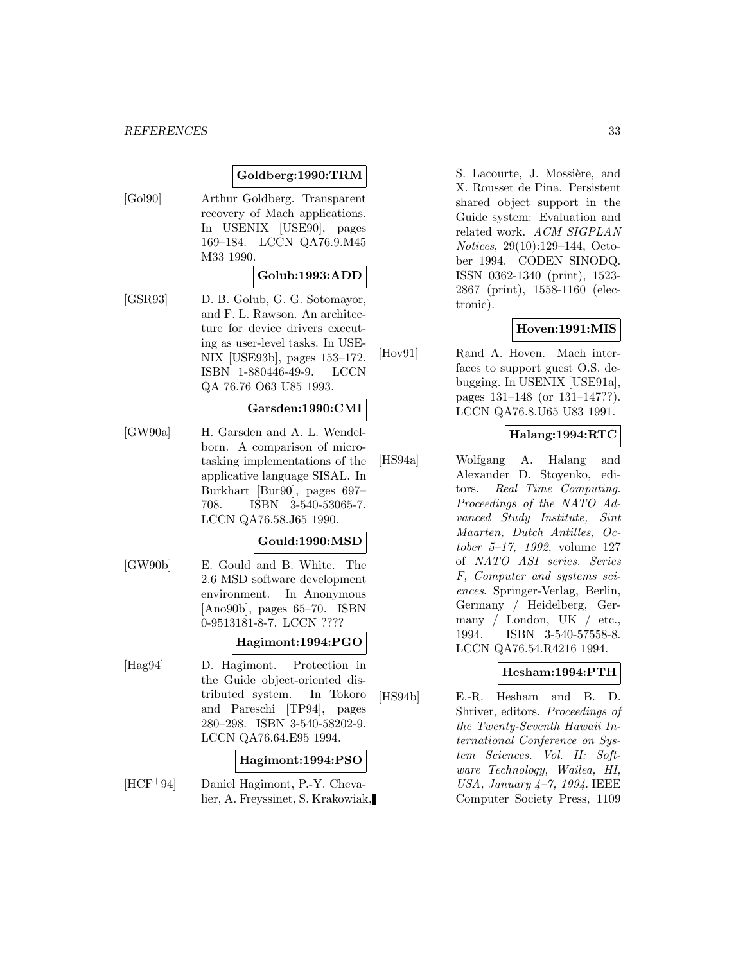#### *REFERENCES* 33

#### **Goldberg:1990:TRM**

[Gol90] Arthur Goldberg. Transparent recovery of Mach applications. In USENIX [USE90], pages 169–184. LCCN QA76.9.M45 M33 1990.

# **Golub:1993:ADD**

[GSR93] D. B. Golub, G. G. Sotomayor, and F. L. Rawson. An architecture for device drivers executing as user-level tasks. In USE-NIX [USE93b], pages 153–172. ISBN 1-880446-49-9. LCCN QA 76.76 O63 U85 1993.

#### **Garsden:1990:CMI**

[GW90a] H. Garsden and A. L. Wendelborn. A comparison of microtasking implementations of the applicative language SISAL. In Burkhart [Bur90], pages 697– 708. ISBN 3-540-53065-7. LCCN QA76.58.J65 1990.

# **Gould:1990:MSD**

[GW90b] E. Gould and B. White. The 2.6 MSD software development environment. In Anonymous [Ano90b], pages 65–70. ISBN 0-9513181-8-7. LCCN ????

#### **Hagimont:1994:PGO**

[Hag94] D. Hagimont. Protection in the Guide object-oriented distributed system. In Tokoro and Pareschi [TP94], pages 280–298. ISBN 3-540-58202-9. LCCN QA76.64.E95 1994.

#### **Hagimont:1994:PSO**

[HCF<sup>+</sup>94] Daniel Hagimont, P.-Y. Chevalier, A. Freyssinet, S. Krakowiak, S. Lacourte, J. Mossière, and X. Rousset de Pina. Persistent shared object support in the Guide system: Evaluation and related work. ACM SIGPLAN Notices, 29(10):129–144, October 1994. CODEN SINODQ. ISSN 0362-1340 (print), 1523- 2867 (print), 1558-1160 (electronic).

#### **Hoven:1991:MIS**

[Hov91] Rand A. Hoven. Mach interfaces to support guest O.S. debugging. In USENIX [USE91a], pages 131–148 (or 131–147??). LCCN QA76.8.U65 U83 1991.

#### **Halang:1994:RTC**

[HS94a] Wolfgang A. Halang and Alexander D. Stoyenko, editors. Real Time Computing. Proceedings of the NATO Advanced Study Institute, Sint Maarten, Dutch Antilles, October 5–17, 1992, volume 127 of NATO ASI series. Series F, Computer and systems sciences. Springer-Verlag, Berlin, Germany / Heidelberg, Germany / London, UK / etc., 1994. ISBN 3-540-57558-8. LCCN QA76.54.R4216 1994.

#### **Hesham:1994:PTH**

[HS94b] E.-R. Hesham and B. D. Shriver, editors. Proceedings of the Twenty-Seventh Hawaii International Conference on System Sciences. Vol. II: Software Technology, Wailea, HI, USA, January 4–7, 1994. IEEE Computer Society Press, 1109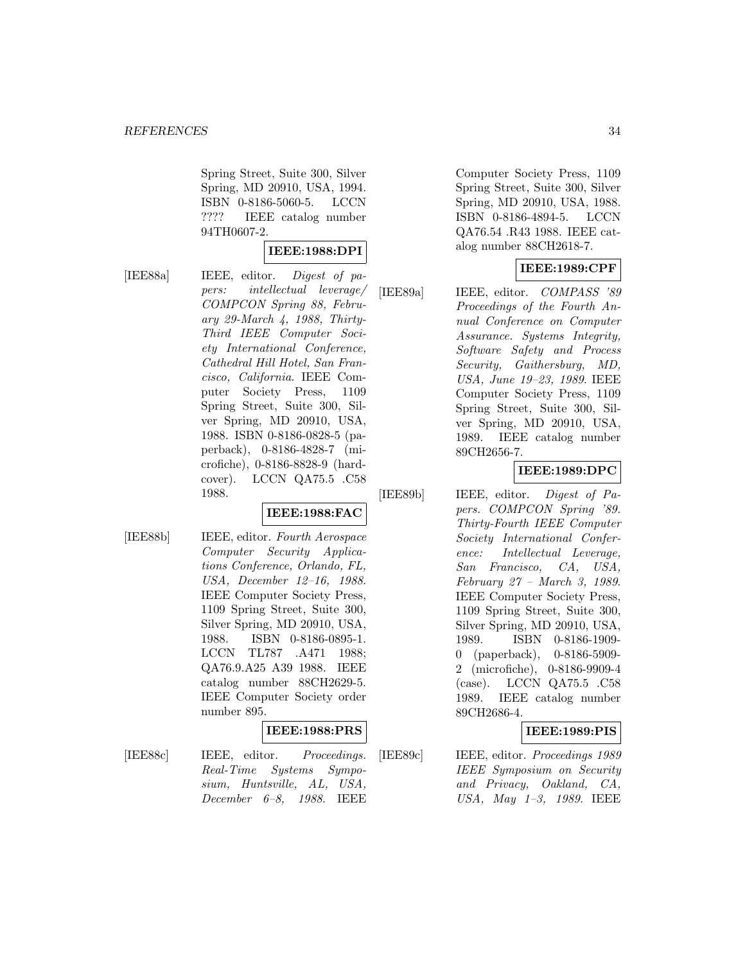Spring Street, Suite 300, Silver Spring, MD 20910, USA, 1994. ISBN 0-8186-5060-5. LCCN ???? IEEE catalog number 94TH0607-2.

#### **IEEE:1988:DPI**

[IEE88a] IEEE, editor. Digest of papers: intellectual leverage/ COMPCON Spring 88, February 29-March 4, 1988, Thirty-Third IEEE Computer Society International Conference, Cathedral Hill Hotel, San Francisco, California. IEEE Computer Society Press, 1109 Spring Street, Suite 300, Silver Spring, MD 20910, USA, 1988. ISBN 0-8186-0828-5 (paperback), 0-8186-4828-7 (microfiche), 0-8186-8828-9 (hardcover). LCCN QA75.5 .C58 1988.

#### **IEEE:1988:FAC**

[IEE88b] IEEE, editor. Fourth Aerospace Computer Security Applications Conference, Orlando, FL, USA, December 12–16, 1988. IEEE Computer Society Press, 1109 Spring Street, Suite 300, Silver Spring, MD 20910, USA, 1988. ISBN 0-8186-0895-1. LCCN TL787 .A471 1988; QA76.9.A25 A39 1988. IEEE catalog number 88CH2629-5. IEEE Computer Society order number 895.

#### **IEEE:1988:PRS**

[IEE88c] IEEE, editor. *Proceedings.* Real-Time Systems Symposium, Huntsville, AL, USA, December 6–8, 1988. IEEE

Computer Society Press, 1109 Spring Street, Suite 300, Silver Spring, MD 20910, USA, 1988. ISBN 0-8186-4894-5. LCCN QA76.54 .R43 1988. IEEE catalog number 88CH2618-7.

# **IEEE:1989:CPF**

[IEE89a] IEEE, editor. *COMPASS '89* Proceedings of the Fourth Annual Conference on Computer Assurance. Systems Integrity, Software Safety and Process Security, Gaithersburg, MD, USA, June 19–23, 1989. IEEE Computer Society Press, 1109 Spring Street, Suite 300, Silver Spring, MD 20910, USA, 1989. IEEE catalog number 89CH2656-7.

# **IEEE:1989:DPC**

[IEE89b] IEEE, editor. Digest of Papers. COMPCON Spring '89. Thirty-Fourth IEEE Computer Society International Conference: Intellectual Leverage, San Francisco, CA, USA, February 27 – March 3, 1989. IEEE Computer Society Press, 1109 Spring Street, Suite 300, Silver Spring, MD 20910, USA, 1989. ISBN 0-8186-1909- 0 (paperback), 0-8186-5909- 2 (microfiche), 0-8186-9909-4 (case). LCCN QA75.5 .C58 1989. IEEE catalog number 89CH2686-4.

#### **IEEE:1989:PIS**

[IEE89c] IEEE, editor. Proceedings 1989 IEEE Symposium on Security and Privacy, Oakland, CA, USA, May 1–3, 1989. IEEE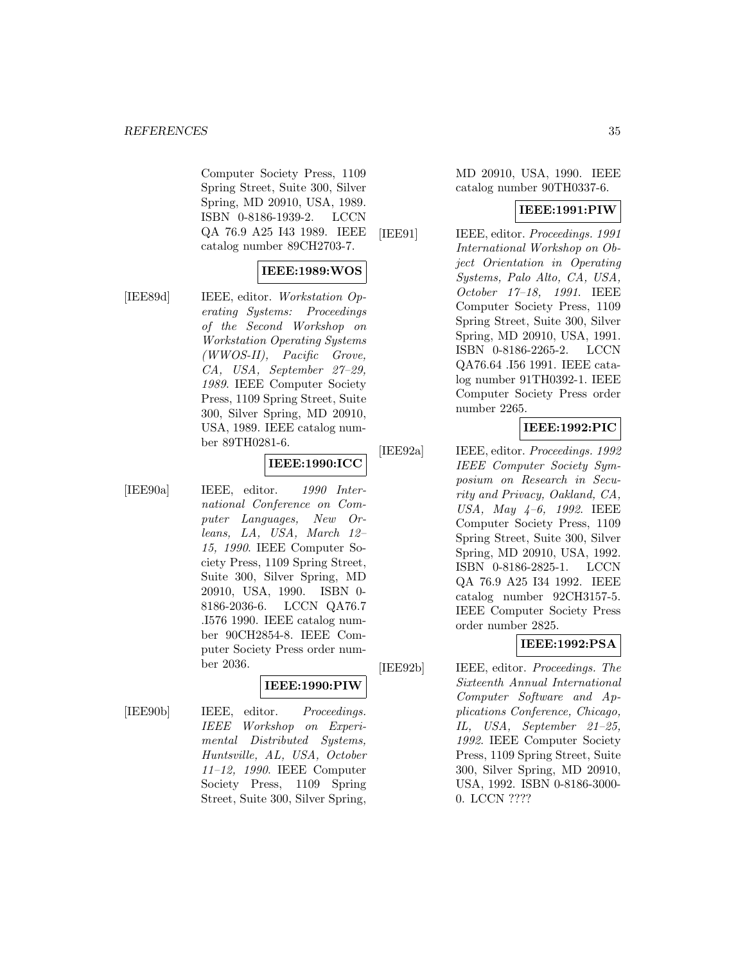Computer Society Press, 1109 Spring Street, Suite 300, Silver Spring, MD 20910, USA, 1989. ISBN 0-8186-1939-2. LCCN QA 76.9 A25 I43 1989. IEEE catalog number 89CH2703-7.

# **IEEE:1989:WOS**

[IEE89d] IEEE, editor. Workstation Operating Systems: Proceedings of the Second Workshop on Workstation Operating Systems (WWOS-II), Pacific Grove, CA, USA, September 27–29, 1989. IEEE Computer Society Press, 1109 Spring Street, Suite 300, Silver Spring, MD 20910, USA, 1989. IEEE catalog number 89TH0281-6.

# **IEEE:1990:ICC**

[IEE90a] IEEE, editor. 1990 International Conference on Computer Languages, New Orleans, LA, USA, March 12– 15, 1990. IEEE Computer Society Press, 1109 Spring Street, Suite 300, Silver Spring, MD 20910, USA, 1990. ISBN 0- 8186-2036-6. LCCN QA76.7 .I576 1990. IEEE catalog number 90CH2854-8. IEEE Computer Society Press order number 2036.

# **IEEE:1990:PIW**

[IEE90b] IEEE, editor. Proceedings. IEEE Workshop on Experimental Distributed Systems, Huntsville, AL, USA, October 11–12, 1990. IEEE Computer Society Press, 1109 Spring Street, Suite 300, Silver Spring,

MD 20910, USA, 1990. IEEE catalog number 90TH0337-6.

#### **IEEE:1991:PIW**

[IEE91] **IEEE**, editor. *Proceedings.* 1991 International Workshop on Object Orientation in Operating Systems, Palo Alto, CA, USA, October 17–18, 1991. IEEE Computer Society Press, 1109 Spring Street, Suite 300, Silver Spring, MD 20910, USA, 1991. ISBN 0-8186-2265-2. LCCN QA76.64 .I56 1991. IEEE catalog number 91TH0392-1. IEEE Computer Society Press order number 2265.

# **IEEE:1992:PIC**

[IEE92a] IEEE, editor. *Proceedings.* 1992 IEEE Computer Society Symposium on Research in Security and Privacy, Oakland, CA, USA, May 4–6, 1992. IEEE Computer Society Press, 1109 Spring Street, Suite 300, Silver Spring, MD 20910, USA, 1992. ISBN 0-8186-2825-1. LCCN QA 76.9 A25 I34 1992. IEEE catalog number 92CH3157-5. IEEE Computer Society Press order number 2825.

# **IEEE:1992:PSA**

[IEE92b] IEEE, editor. Proceedings. The Sixteenth Annual International Computer Software and Applications Conference, Chicago, IL, USA, September 21–25, 1992. IEEE Computer Society Press, 1109 Spring Street, Suite 300, Silver Spring, MD 20910, USA, 1992. ISBN 0-8186-3000- 0. LCCN ????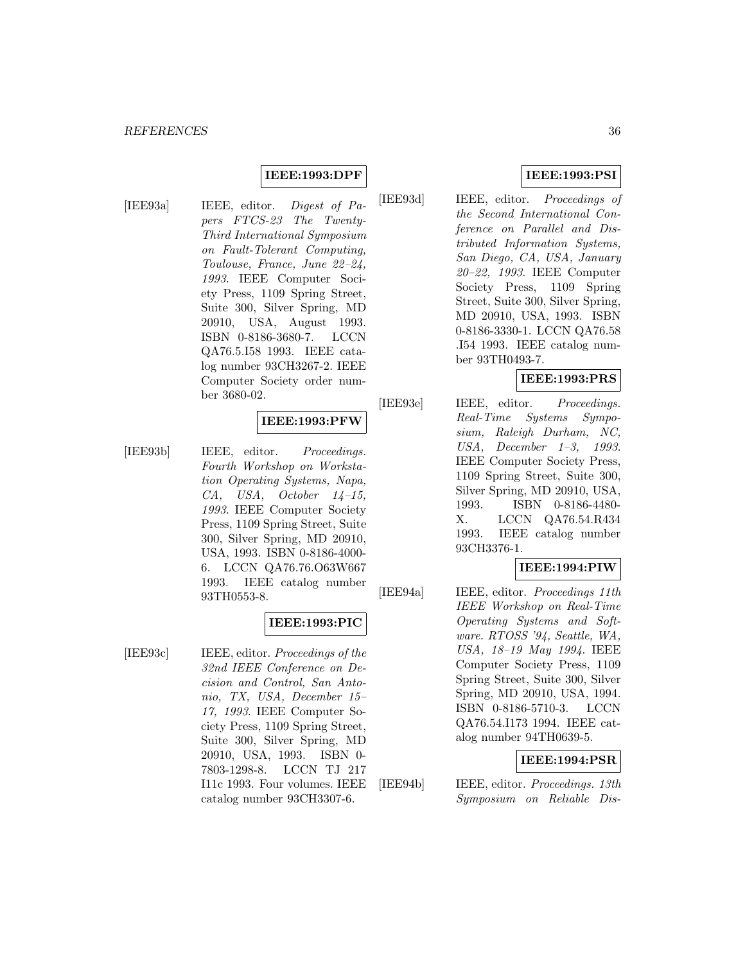#### **IEEE:1993:DPF**

[IEE93a] IEEE, editor. Digest of Papers FTCS-23 The Twenty-Third International Symposium on Fault-Tolerant Computing, Toulouse, France, June 22–24, 1993. IEEE Computer Society Press, 1109 Spring Street, Suite 300, Silver Spring, MD 20910, USA, August 1993. ISBN 0-8186-3680-7. LCCN QA76.5.I58 1993. IEEE catalog number 93CH3267-2. IEEE Computer Society order number 3680-02.

# **IEEE:1993:PFW**

[IEE93b] IEEE, editor. Proceedings. Fourth Workshop on Workstation Operating Systems, Napa, CA, USA, October 14–15, 1993. IEEE Computer Society Press, 1109 Spring Street, Suite 300, Silver Spring, MD 20910, USA, 1993. ISBN 0-8186-4000- 6. LCCN QA76.76.O63W667 1993. IEEE catalog number 93TH0553-8.

#### **IEEE:1993:PIC**

[IEE93c] IEEE, editor. *Proceedings of the* 32nd IEEE Conference on Decision and Control, San Antonio, TX, USA, December 15– 17, 1993. IEEE Computer Society Press, 1109 Spring Street, Suite 300, Silver Spring, MD 20910, USA, 1993. ISBN 0- 7803-1298-8. LCCN TJ 217 I11c 1993. Four volumes. IEEE catalog number 93CH3307-6.

# **IEEE:1993:PSI**

[IEE93d] IEEE, editor. Proceedings of the Second International Conference on Parallel and Distributed Information Systems, San Diego, CA, USA, January 20–22, 1993. IEEE Computer Society Press, 1109 Spring Street, Suite 300, Silver Spring, MD 20910, USA, 1993. ISBN 0-8186-3330-1. LCCN QA76.58 .I54 1993. IEEE catalog number 93TH0493-7.

# **IEEE:1993:PRS**

[IEE93e] IEEE, editor. *Proceedings.* Real-Time Systems Symposium, Raleigh Durham, NC, USA, December 1–3, 1993. IEEE Computer Society Press, 1109 Spring Street, Suite 300, Silver Spring, MD 20910, USA, 1993. ISBN 0-8186-4480- X. LCCN QA76.54.R434 1993. IEEE catalog number 93CH3376-1.

## **IEEE:1994:PIW**

[IEE94a] IEEE, editor. *Proceedings 11th* IEEE Workshop on Real-Time Operating Systems and Software. RTOSS '94, Seattle, WA, USA, 18–19 May 1994. IEEE Computer Society Press, 1109 Spring Street, Suite 300, Silver Spring, MD 20910, USA, 1994. ISBN 0-8186-5710-3. LCCN QA76.54.I173 1994. IEEE catalog number 94TH0639-5.

#### **IEEE:1994:PSR**

[IEE94b] IEEE, editor. Proceedings. 13th Symposium on Reliable Dis-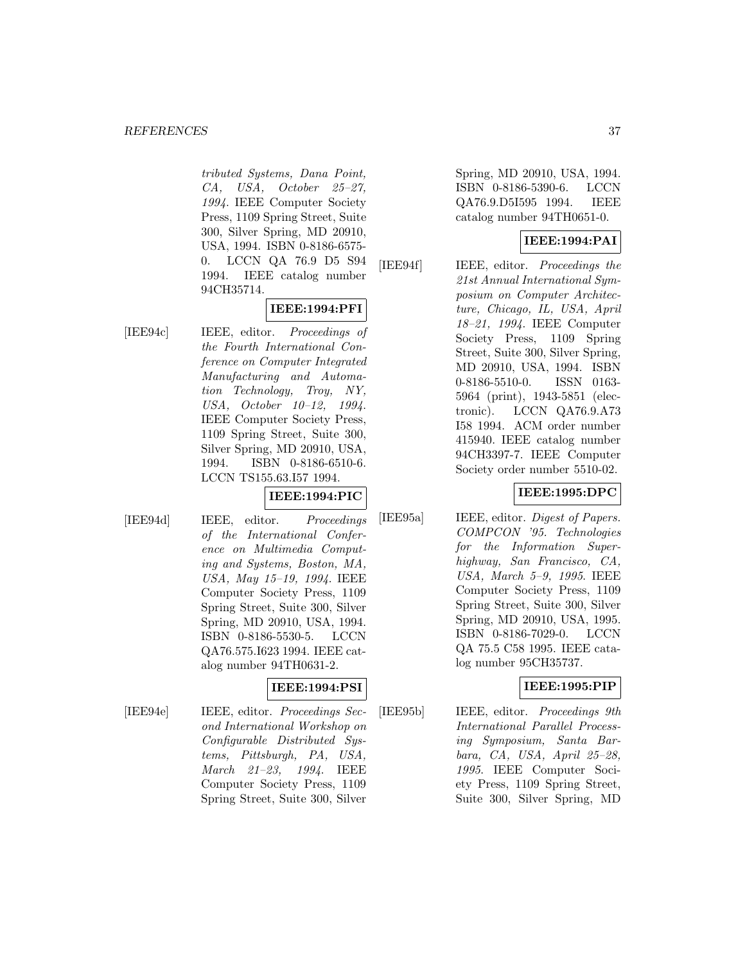#### *REFERENCES* 37

tributed Systems, Dana Point, CA, USA, October 25–27, 1994. IEEE Computer Society Press, 1109 Spring Street, Suite 300, Silver Spring, MD 20910, USA, 1994. ISBN 0-8186-6575- 0. LCCN QA 76.9 D5 S94 1994. IEEE catalog number 94CH35714.

# **IEEE:1994:PFI**

[IEE94c] IEEE, editor. Proceedings of the Fourth International Conference on Computer Integrated Manufacturing and Automation Technology, Troy, NY, USA, October 10–12, 1994. IEEE Computer Society Press, 1109 Spring Street, Suite 300, Silver Spring, MD 20910, USA, 1994. ISBN 0-8186-6510-6. LCCN TS155.63.I57 1994.

## **IEEE:1994:PIC**

[IEE94d] IEEE, editor. Proceedings of the International Conference on Multimedia Computing and Systems, Boston, MA, USA, May 15–19, 1994. IEEE Computer Society Press, 1109 Spring Street, Suite 300, Silver Spring, MD 20910, USA, 1994. ISBN 0-8186-5530-5. LCCN QA76.575.I623 1994. IEEE catalog number 94TH0631-2.

# **IEEE:1994:PSI**

[IEE94e] IEEE, editor. *Proceedings Sec*ond International Workshop on Configurable Distributed Systems, Pittsburgh, PA, USA, March 21–23, 1994. IEEE Computer Society Press, 1109 Spring Street, Suite 300, Silver

Spring, MD 20910, USA, 1994. ISBN 0-8186-5390-6. LCCN QA76.9.D5I595 1994. IEEE catalog number 94TH0651-0.

# **IEEE:1994:PAI**

[IEE94f] IEEE, editor. Proceedings the 21st Annual International Symposium on Computer Architecture, Chicago, IL, USA, April 18–21, 1994. IEEE Computer Society Press, 1109 Spring Street, Suite 300, Silver Spring, MD 20910, USA, 1994. ISBN 0-8186-5510-0. ISSN 0163- 5964 (print), 1943-5851 (electronic). LCCN QA76.9.A73 I58 1994. ACM order number 415940. IEEE catalog number 94CH3397-7. IEEE Computer Society order number 5510-02.

#### **IEEE:1995:DPC**

[IEE95a] IEEE, editor. *Digest of Papers.* COMPCON '95. Technologies for the Information Superhighway, San Francisco, CA, USA, March 5–9, 1995. IEEE Computer Society Press, 1109 Spring Street, Suite 300, Silver Spring, MD 20910, USA, 1995. ISBN 0-8186-7029-0. LCCN QA 75.5 C58 1995. IEEE catalog number 95CH35737.

# **IEEE:1995:PIP**

[IEE95b] IEEE, editor. Proceedings 9th International Parallel Processing Symposium, Santa Barbara, CA, USA, April 25–28, 1995. IEEE Computer Society Press, 1109 Spring Street, Suite 300, Silver Spring, MD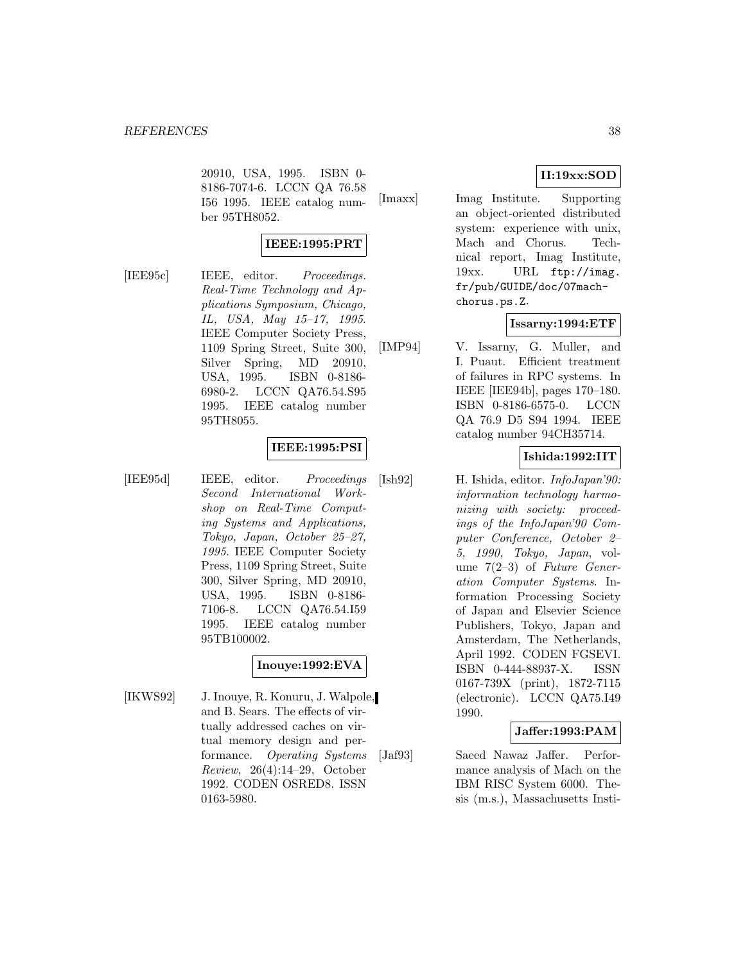20910, USA, 1995. ISBN 0- 8186-7074-6. LCCN QA 76.58 I56 1995. IEEE catalog number 95TH8052.

# **IEEE:1995:PRT**

[IEE95c] IEEE, editor. *Proceedings.* Real-Time Technology and Applications Symposium, Chicago, IL, USA, May 15–17, 1995. IEEE Computer Society Press, 1109 Spring Street, Suite 300, Silver Spring, MD 20910, USA, 1995. ISBN 0-8186- 6980-2. LCCN QA76.54.S95 1995. IEEE catalog number 95TH8055.

# **IEEE:1995:PSI**

[IEE95d] IEEE, editor. Proceedings Second International Workshop on Real-Time Computing Systems and Applications, Tokyo, Japan, October 25–27, 1995. IEEE Computer Society Press, 1109 Spring Street, Suite 300, Silver Spring, MD 20910, USA, 1995. ISBN 0-8186- 7106-8. LCCN QA76.54.I59 1995. IEEE catalog number 95TB100002.

# **Inouye:1992:EVA**

[IKWS92] J. Inouye, R. Konuru, J. Walpole, and B. Sears. The effects of virtually addressed caches on virtual memory design and performance. Operating Systems Review, 26(4):14–29, October 1992. CODEN OSRED8. ISSN 0163-5980.

# **II:19xx:SOD**

[Imaxx] Imag Institute. Supporting an object-oriented distributed system: experience with unix, Mach and Chorus. Technical report, Imag Institute, 19xx. URL ftp://imag. fr/pub/GUIDE/doc/07machchorus.ps.Z.

# **Issarny:1994:ETF**

[IMP94] V. Issarny, G. Muller, and I. Puaut. Efficient treatment of failures in RPC systems. In IEEE [IEE94b], pages 170–180. ISBN 0-8186-6575-0. LCCN QA 76.9 D5 S94 1994. IEEE catalog number 94CH35714.

# **Ishida:1992:IIT**

[Ish92] H. Ishida, editor. InfoJapan'90: information technology harmonizing with society: proceedings of the InfoJapan'90 Computer Conference, October 2– 5, 1990, Tokyo, Japan, volume  $7(2-3)$  of Future Generation Computer Systems. Information Processing Society of Japan and Elsevier Science Publishers, Tokyo, Japan and Amsterdam, The Netherlands, April 1992. CODEN FGSEVI. ISBN 0-444-88937-X. ISSN 0167-739X (print), 1872-7115 (electronic). LCCN QA75.I49 1990.

## **Jaffer:1993:PAM**

[Jaf93] Saeed Nawaz Jaffer. Performance analysis of Mach on the IBM RISC System 6000. Thesis (m.s.), Massachusetts Insti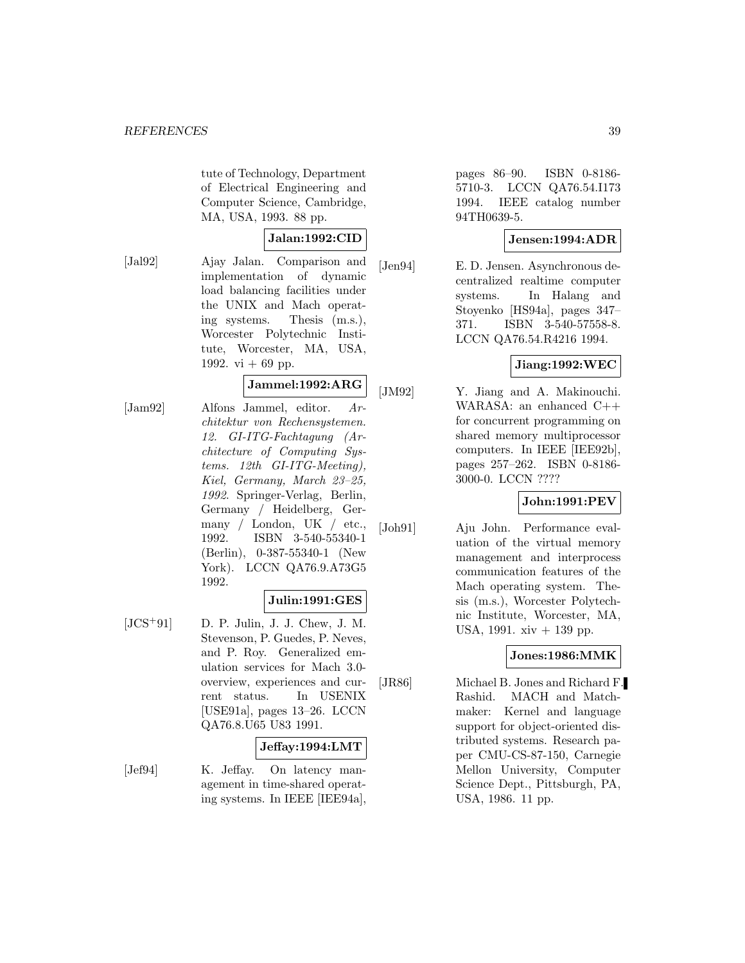tute of Technology, Department of Electrical Engineering and Computer Science, Cambridge, MA, USA, 1993. 88 pp.

## **Jalan:1992:CID**

[Jal92] Ajay Jalan. Comparison and implementation of dynamic load balancing facilities under the UNIX and Mach operating systems. Thesis (m.s.), Worcester Polytechnic Institute, Worcester, MA, USA, 1992. vi  $+ 69$  pp.

# **Jammel:1992:ARG**

[Jam92] Alfons Jammel, editor. Architektur von Rechensystemen. 12. GI-ITG-Fachtagung (Architecture of Computing Systems. 12th GI-ITG-Meeting), Kiel, Germany, March 23–25, 1992. Springer-Verlag, Berlin, Germany / Heidelberg, Germany / London, UK / etc., 1992. ISBN 3-540-55340-1 (Berlin), 0-387-55340-1 (New York). LCCN QA76.9.A73G5 1992.

#### **Julin:1991:GES**

 $[JCS<sup>+</sup>91]$  D. P. Julin, J. J. Chew, J. M. Stevenson, P. Guedes, P. Neves, and P. Roy. Generalized emulation services for Mach 3.0 overview, experiences and current status. In USENIX [USE91a], pages 13–26. LCCN QA76.8.U65 U83 1991.

#### **Jeffay:1994:LMT**

[Jef94] K. Jeffay. On latency management in time-shared operating systems. In IEEE [IEE94a],

pages 86–90. ISBN 0-8186- 5710-3. LCCN QA76.54.I173 1994. IEEE catalog number 94TH0639-5.

# **Jensen:1994:ADR**

[Jen94] E. D. Jensen. Asynchronous decentralized realtime computer systems. In Halang and Stoyenko [HS94a], pages 347– 371. ISBN 3-540-57558-8. LCCN QA76.54.R4216 1994.

# **Jiang:1992:WEC**

[JM92] Y. Jiang and A. Makinouchi. WARASA: an enhanced C++ for concurrent programming on shared memory multiprocessor computers. In IEEE [IEE92b], pages 257–262. ISBN 0-8186- 3000-0. LCCN ????

# **John:1991:PEV**

[Joh91] Aju John. Performance evaluation of the virtual memory management and interprocess communication features of the Mach operating system. Thesis (m.s.), Worcester Polytechnic Institute, Worcester, MA, USA, 1991. xiv + 139 pp.

# **Jones:1986:MMK**

[JR86] Michael B. Jones and Richard F. Rashid. MACH and Matchmaker: Kernel and language support for object-oriented distributed systems. Research paper CMU-CS-87-150, Carnegie Mellon University, Computer Science Dept., Pittsburgh, PA, USA, 1986. 11 pp.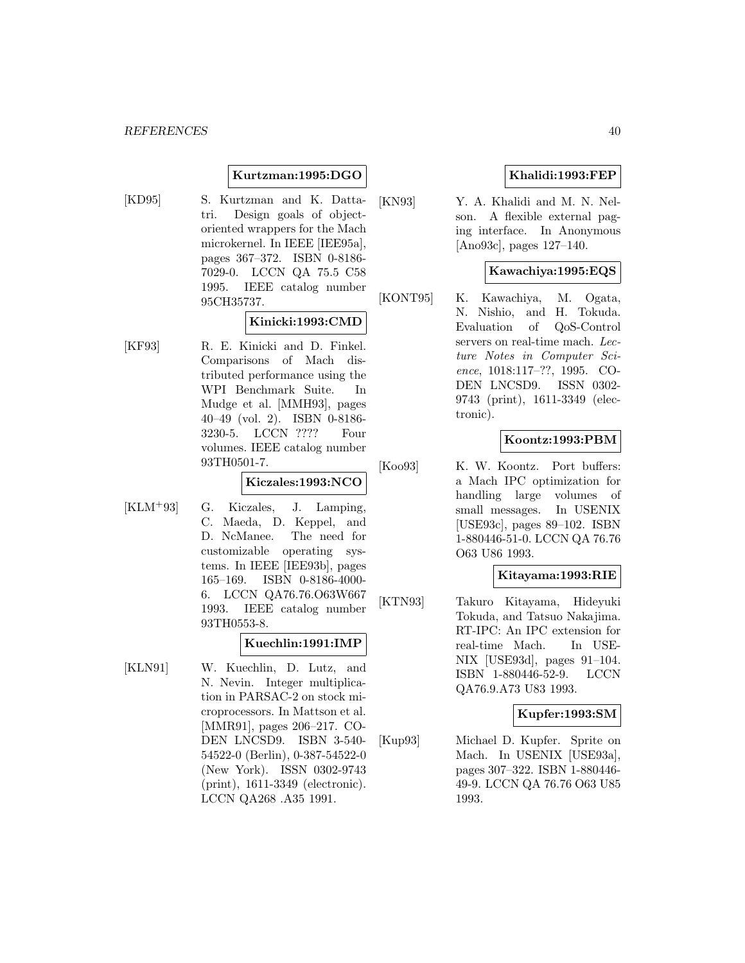# **Kurtzman:1995:DGO**

[KD95] S. Kurtzman and K. Dattatri. Design goals of objectoriented wrappers for the Mach microkernel. In IEEE [IEE95a], pages 367–372. ISBN 0-8186- 7029-0. LCCN QA 75.5 C58 1995. IEEE catalog number 95CH35737.

#### **Kinicki:1993:CMD**

[KF93] R. E. Kinicki and D. Finkel. Comparisons of Mach distributed performance using the WPI Benchmark Suite. In Mudge et al. [MMH93], pages 40–49 (vol. 2). ISBN 0-8186- 3230-5. LCCN ???? Four volumes. IEEE catalog number 93TH0501-7.

#### **Kiczales:1993:NCO**

[KLM<sup>+</sup>93] G. Kiczales, J. Lamping, C. Maeda, D. Keppel, and D. NcManee. The need for customizable operating systems. In IEEE [IEE93b], pages 165–169. ISBN 0-8186-4000- 6. LCCN QA76.76.O63W667 1993. IEEE catalog number 93TH0553-8.

#### **Kuechlin:1991:IMP**

[KLN91] W. Kuechlin, D. Lutz, and N. Nevin. Integer multiplication in PARSAC-2 on stock microprocessors. In Mattson et al. [MMR91], pages 206–217. CO-DEN LNCSD9. ISBN 3-540- 54522-0 (Berlin), 0-387-54522-0 (New York). ISSN 0302-9743 (print), 1611-3349 (electronic). LCCN QA268 .A35 1991.

# **Khalidi:1993:FEP**

[KN93] Y. A. Khalidi and M. N. Nelson. A flexible external paging interface. In Anonymous [Ano93c], pages 127–140.

#### **Kawachiya:1995:EQS**

[KONT95] K. Kawachiya, M. Ogata, N. Nishio, and H. Tokuda. Evaluation of QoS-Control servers on real-time mach. Lecture Notes in Computer Science, 1018:117–??, 1995. CO-DEN LNCSD9. ISSN 0302- 9743 (print), 1611-3349 (electronic).

# **Koontz:1993:PBM**

[Koo93] K. W. Koontz. Port buffers: a Mach IPC optimization for handling large volumes of small messages. In USENIX [USE93c], pages 89–102. ISBN 1-880446-51-0. LCCN QA 76.76 O63 U86 1993.

#### **Kitayama:1993:RIE**

[KTN93] Takuro Kitayama, Hideyuki Tokuda, and Tatsuo Nakajima. RT-IPC: An IPC extension for real-time Mach. In USE-NIX [USE93d], pages 91–104. ISBN 1-880446-52-9. LCCN QA76.9.A73 U83 1993.

#### **Kupfer:1993:SM**

[Kup93] Michael D. Kupfer. Sprite on Mach. In USENIX [USE93a], pages 307–322. ISBN 1-880446- 49-9. LCCN QA 76.76 O63 U85 1993.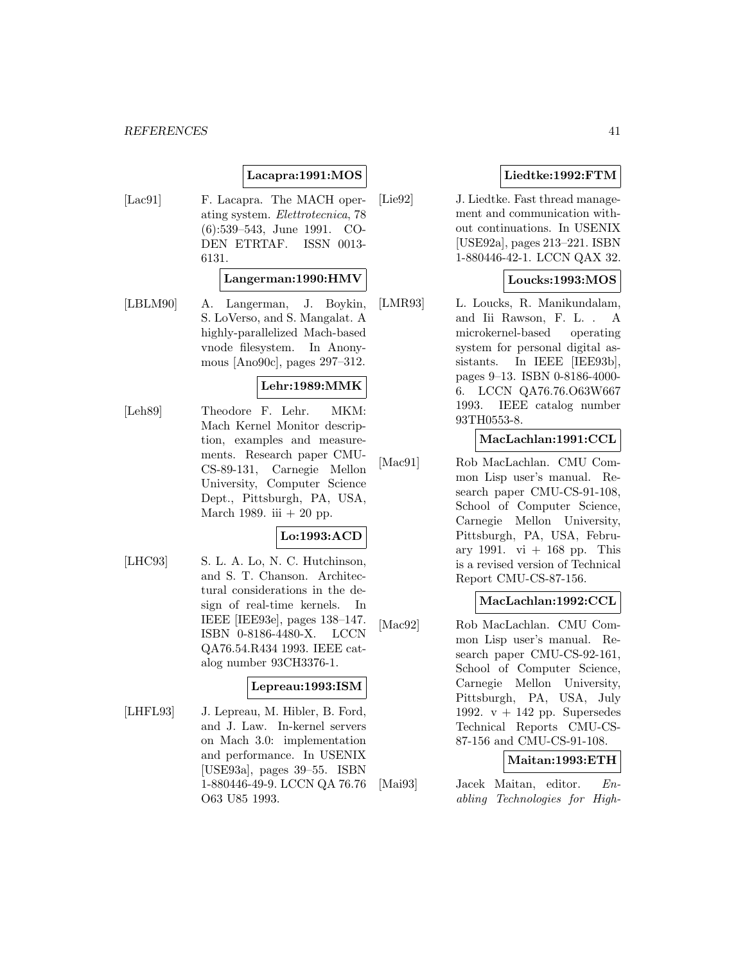# **Lacapra:1991:MOS**

[Lac91] F. Lacapra. The MACH operating system. Elettrotecnica, 78 (6):539–543, June 1991. CO-DEN ETRTAF. ISSN 0013- 6131.

### **Langerman:1990:HMV**

[LBLM90] A. Langerman, J. Boykin, S. LoVerso, and S. Mangalat. A highly-parallelized Mach-based vnode filesystem. In Anonymous [Ano90c], pages 297–312.

# **Lehr:1989:MMK**

[Leh89] Theodore F. Lehr. MKM: Mach Kernel Monitor description, examples and measurements. Research paper CMU-CS-89-131, Carnegie Mellon University, Computer Science Dept., Pittsburgh, PA, USA, March 1989. iii  $+20$  pp.

# **Lo:1993:ACD**

[LHC93] S. L. A. Lo, N. C. Hutchinson, and S. T. Chanson. Architectural considerations in the design of real-time kernels. In IEEE [IEE93e], pages 138–147. ISBN 0-8186-4480-X. LCCN QA76.54.R434 1993. IEEE catalog number 93CH3376-1.

#### **Lepreau:1993:ISM**

[LHFL93] J. Lepreau, M. Hibler, B. Ford, and J. Law. In-kernel servers on Mach 3.0: implementation and performance. In USENIX [USE93a], pages 39–55. ISBN 1-880446-49-9. LCCN QA 76.76 O63 U85 1993.

# **Liedtke:1992:FTM**

[Lie92] J. Liedtke. Fast thread management and communication without continuations. In USENIX [USE92a], pages 213–221. ISBN 1-880446-42-1. LCCN QAX 32.

# **Loucks:1993:MOS**

[LMR93] L. Loucks, R. Manikundalam, and Iii Rawson, F. L. . A microkernel-based operating system for personal digital assistants. In IEEE [IEE93b], pages 9–13. ISBN 0-8186-4000- 6. LCCN QA76.76.O63W667 1993. IEEE catalog number 93TH0553-8.

#### **MacLachlan:1991:CCL**

[Mac91] Rob MacLachlan. CMU Common Lisp user's manual. Research paper CMU-CS-91-108, School of Computer Science, Carnegie Mellon University, Pittsburgh, PA, USA, February 1991. vi  $+$  168 pp. This is a revised version of Technical Report CMU-CS-87-156.

## **MacLachlan:1992:CCL**

[Mac92] Rob MacLachlan. CMU Common Lisp user's manual. Research paper CMU-CS-92-161, School of Computer Science, Carnegie Mellon University, Pittsburgh, PA, USA, July 1992.  $v + 142$  pp. Supersedes Technical Reports CMU-CS-87-156 and CMU-CS-91-108.

# **Maitan:1993:ETH**

[Mai93] Jacek Maitan, editor. Enabling Technologies for High-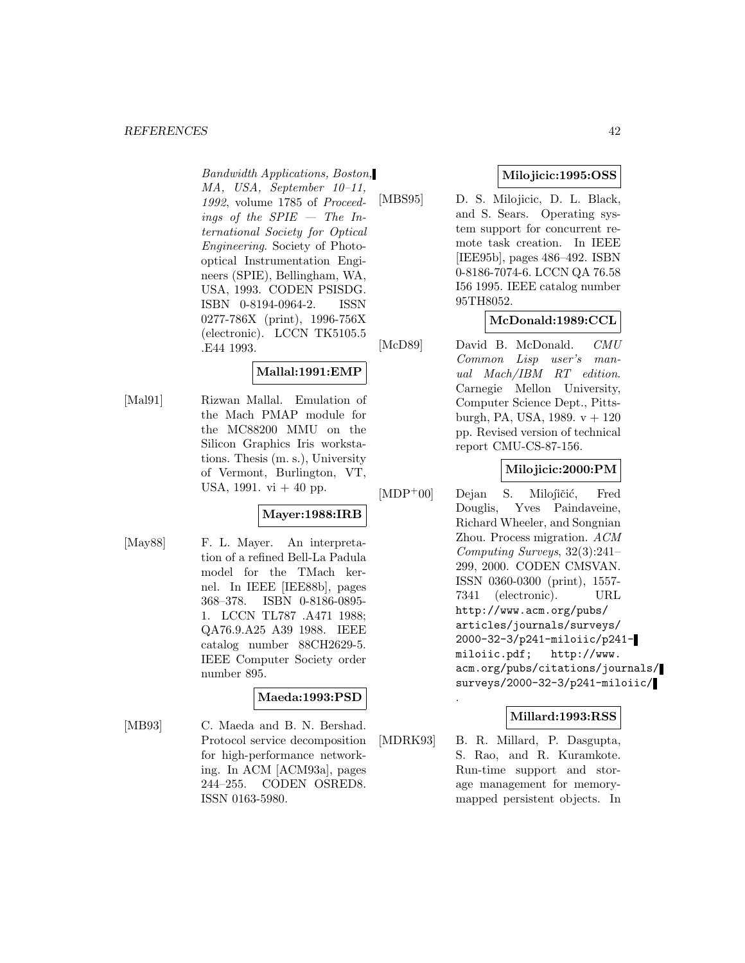#### *REFERENCES* 42

Bandwidth Applications, Boston, MA, USA, September 10–11, 1992, volume 1785 of Proceedings of the  $SPIE$  – The International Society for Optical Engineering. Society of Photooptical Instrumentation Engineers (SPIE), Bellingham, WA, USA, 1993. CODEN PSISDG. ISBN 0-8194-0964-2. ISSN 0277-786X (print), 1996-756X (electronic). LCCN TK5105.5 .E44 1993.

# **Mallal:1991:EMP**

[Mal91] Rizwan Mallal. Emulation of the Mach PMAP module for the MC88200 MMU on the Silicon Graphics Iris workstations. Thesis (m. s.), University of Vermont, Burlington, VT, USA,  $1991. vi + 40$  pp.

# **Mayer:1988:IRB**

[May88] F. L. Mayer. An interpretation of a refined Bell-La Padula model for the TMach kernel. In IEEE [IEE88b], pages 368–378. ISBN 0-8186-0895- 1. LCCN TL787 .A471 1988; QA76.9.A25 A39 1988. IEEE catalog number 88CH2629-5. IEEE Computer Society order number 895.

# **Maeda:1993:PSD**

[MB93] C. Maeda and B. N. Bershad. Protocol service decomposition for high-performance networking. In ACM [ACM93a], pages 244–255. CODEN OSRED8. ISSN 0163-5980.

# **Milojicic:1995:OSS**

[MBS95] D. S. Milojicic, D. L. Black, and S. Sears. Operating system support for concurrent remote task creation. In IEEE [IEE95b], pages 486–492. ISBN 0-8186-7074-6. LCCN QA 76.58 I56 1995. IEEE catalog number 95TH8052.

# **McDonald:1989:CCL**

[McD89] David B. McDonald. CMU Common Lisp user's manual Mach/IBM RT edition. Carnegie Mellon University, Computer Science Dept., Pittsburgh, PA, USA, 1989.  $v + 120$ pp. Revised version of technical report CMU-CS-87-156.

# **Milojicic:2000:PM**

 $[MDP<sup>+</sup>00]$  Dejan S. Milojičić, Fred Douglis, Yves Paindaveine, Richard Wheeler, and Songnian Zhou. Process migration. ACM Computing Surveys, 32(3):241– 299, 2000. CODEN CMSVAN. ISSN 0360-0300 (print), 1557- 7341 (electronic). URL http://www.acm.org/pubs/ articles/journals/surveys/ 2000-32-3/p241-miloiic/p241 miloiic.pdf; http://www. acm.org/pubs/citations/journals/ surveys/2000-32-3/p241-miloiic/

# **Millard:1993:RSS**

[MDRK93] B. R. Millard, P. Dasgupta, S. Rao, and R. Kuramkote. Run-time support and storage management for memorymapped persistent objects. In

.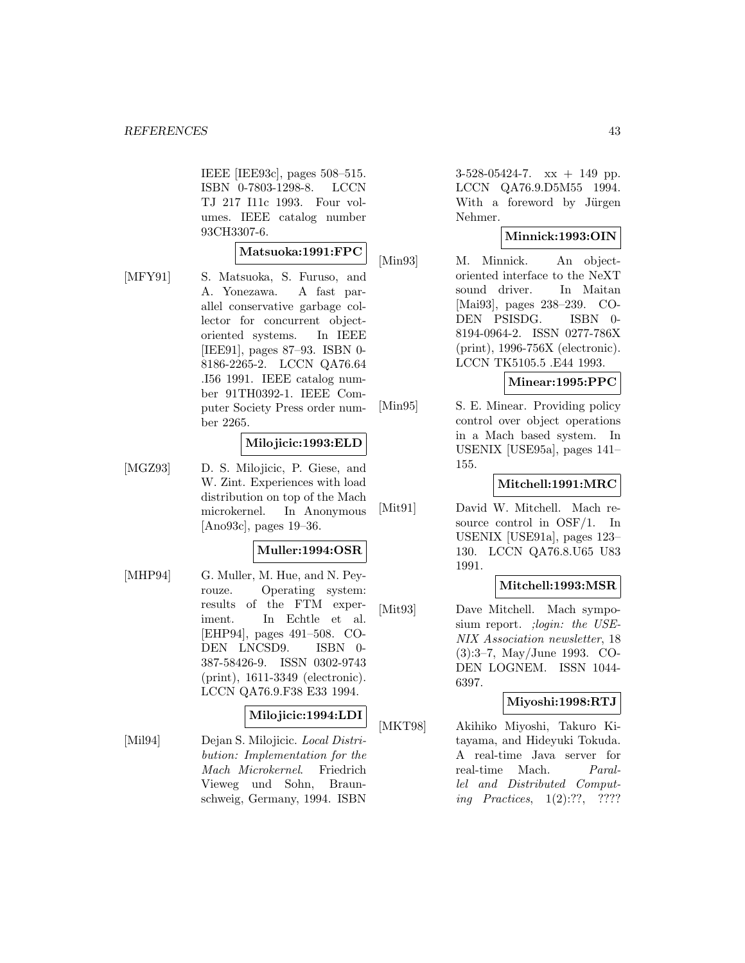IEEE [IEE93c], pages 508–515. ISBN 0-7803-1298-8. LCCN TJ 217 I11c 1993. Four volumes. IEEE catalog number 93CH3307-6.

#### **Matsuoka:1991:FPC**

[MFY91] S. Matsuoka, S. Furuso, and A. Yonezawa. A fast parallel conservative garbage collector for concurrent objectoriented systems. In IEEE [IEE91], pages 87–93. ISBN 0- 8186-2265-2. LCCN QA76.64 .I56 1991. IEEE catalog number 91TH0392-1. IEEE Computer Society Press order number 2265.

#### **Milojicic:1993:ELD**

[MGZ93] D. S. Milojicic, P. Giese, and W. Zint. Experiences with load distribution on top of the Mach microkernel. In Anonymous [Ano93c], pages 19–36.

#### **Muller:1994:OSR**

[MHP94] G. Muller, M. Hue, and N. Peyrouze. Operating system: results of the FTM experiment. In Echtle et al. [EHP94], pages 491–508. CO-DEN LNCSD9. ISBN 0- 387-58426-9. ISSN 0302-9743 (print), 1611-3349 (electronic). LCCN QA76.9.F38 E33 1994.

#### **Milojicic:1994:LDI**

[Mil94] Dejan S. Milojicic. Local Distribution: Implementation for the Mach Microkernel. Friedrich Vieweg und Sohn, Braunschweig, Germany, 1994. ISBN

3-528-05424-7. xx + 149 pp. LCCN QA76.9.D5M55 1994. With a foreword by Jürgen Nehmer.

## **Minnick:1993:OIN**

[Min93] M. Minnick. An objectoriented interface to the NeXT sound driver. In Maitan [Mai93], pages 238–239. CO-DEN PSISDG. ISBN 0- 8194-0964-2. ISSN 0277-786X (print), 1996-756X (electronic). LCCN TK5105.5 .E44 1993.

## **Minear:1995:PPC**

[Min95] S. E. Minear. Providing policy control over object operations in a Mach based system. In USENIX [USE95a], pages 141– 155.

## **Mitchell:1991:MRC**

[Mit91] David W. Mitchell. Mach resource control in OSF/1. In USENIX [USE91a], pages 123– 130. LCCN QA76.8.U65 U83 1991.

#### **Mitchell:1993:MSR**

[Mit93] Dave Mitchell. Mach symposium report. ; login: the USE-NIX Association newsletter, 18 (3):3–7, May/June 1993. CO-DEN LOGNEM. ISSN 1044- 6397.

#### **Miyoshi:1998:RTJ**

[MKT98] Akihiko Miyoshi, Takuro Kitayama, and Hideyuki Tokuda. A real-time Java server for real-time Mach. Parallel and Distributed Computing Practices, 1(2):??, ????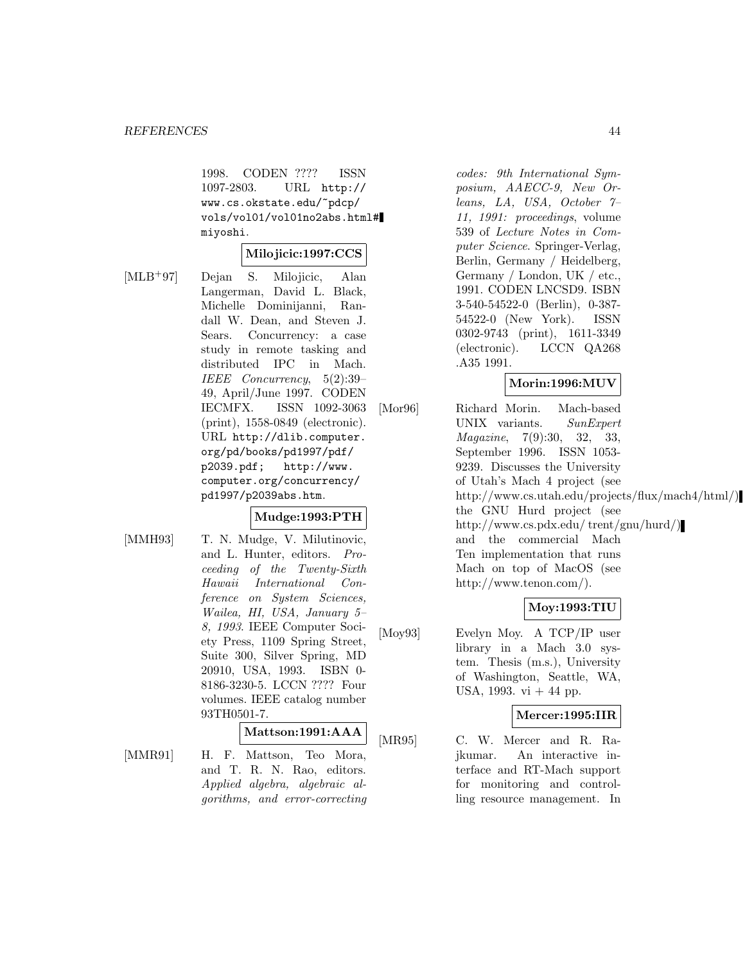1998. CODEN ???? ISSN 1097-2803. URL http:// www.cs.okstate.edu/~pdcp/ vols/vol01/vol01no2abs.html# miyoshi.

#### **Milojicic:1997:CCS**

[MLB<sup>+</sup>97] Dejan S. Milojicic, Alan Langerman, David L. Black, Michelle Dominijanni, Randall W. Dean, and Steven J. Sears. Concurrency: a case study in remote tasking and distributed IPC in Mach. IEEE Concurrency, 5(2):39– 49, April/June 1997. CODEN IECMFX. ISSN 1092-3063 (print), 1558-0849 (electronic). URL http://dlib.computer. org/pd/books/pd1997/pdf/ p2039.pdf; http://www. computer.org/concurrency/ pd1997/p2039abs.htm.

#### **Mudge:1993:PTH**

[MMH93] T. N. Mudge, V. Milutinovic, and L. Hunter, editors. Proceeding of the Twenty-Sixth Hawaii International Conference on System Sciences, Wailea, HI, USA, January 5– 8, 1993. IEEE Computer Society Press, 1109 Spring Street, Suite 300, Silver Spring, MD 20910, USA, 1993. ISBN 0- 8186-3230-5. LCCN ???? Four volumes. IEEE catalog number 93TH0501-7.

#### **Mattson:1991:AAA**

[MMR91] H. F. Mattson, Teo Mora, and T. R. N. Rao, editors. Applied algebra, algebraic algorithms, and error-correcting

codes: 9th International Symposium, AAECC-9, New Orleans, LA, USA, October 7– 11, 1991: proceedings, volume 539 of Lecture Notes in Computer Science. Springer-Verlag, Berlin, Germany / Heidelberg, Germany / London, UK / etc., 1991. CODEN LNCSD9. ISBN 3-540-54522-0 (Berlin), 0-387- 54522-0 (New York). ISSN 0302-9743 (print), 1611-3349 (electronic). LCCN QA268 .A35 1991.

# **Morin:1996:MUV**

[Mor96] Richard Morin. Mach-based UNIX variants. SunExpert Magazine, 7(9):30, 32, 33, September 1996. ISSN 1053- 9239. Discusses the University of Utah's Mach 4 project (see http://www.cs.utah.edu/projects/flux/mach4/html/) the GNU Hurd project (see http://www.cs.pdx.edu/ trent/gnu/hurd/) and the commercial Mach Ten implementation that runs Mach on top of MacOS (see http://www.tenon.com/).

# **Moy:1993:TIU**

[Moy93] Evelyn Moy. A TCP/IP user library in a Mach 3.0 system. Thesis (m.s.), University of Washington, Seattle, WA, USA, 1993. vi  $+44$  pp.

#### **Mercer:1995:IIR**

[MR95] C. W. Mercer and R. Rajkumar. An interactive interface and RT-Mach support for monitoring and controlling resource management. In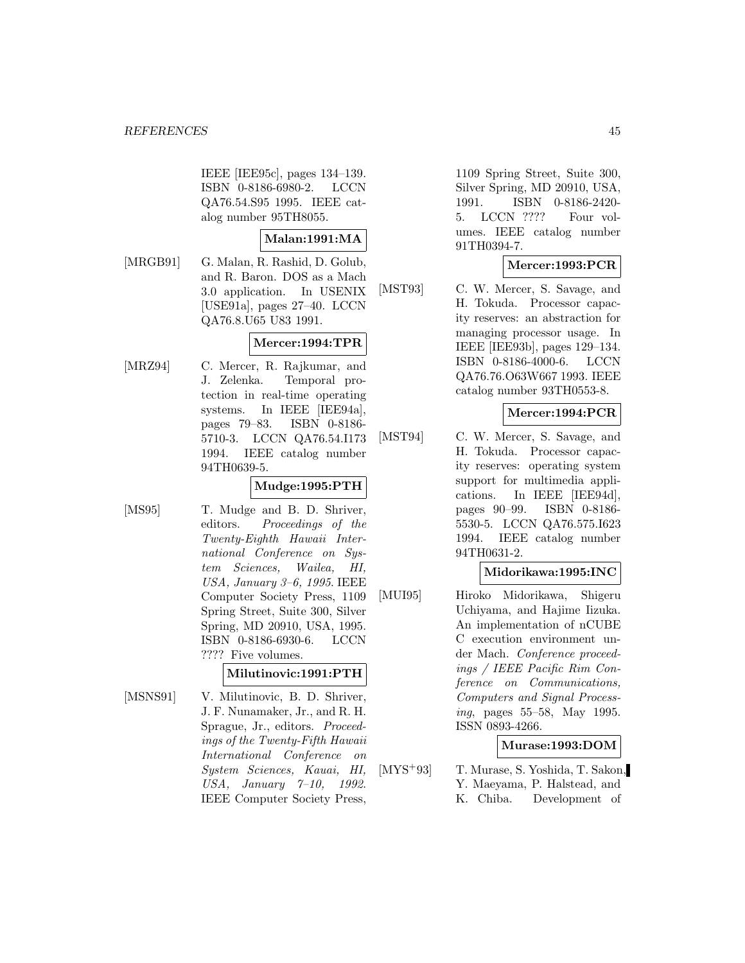IEEE [IEE95c], pages 134–139. ISBN 0-8186-6980-2. LCCN QA76.54.S95 1995. IEEE catalog number 95TH8055.

#### **Malan:1991:MA**

[MRGB91] G. Malan, R. Rashid, D. Golub, and R. Baron. DOS as a Mach 3.0 application. In USENIX [USE91a], pages 27–40. LCCN QA76.8.U65 U83 1991.

# **Mercer:1994:TPR**

[MRZ94] C. Mercer, R. Rajkumar, and J. Zelenka. Temporal protection in real-time operating systems. In IEEE [IEE94a], pages 79–83. ISBN 0-8186- 5710-3. LCCN QA76.54.I173 1994. IEEE catalog number 94TH0639-5.

# **Mudge:1995:PTH**

[MS95] T. Mudge and B. D. Shriver, editors. Proceedings of the Twenty-Eighth Hawaii International Conference on System Sciences, Wailea, HI, USA, January 3–6, 1995. IEEE Computer Society Press, 1109 Spring Street, Suite 300, Silver Spring, MD 20910, USA, 1995. ISBN 0-8186-6930-6. LCCN ???? Five volumes.

# **Milutinovic:1991:PTH**

[MSNS91] V. Milutinovic, B. D. Shriver, J. F. Nunamaker, Jr., and R. H. Sprague, Jr., editors. Proceedings of the Twenty-Fifth Hawaii International Conference on System Sciences, Kauai, HI, USA, January 7–10, 1992. IEEE Computer Society Press,

1109 Spring Street, Suite 300, Silver Spring, MD 20910, USA, 1991. ISBN 0-8186-2420- 5. LCCN ???? Four volumes. IEEE catalog number 91TH0394-7.

# **Mercer:1993:PCR**

[MST93] C. W. Mercer, S. Savage, and H. Tokuda. Processor capacity reserves: an abstraction for managing processor usage. In IEEE [IEE93b], pages 129–134. ISBN 0-8186-4000-6. LCCN QA76.76.O63W667 1993. IEEE catalog number 93TH0553-8.

#### **Mercer:1994:PCR**

[MST94] C. W. Mercer, S. Savage, and H. Tokuda. Processor capacity reserves: operating system support for multimedia applications. In IEEE [IEE94d], pages 90–99. ISBN 0-8186- 5530-5. LCCN QA76.575.I623 1994. IEEE catalog number 94TH0631-2.

#### **Midorikawa:1995:INC**

[MUI95] Hiroko Midorikawa, Shigeru Uchiyama, and Hajime Iizuka. An implementation of nCUBE C execution environment under Mach. Conference proceedings / IEEE Pacific Rim Conference on Communications, Computers and Signal Processing, pages 55–58, May 1995. ISSN 0893-4266.

# **Murase:1993:DOM**

[MYS<sup>+</sup>93] T. Murase, S. Yoshida, T. Sakon, Y. Maeyama, P. Halstead, and K. Chiba. Development of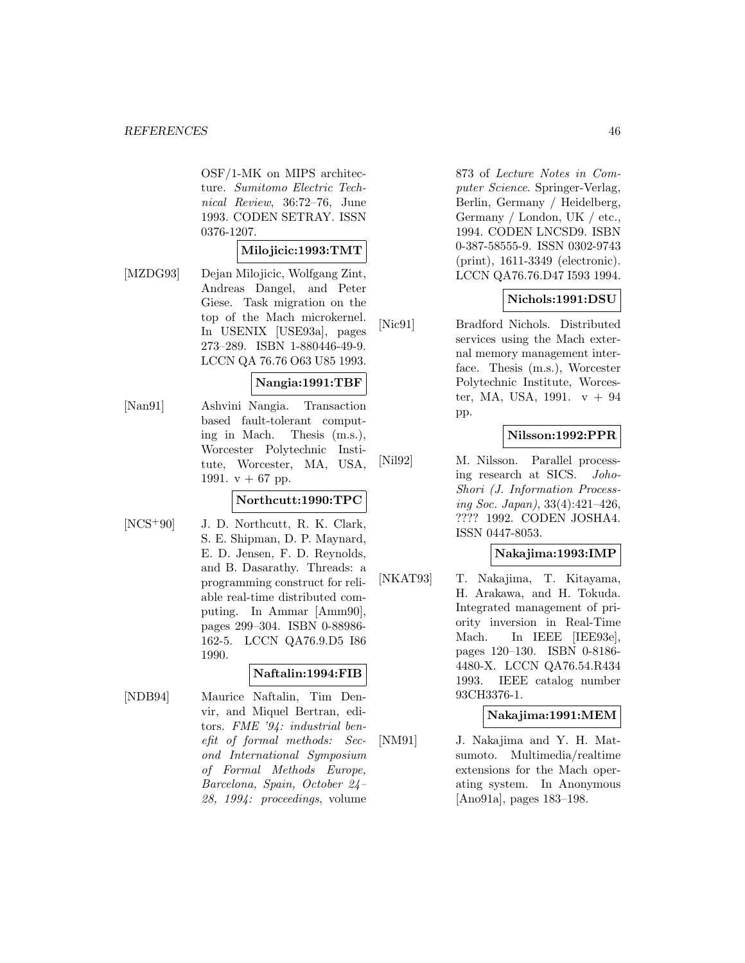OSF/1-MK on MIPS architecture. Sumitomo Electric Technical Review, 36:72–76, June 1993. CODEN SETRAY. ISSN 0376-1207.

#### **Milojicic:1993:TMT**

[MZDG93] Dejan Milojicic, Wolfgang Zint, Andreas Dangel, and Peter Giese. Task migration on the top of the Mach microkernel. In USENIX [USE93a], pages 273–289. ISBN 1-880446-49-9. LCCN QA 76.76 O63 U85 1993.

#### **Nangia:1991:TBF**

[Nan91] Ashvini Nangia. Transaction based fault-tolerant computing in Mach. Thesis (m.s.), Worcester Polytechnic Institute, Worcester, MA, USA, 1991.  $v + 67$  pp.

# **Northcutt:1990:TPC**

[NCS<sup>+</sup>90] J. D. Northcutt, R. K. Clark, S. E. Shipman, D. P. Maynard, E. D. Jensen, F. D. Reynolds, and B. Dasarathy. Threads: a programming construct for reliable real-time distributed computing. In Ammar [Amm90], pages 299–304. ISBN 0-88986- 162-5. LCCN QA76.9.D5 I86 1990.

# **Naftalin:1994:FIB**

[NDB94] Maurice Naftalin, Tim Denvir, and Miquel Bertran, editors. FME '94: industrial benefit of formal methods: Second International Symposium of Formal Methods Europe, Barcelona, Spain, October 24– 28, 1994: proceedings, volume

873 of Lecture Notes in Computer Science. Springer-Verlag, Berlin, Germany / Heidelberg, Germany / London, UK / etc., 1994. CODEN LNCSD9. ISBN 0-387-58555-9. ISSN 0302-9743 (print), 1611-3349 (electronic). LCCN QA76.76.D47 I593 1994.

# **Nichols:1991:DSU**

[Nic91] Bradford Nichols. Distributed services using the Mach external memory management interface. Thesis (m.s.), Worcester Polytechnic Institute, Worcester, MA, USA, 1991.  $v + 94$ pp.

# **Nilsson:1992:PPR**

[Nil92] M. Nilsson. Parallel processing research at SICS. Joho-Shori (J. Information Processing Soc. Japan), 33(4):421–426, ???? 1992. CODEN JOSHA4. ISSN 0447-8053.

#### **Nakajima:1993:IMP**

[NKAT93] T. Nakajima, T. Kitayama, H. Arakawa, and H. Tokuda. Integrated management of priority inversion in Real-Time Mach. In IEEE [IEE93e], pages 120–130. ISBN 0-8186- 4480-X. LCCN QA76.54.R434 1993. IEEE catalog number 93CH3376-1.

#### **Nakajima:1991:MEM**

[NM91] J. Nakajima and Y. H. Matsumoto. Multimedia/realtime extensions for the Mach operating system. In Anonymous [Ano91a], pages 183–198.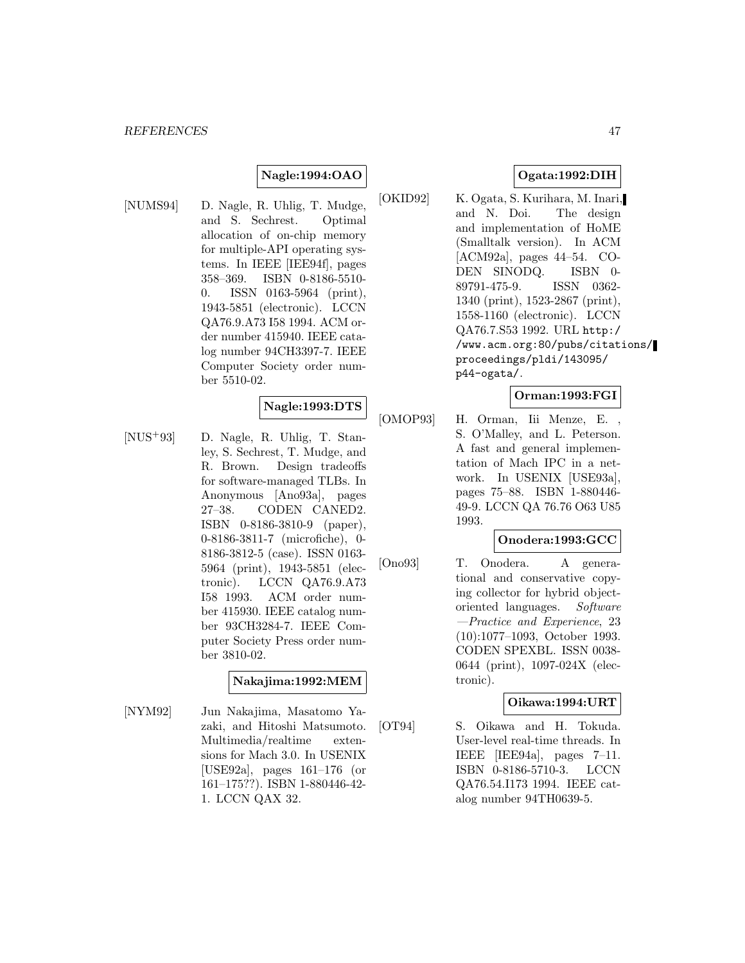# **Nagle:1994:OAO**

[NUMS94] D. Nagle, R. Uhlig, T. Mudge, and S. Sechrest. Optimal allocation of on-chip memory for multiple-API operating systems. In IEEE [IEE94f], pages 358–369. ISBN 0-8186-5510- 0. ISSN 0163-5964 (print), 1943-5851 (electronic). LCCN QA76.9.A73 I58 1994. ACM order number 415940. IEEE catalog number 94CH3397-7. IEEE Computer Society order number 5510-02.

#### **Nagle:1993:DTS**

[NUS<sup>+</sup>93] D. Nagle, R. Uhlig, T. Stanley, S. Sechrest, T. Mudge, and R. Brown. Design tradeoffs for software-managed TLBs. In Anonymous [Ano93a], pages 27–38. CODEN CANED2. ISBN 0-8186-3810-9 (paper), 0-8186-3811-7 (microfiche), 0- 8186-3812-5 (case). ISSN 0163- 5964 (print), 1943-5851 (electronic). LCCN QA76.9.A73 I58 1993. ACM order number 415930. IEEE catalog number 93CH3284-7. IEEE Computer Society Press order number 3810-02.

#### **Nakajima:1992:MEM**

[NYM92] Jun Nakajima, Masatomo Yazaki, and Hitoshi Matsumoto. Multimedia/realtime extensions for Mach 3.0. In USENIX [USE92a], pages 161–176 (or 161–175??). ISBN 1-880446-42- 1. LCCN QAX 32.

# **Ogata:1992:DIH**

[OKID92] K. Ogata, S. Kurihara, M. Inari, and N. Doi. The design and implementation of HoME (Smalltalk version). In ACM [ACM92a], pages 44–54. CO-DEN SINODQ. ISBN 0- 89791-475-9. ISSN 0362- 1340 (print), 1523-2867 (print), 1558-1160 (electronic). LCCN QA76.7.S53 1992. URL http:/ /www.acm.org:80/pubs/citations/ proceedings/pldi/143095/ p44-ogata/.

#### **Orman:1993:FGI**

[OMOP93] H. Orman, Iii Menze, E. , S. O'Malley, and L. Peterson. A fast and general implementation of Mach IPC in a network. In USENIX [USE93a], pages 75–88. ISBN 1-880446- 49-9. LCCN QA 76.76 O63 U85 1993.

#### **Onodera:1993:GCC**

[Ono93] T. Onodera. A generational and conservative copying collector for hybrid objectoriented languages. Software —Practice and Experience, 23 (10):1077–1093, October 1993. CODEN SPEXBL. ISSN 0038- 0644 (print), 1097-024X (electronic).

#### **Oikawa:1994:URT**

[OT94] S. Oikawa and H. Tokuda. User-level real-time threads. In IEEE [IEE94a], pages 7–11. ISBN 0-8186-5710-3. LCCN QA76.54.I173 1994. IEEE catalog number 94TH0639-5.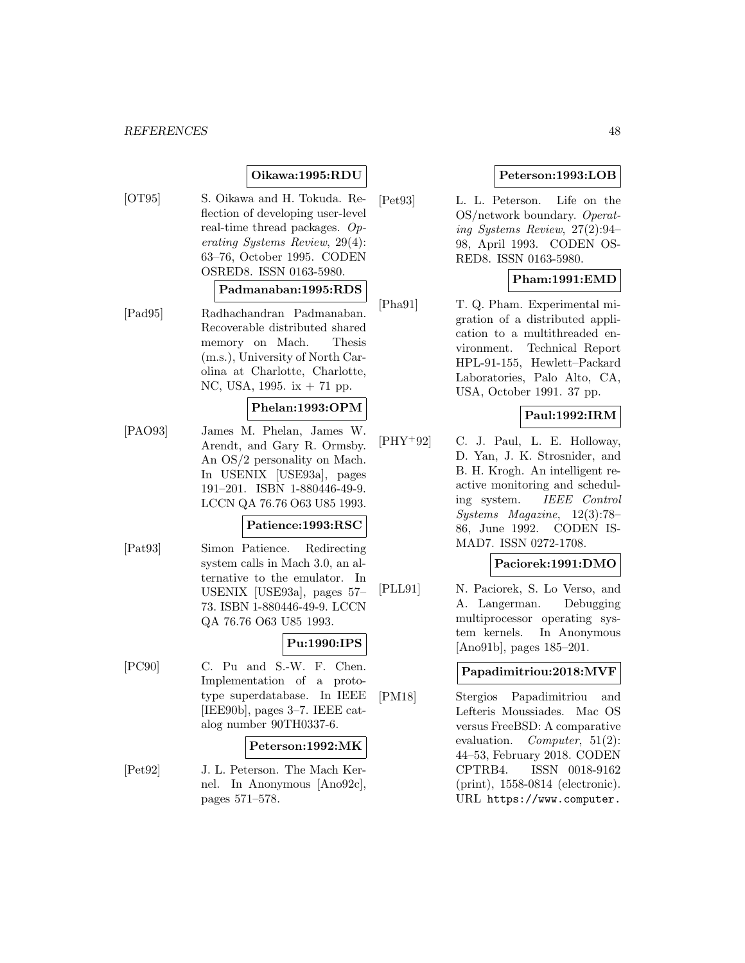## **Oikawa:1995:RDU**

[OT95] S. Oikawa and H. Tokuda. Reflection of developing user-level real-time thread packages. Operating Systems Review, 29(4): 63–76, October 1995. CODEN OSRED8. ISSN 0163-5980.

#### **Padmanaban:1995:RDS**

[Pad95] Radhachandran Padmanaban. Recoverable distributed shared memory on Mach. Thesis (m.s.), University of North Carolina at Charlotte, Charlotte, NC, USA, 1995. ix + 71 pp.

# **Phelan:1993:OPM**

[PAO93] James M. Phelan, James W. Arendt, and Gary R. Ormsby. An OS/2 personality on Mach. In USENIX [USE93a], pages 191–201. ISBN 1-880446-49-9. LCCN QA 76.76 O63 U85 1993.

#### **Patience:1993:RSC**

[Pat93] Simon Patience. Redirecting system calls in Mach 3.0, an alternative to the emulator. In USENIX [USE93a], pages 57– 73. ISBN 1-880446-49-9. LCCN QA 76.76 O63 U85 1993.

#### **Pu:1990:IPS**

[PC90] C. Pu and S.-W. F. Chen. Implementation of a prototype superdatabase. In IEEE [IEE90b], pages 3–7. IEEE catalog number 90TH0337-6.

#### **Peterson:1992:MK**

[Pet92] J. L. Peterson. The Mach Kernel. In Anonymous [Ano92c], pages 571–578.

#### **Peterson:1993:LOB**

[Pet93] L. L. Peterson. Life on the OS/network boundary. Operating Systems Review, 27(2):94– 98, April 1993. CODEN OS-RED8. ISSN 0163-5980.

# **Pham:1991:EMD**

[Pha91] T. Q. Pham. Experimental migration of a distributed application to a multithreaded environment. Technical Report HPL-91-155, Hewlett–Packard Laboratories, Palo Alto, CA, USA, October 1991. 37 pp.

# **Paul:1992:IRM**

 $[PHY+92]$  C. J. Paul, L. E. Holloway, D. Yan, J. K. Strosnider, and B. H. Krogh. An intelligent reactive monitoring and scheduling system. IEEE Control Systems Magazine, 12(3):78– 86, June 1992. CODEN IS-MAD7. ISSN 0272-1708.

#### **Paciorek:1991:DMO**

[PLL91] N. Paciorek, S. Lo Verso, and A. Langerman. Debugging multiprocessor operating system kernels. In Anonymous [Ano91b], pages 185–201.

## **Papadimitriou:2018:MVF**

[PM18] Stergios Papadimitriou and Lefteris Moussiades. Mac OS versus FreeBSD: A comparative evaluation. Computer, 51(2): 44–53, February 2018. CODEN CPTRB4. ISSN 0018-9162 (print), 1558-0814 (electronic). URL https://www.computer.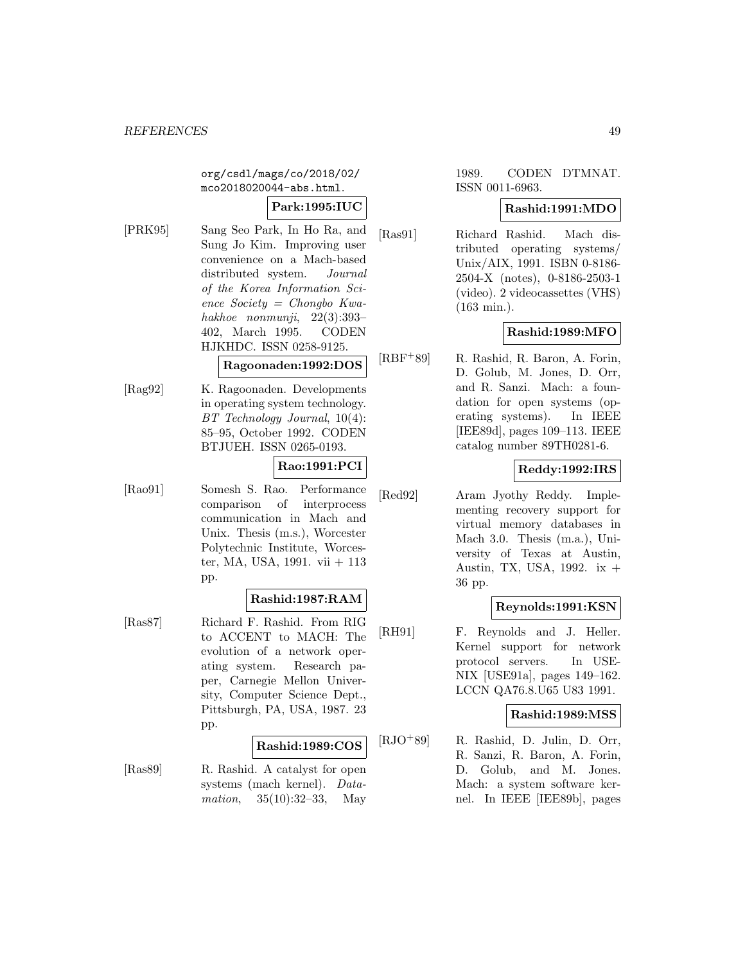org/csdl/mags/co/2018/02/ mco2018020044-abs.html.

# **Park:1995:IUC**

[PRK95] Sang Seo Park, In Ho Ra, and Sung Jo Kim. Improving user convenience on a Mach-based distributed system. Journal of the Korea Information Science Society = Chongbo Kwahakhoe nonmunji, 22(3):393– 402, March 1995. CODEN HJKHDC. ISSN 0258-9125.

# **Ragoonaden:1992:DOS**

[Rag92] K. Ragoonaden. Developments in operating system technology. BT Technology Journal, 10(4): 85–95, October 1992. CODEN BTJUEH. ISSN 0265-0193.

# **Rao:1991:PCI**

[Rao91] Somesh S. Rao. Performance comparison of interprocess communication in Mach and Unix. Thesis (m.s.), Worcester Polytechnic Institute, Worcester, MA, USA, 1991. vii + 113 pp.

#### **Rashid:1987:RAM**

[Ras87] Richard F. Rashid. From RIG to ACCENT to MACH: The evolution of a network operating system. Research paper, Carnegie Mellon University, Computer Science Dept., Pittsburgh, PA, USA, 1987. 23 pp.

#### **Rashid:1989:COS**

[Ras89] R. Rashid. A catalyst for open systems (mach kernel). Datamation, 35(10):32–33, May

# 1989. CODEN DTMNAT. ISSN 0011-6963.

#### **Rashid:1991:MDO**

[Ras91] Richard Rashid. Mach distributed operating systems/ Unix/AIX, 1991. ISBN 0-8186- 2504-X (notes), 0-8186-2503-1 (video). 2 videocassettes (VHS) (163 min.).

# **Rashid:1989:MFO**

[RBF<sup>+</sup>89] R. Rashid, R. Baron, A. Forin, D. Golub, M. Jones, D. Orr, and R. Sanzi. Mach: a foundation for open systems (operating systems). In IEEE [IEE89d], pages 109–113. IEEE catalog number 89TH0281-6.

# **Reddy:1992:IRS**

[Red92] Aram Jyothy Reddy. Implementing recovery support for virtual memory databases in Mach 3.0. Thesis (m.a.), University of Texas at Austin, Austin, TX, USA, 1992. ix + 36 pp.

# **Reynolds:1991:KSN**

[RH91] F. Reynolds and J. Heller. Kernel support for network protocol servers. In USE-NIX [USE91a], pages 149–162. LCCN QA76.8.U65 U83 1991.

#### **Rashid:1989:MSS**

[RJO<sup>+</sup>89] R. Rashid, D. Julin, D. Orr, R. Sanzi, R. Baron, A. Forin, D. Golub, and M. Jones. Mach: a system software kernel. In IEEE [IEE89b], pages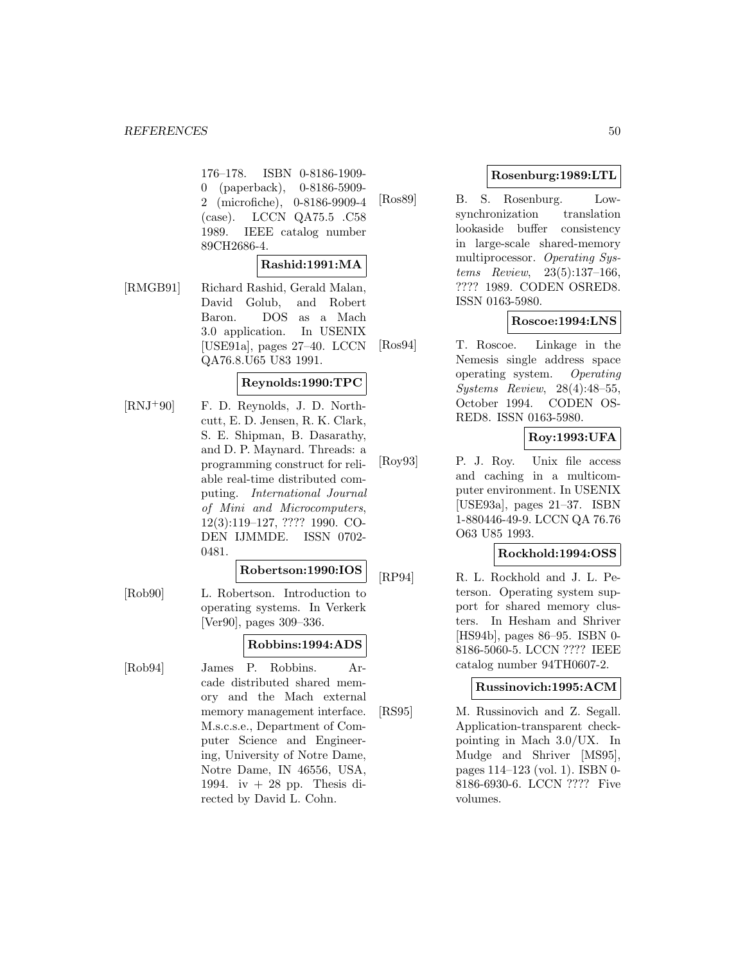176–178. ISBN 0-8186-1909- 0 (paperback), 0-8186-5909- 2 (microfiche), 0-8186-9909-4 (case). LCCN QA75.5 .C58 1989. IEEE catalog number 89CH2686-4.

# **Rashid:1991:MA**

[RMGB91] Richard Rashid, Gerald Malan, David Golub, and Robert Baron. DOS as a Mach 3.0 application. In USENIX [USE91a], pages 27–40. LCCN QA76.8.U65 U83 1991.

# **Reynolds:1990:TPC**

[RNJ<sup>+</sup>90] F. D. Reynolds, J. D. Northcutt, E. D. Jensen, R. K. Clark, S. E. Shipman, B. Dasarathy, and D. P. Maynard. Threads: a programming construct for reliable real-time distributed computing. International Journal of Mini and Microcomputers, 12(3):119–127, ???? 1990. CO-DEN IJMMDE. ISSN 0702- 0481.

#### **Robertson:1990:IOS**

[Rob90] L. Robertson. Introduction to operating systems. In Verkerk [Ver90], pages 309–336.

# **Robbins:1994:ADS**

[Rob94] James P. Robbins. Arcade distributed shared memory and the Mach external memory management interface. M.s.c.s.e., Department of Computer Science and Engineering, University of Notre Dame, Notre Dame, IN 46556, USA, 1994. iv  $+28$  pp. Thesis directed by David L. Cohn.

# **Rosenburg:1989:LTL**

[Ros89] B. S. Rosenburg. Lowsynchronization translation lookaside buffer consistency in large-scale shared-memory multiprocessor. Operating Systems Review, 23(5):137–166, ???? 1989. CODEN OSRED8. ISSN 0163-5980.

# **Roscoe:1994:LNS**

[Ros94] T. Roscoe. Linkage in the Nemesis single address space operating system. Operating Systems Review, 28(4):48–55, October 1994. CODEN OS-RED8. ISSN 0163-5980.

# **Roy:1993:UFA**

[Roy93] P. J. Roy. Unix file access and caching in a multicomputer environment. In USENIX [USE93a], pages 21–37. ISBN 1-880446-49-9. LCCN QA 76.76 O63 U85 1993.

#### **Rockhold:1994:OSS**

[RP94] R. L. Rockhold and J. L. Peterson. Operating system support for shared memory clusters. In Hesham and Shriver [HS94b], pages 86–95. ISBN 0- 8186-5060-5. LCCN ???? IEEE catalog number 94TH0607-2.

## **Russinovich:1995:ACM**

[RS95] M. Russinovich and Z. Segall. Application-transparent checkpointing in Mach 3.0/UX. In Mudge and Shriver [MS95], pages 114–123 (vol. 1). ISBN 0- 8186-6930-6. LCCN ???? Five volumes.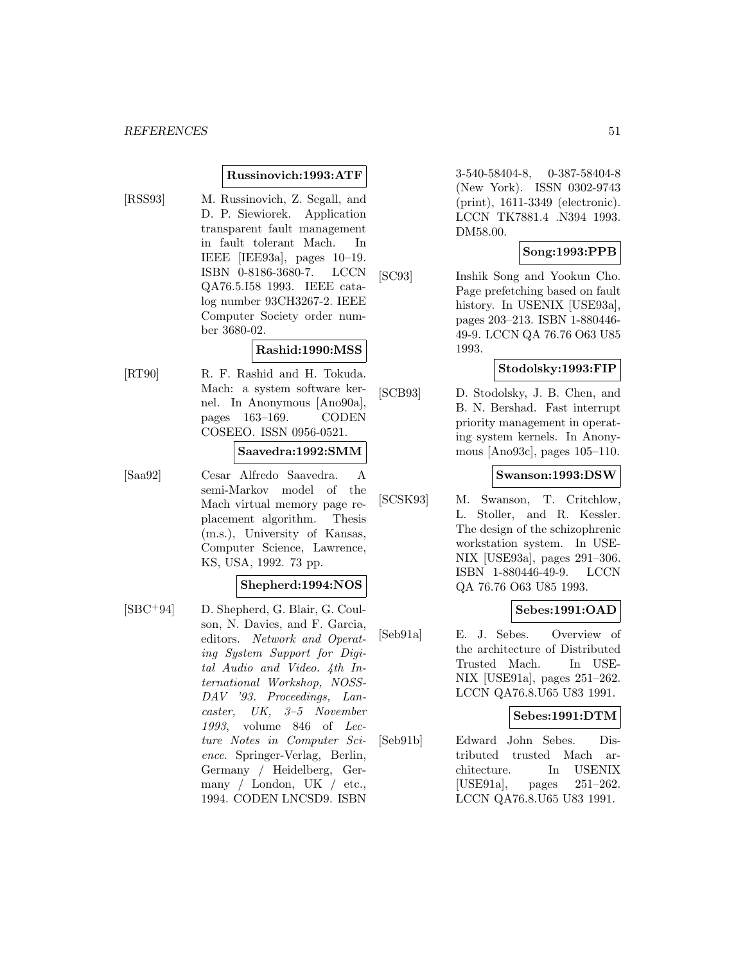#### **Russinovich:1993:ATF**

[RSS93] M. Russinovich, Z. Segall, and D. P. Siewiorek. Application transparent fault management in fault tolerant Mach. In IEEE [IEE93a], pages 10–19. ISBN 0-8186-3680-7. LCCN QA76.5.I58 1993. IEEE catalog number 93CH3267-2. IEEE Computer Society order number 3680-02.

# **Rashid:1990:MSS**

[RT90] R. F. Rashid and H. Tokuda. Mach: a system software kernel. In Anonymous [Ano90a], pages 163–169. CODEN COSEEO. ISSN 0956-0521.

#### **Saavedra:1992:SMM**

[Saa92] Cesar Alfredo Saavedra. A semi-Markov model of the Mach virtual memory page replacement algorithm. Thesis (m.s.), University of Kansas, Computer Science, Lawrence, KS, USA, 1992. 73 pp.

## **Shepherd:1994:NOS**

[SBC<sup>+</sup>94] D. Shepherd, G. Blair, G. Coulson, N. Davies, and F. Garcia, editors. Network and Operating System Support for Digital Audio and Video. 4th International Workshop, NOSS-DAV '93. Proceedings, Lancaster, UK, 3–5 November 1993, volume 846 of Lecture Notes in Computer Science. Springer-Verlag, Berlin, Germany / Heidelberg, Germany / London, UK / etc., 1994. CODEN LNCSD9. ISBN

3-540-58404-8, 0-387-58404-8 (New York). ISSN 0302-9743 (print), 1611-3349 (electronic). LCCN TK7881.4 .N394 1993. DM58.00.

# **Song:1993:PPB**

[SC93] Inshik Song and Yookun Cho. Page prefetching based on fault history. In USENIX [USE93a], pages 203–213. ISBN 1-880446- 49-9. LCCN QA 76.76 O63 U85 1993.

#### **Stodolsky:1993:FIP**

[SCB93] D. Stodolsky, J. B. Chen, and B. N. Bershad. Fast interrupt priority management in operating system kernels. In Anonymous [Ano93c], pages 105–110.

#### **Swanson:1993:DSW**

[SCSK93] M. Swanson, T. Critchlow, L. Stoller, and R. Kessler. The design of the schizophrenic workstation system. In USE-NIX [USE93a], pages 291–306. ISBN 1-880446-49-9. LCCN QA 76.76 O63 U85 1993.

#### **Sebes:1991:OAD**

[Seb91a] E. J. Sebes. Overview of the architecture of Distributed Trusted Mach. In USE-NIX [USE91a], pages 251–262. LCCN QA76.8.U65 U83 1991.

#### **Sebes:1991:DTM**

[Seb91b] Edward John Sebes. Distributed trusted Mach architecture. In USENIX [USE91a], pages 251–262. LCCN QA76.8.U65 U83 1991.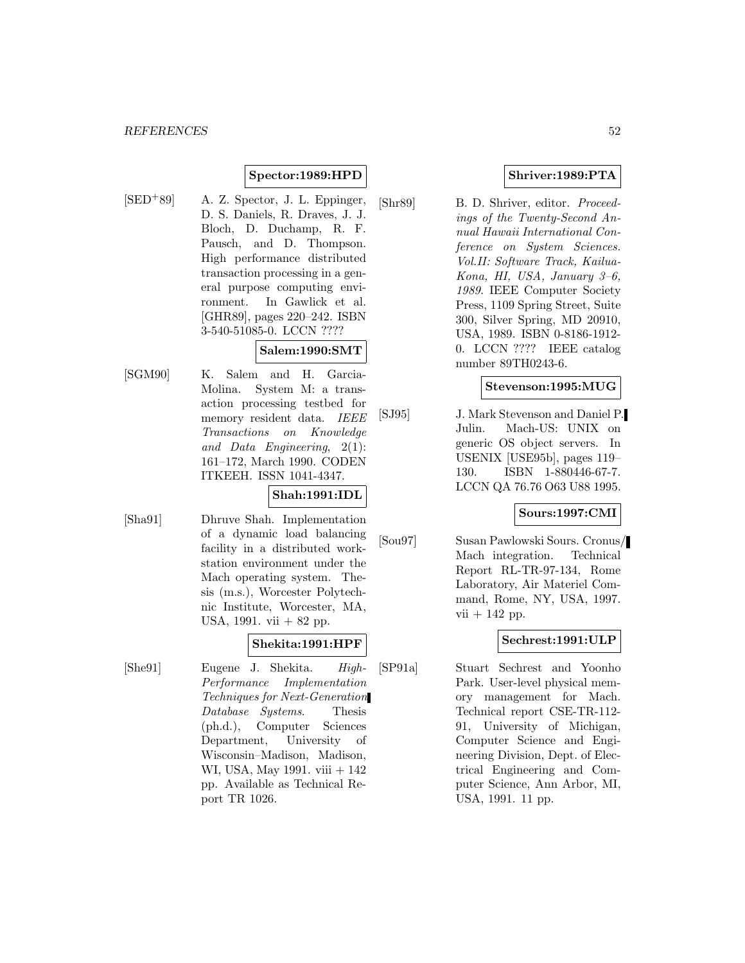# **Spector:1989:HPD**

 $[SED+89]$  A. Z. Spector, J. L. Eppinger, D. S. Daniels, R. Draves, J. J. Bloch, D. Duchamp, R. F. Pausch, and D. Thompson. High performance distributed transaction processing in a general purpose computing environment. In Gawlick et al. [GHR89], pages 220–242. ISBN 3-540-51085-0. LCCN ????

# **Salem:1990:SMT**

[SGM90] K. Salem and H. Garcia-Molina. System M: a transaction processing testbed for memory resident data. IEEE Transactions on Knowledge and Data Engineering, 2(1): 161–172, March 1990. CODEN ITKEEH. ISSN 1041-4347.

# **Shah:1991:IDL**

[Sha91] Dhruve Shah. Implementation of a dynamic load balancing facility in a distributed workstation environment under the Mach operating system. Thesis (m.s.), Worcester Polytechnic Institute, Worcester, MA, USA, 1991. vii + 82 pp.

# **Shekita:1991:HPF**

[She91] Eugene J. Shekita. High-Performance Implementation Techniques for Next-Generation Database Systems. Thesis (ph.d.), Computer Sciences Department, University of Wisconsin–Madison, Madison, WI, USA, May 1991. viii + 142 pp. Available as Technical Report TR 1026.

# **Shriver:1989:PTA**

[Shr89] B. D. Shriver, editor. Proceedings of the Twenty-Second Annual Hawaii International Conference on System Sciences. Vol.II: Software Track, Kailua-Kona, HI, USA, January 3–6, 1989. IEEE Computer Society Press, 1109 Spring Street, Suite 300, Silver Spring, MD 20910, USA, 1989. ISBN 0-8186-1912- 0. LCCN ???? IEEE catalog number 89TH0243-6.

# **Stevenson:1995:MUG**

[SJ95] J. Mark Stevenson and Daniel P. Julin. Mach-US: UNIX on generic OS object servers. In USENIX [USE95b], pages 119– 130. ISBN 1-880446-67-7. LCCN QA 76.76 O63 U88 1995.

#### **Sours:1997:CMI**

[Sou97] Susan Pawlowski Sours. Cronus/ Mach integration. Technical Report RL-TR-97-134, Rome Laboratory, Air Materiel Command, Rome, NY, USA, 1997.  $vii + 142$  pp.

# **Sechrest:1991:ULP**

[SP91a] Stuart Sechrest and Yoonho Park. User-level physical memory management for Mach. Technical report CSE-TR-112- 91, University of Michigan, Computer Science and Engineering Division, Dept. of Electrical Engineering and Computer Science, Ann Arbor, MI, USA, 1991. 11 pp.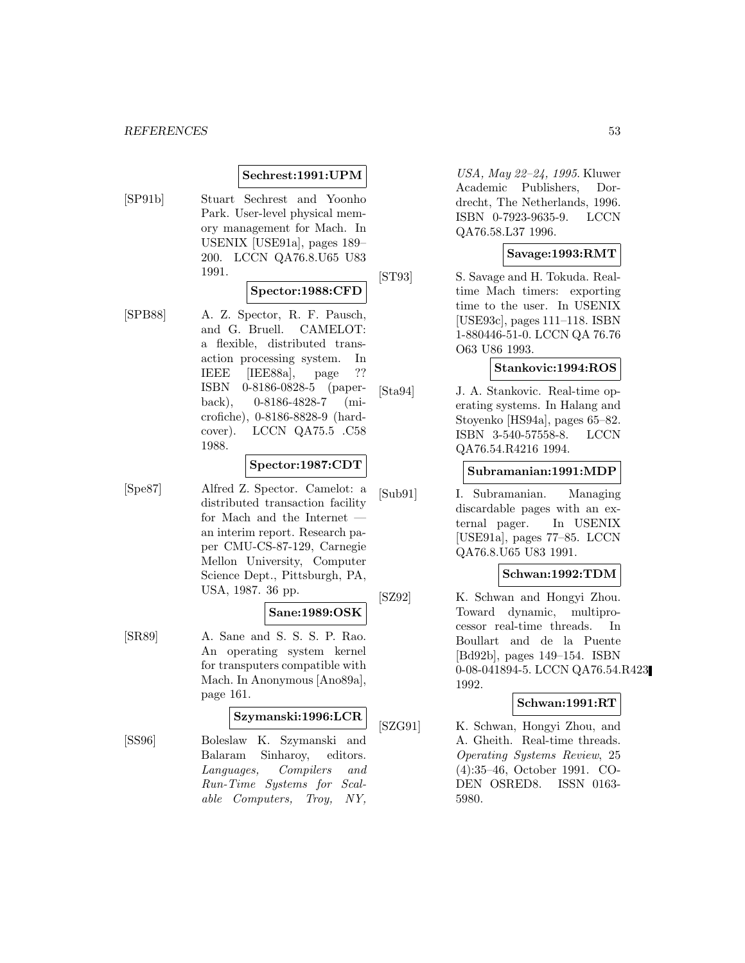# **Sechrest:1991:UPM**

[SP91b] Stuart Sechrest and Yoonho Park. User-level physical memory management for Mach. In USENIX [USE91a], pages 189– 200. LCCN QA76.8.U65 U83 1991.

#### **Spector:1988:CFD**

[SPB88] A. Z. Spector, R. F. Pausch, and G. Bruell. CAMELOT: a flexible, distributed transaction processing system. In IEEE [IEE88a], page ?? ISBN 0-8186-0828-5 (paperback), 0-8186-4828-7 (microfiche), 0-8186-8828-9 (hardcover). LCCN QA75.5 .C58 1988.

#### **Spector:1987:CDT**

[Spe87] Alfred Z. Spector. Camelot: a distributed transaction facility for Mach and the Internet an interim report. Research paper CMU-CS-87-129, Carnegie Mellon University, Computer Science Dept., Pittsburgh, PA, USA, 1987. 36 pp.

# **Sane:1989:OSK**

[SR89] A. Sane and S. S. S. P. Rao. An operating system kernel for transputers compatible with Mach. In Anonymous [Ano89a], page 161.

#### **Szymanski:1996:LCR**

[SS96] Boleslaw K. Szymanski and Balaram Sinharoy, editors. Languages, Compilers and Run-Time Systems for Scalable Computers, Troy, NY,

USA, May 22–24, 1995. Kluwer Academic Publishers, Dordrecht, The Netherlands, 1996. ISBN 0-7923-9635-9. LCCN QA76.58.L37 1996.

#### **Savage:1993:RMT**

[ST93] S. Savage and H. Tokuda. Realtime Mach timers: exporting time to the user. In USENIX [USE93c], pages 111–118. ISBN 1-880446-51-0. LCCN QA 76.76 O63 U86 1993.

### **Stankovic:1994:ROS**

[Sta94] J. A. Stankovic. Real-time operating systems. In Halang and Stoyenko [HS94a], pages 65–82. ISBN 3-540-57558-8. LCCN QA76.54.R4216 1994.

#### **Subramanian:1991:MDP**

[Sub91] I. Subramanian. Managing discardable pages with an external pager. In USENIX [USE91a], pages 77–85. LCCN QA76.8.U65 U83 1991.

#### **Schwan:1992:TDM**

[SZ92] K. Schwan and Hongyi Zhou. Toward dynamic, multiprocessor real-time threads. In Boullart and de la Puente [Bd92b], pages 149–154. ISBN 0-08-041894-5. LCCN QA76.54.R423 1992.

# **Schwan:1991:RT**

[SZG91] K. Schwan, Hongyi Zhou, and A. Gheith. Real-time threads. Operating Systems Review, 25 (4):35–46, October 1991. CO-DEN OSRED8. ISSN 0163- 5980.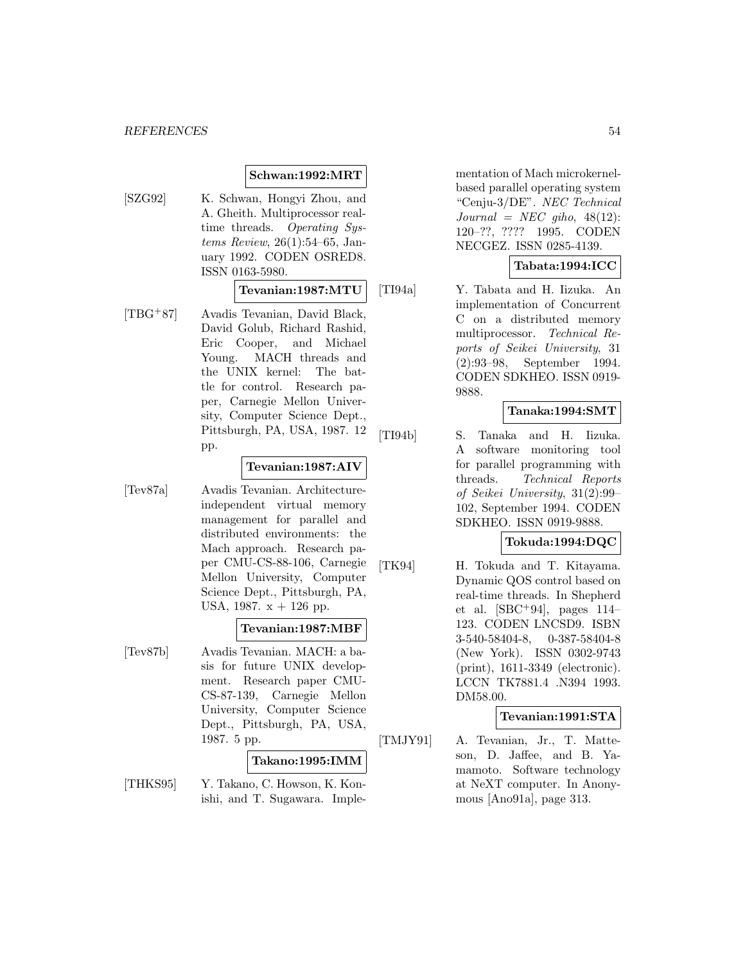#### **Schwan:1992:MRT**

[SZG92] K. Schwan, Hongyi Zhou, and A. Gheith. Multiprocessor realtime threads. Operating Systems Review, 26(1):54–65, January 1992. CODEN OSRED8. ISSN 0163-5980.

#### **Tevanian:1987:MTU**

[TBG<sup>+</sup>87] Avadis Tevanian, David Black, David Golub, Richard Rashid, Eric Cooper, and Michael Young. MACH threads and the UNIX kernel: The battle for control. Research paper, Carnegie Mellon University, Computer Science Dept., Pittsburgh, PA, USA, 1987. 12 pp.

#### **Tevanian:1987:AIV**

[Tev87a] Avadis Tevanian. Architectureindependent virtual memory management for parallel and distributed environments: the Mach approach. Research paper CMU-CS-88-106, Carnegie Mellon University, Computer Science Dept., Pittsburgh, PA, USA, 1987.  $x + 126$  pp.

#### **Tevanian:1987:MBF**

[Tev87b] Avadis Tevanian. MACH: a basis for future UNIX development. Research paper CMU-CS-87-139, Carnegie Mellon University, Computer Science Dept., Pittsburgh, PA, USA, 1987. 5 pp.

### **Takano:1995:IMM**

[THKS95] Y. Takano, C. Howson, K. Konishi, and T. Sugawara. Imple-

mentation of Mach microkernelbased parallel operating system "Cenju-3/DE". NEC Technical  $Journal = NEC gibo, 48(12):$ 120–??, ???? 1995. CODEN NECGEZ. ISSN 0285-4139.

#### **Tabata:1994:ICC**

[TI94a] Y. Tabata and H. Iizuka. An implementation of Concurrent C on a distributed memory multiprocessor. Technical Reports of Seikei University, 31 (2):93–98, September 1994. CODEN SDKHEO. ISSN 0919- 9888.

#### **Tanaka:1994:SMT**

[TI94b] S. Tanaka and H. Iizuka. A software monitoring tool for parallel programming with threads. Technical Reports of Seikei University, 31(2):99– 102, September 1994. CODEN SDKHEO. ISSN 0919-9888.

# **Tokuda:1994:DQC**

[TK94] H. Tokuda and T. Kitayama. Dynamic QOS control based on real-time threads. In Shepherd et al.  $[SBC+94]$ , pages 114– 123. CODEN LNCSD9. ISBN 3-540-58404-8, 0-387-58404-8 (New York). ISSN 0302-9743 (print), 1611-3349 (electronic). LCCN TK7881.4 .N394 1993. DM58.00.

#### **Tevanian:1991:STA**

[TMJY91] A. Tevanian, Jr., T. Matteson, D. Jaffee, and B. Yamamoto. Software technology at NeXT computer. In Anonymous [Ano91a], page 313.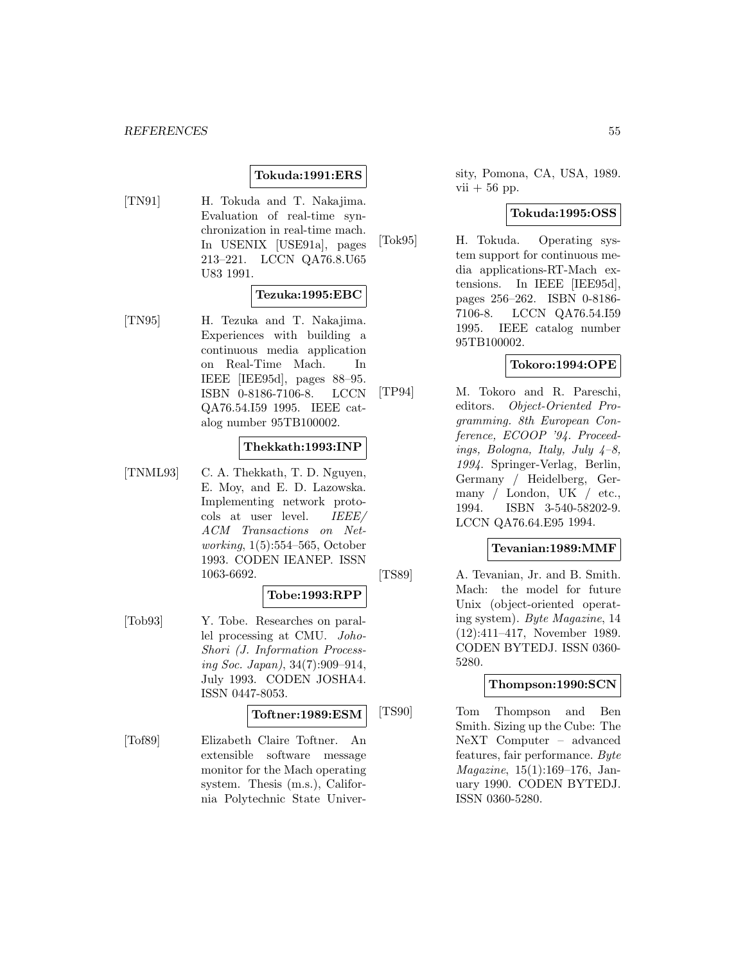# **Tokuda:1991:ERS**

[TN91] H. Tokuda and T. Nakajima. Evaluation of real-time synchronization in real-time mach. In USENIX [USE91a], pages 213–221. LCCN QA76.8.U65 U83 1991.

#### **Tezuka:1995:EBC**

[TN95] H. Tezuka and T. Nakajima. Experiences with building a continuous media application on Real-Time Mach. In IEEE [IEE95d], pages 88–95. ISBN 0-8186-7106-8. LCCN QA76.54.I59 1995. IEEE catalog number 95TB100002.

# **Thekkath:1993:INP**

[TNML93] C. A. Thekkath, T. D. Nguyen, E. Moy, and E. D. Lazowska. Implementing network protocols at user level. IEEE/ ACM Transactions on Networking, 1(5):554–565, October 1993. CODEN IEANEP. ISSN 1063-6692.

#### **Tobe:1993:RPP**

[Tob93] Y. Tobe. Researches on parallel processing at CMU. Joho-Shori (J. Information Processing Soc. Japan), 34(7):909–914, July 1993. CODEN JOSHA4. ISSN 0447-8053.

# **Toftner:1989:ESM**

[Tof89] Elizabeth Claire Toftner. An extensible software message monitor for the Mach operating system. Thesis (m.s.), California Polytechnic State University, Pomona, CA, USA, 1989.  $vii + 56$  pp.

# **Tokuda:1995:OSS**

[Tok95] H. Tokuda. Operating system support for continuous media applications-RT-Mach extensions. In IEEE [IEE95d], pages 256–262. ISBN 0-8186- 7106-8. LCCN QA76.54.I59 1995. IEEE catalog number 95TB100002.

## **Tokoro:1994:OPE**

[TP94] M. Tokoro and R. Pareschi, editors. Object-Oriented Programming. 8th European Conference, ECOOP '94. Proceedings, Bologna, Italy, July  $4-8$ , 1994. Springer-Verlag, Berlin, Germany / Heidelberg, Germany / London, UK / etc., 1994. ISBN 3-540-58202-9. LCCN QA76.64.E95 1994.

#### **Tevanian:1989:MMF**

[TS89] A. Tevanian, Jr. and B. Smith. Mach: the model for future Unix (object-oriented operating system). Byte Magazine, 14 (12):411–417, November 1989. CODEN BYTEDJ. ISSN 0360- 5280.

### **Thompson:1990:SCN**

[TS90] Tom Thompson and Ben Smith. Sizing up the Cube: The NeXT Computer – advanced features, fair performance. Byte Magazine, 15(1):169–176, January 1990. CODEN BYTEDJ. ISSN 0360-5280.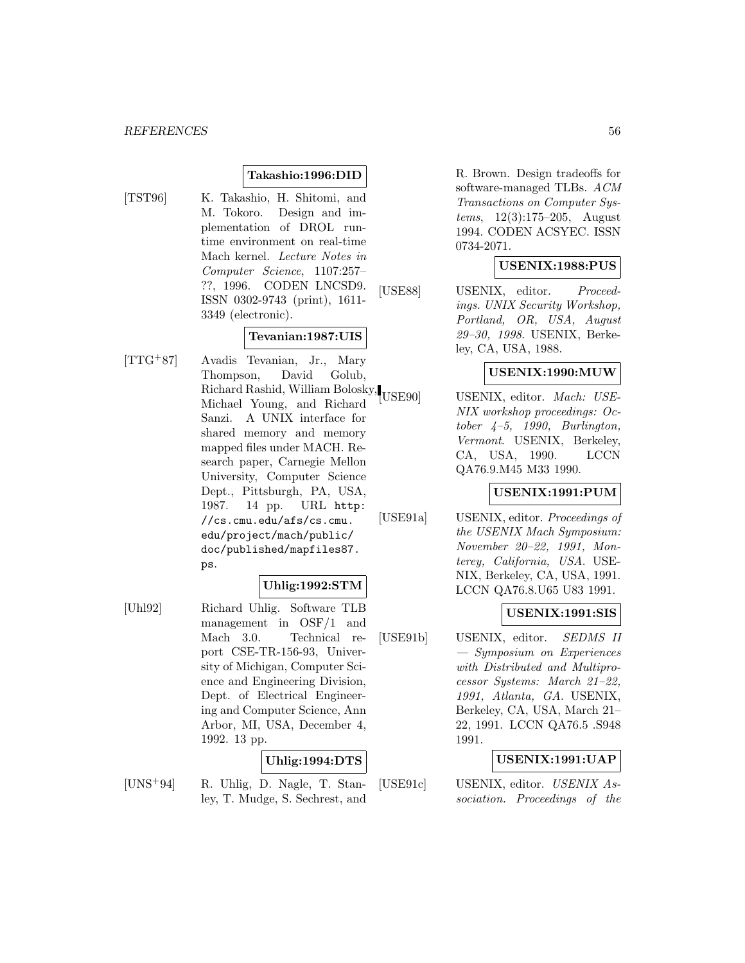# **Takashio:1996:DID**

- 
- [TST96] K. Takashio, H. Shitomi, and M. Tokoro. Design and implementation of DROL runtime environment on real-time Mach kernel. Lecture Notes in Computer Science, 1107:257– ??, 1996. CODEN LNCSD9. ISSN 0302-9743 (print), 1611- 3349 (electronic).

#### **Tevanian:1987:UIS**

[TTG<sup>+</sup>87] Avadis Tevanian, Jr., Mary Thompson, David Golub, Richard Rashid, William Bolosky, Michael Young, and Richard Sanzi. A UNIX interface for shared memory and memory mapped files under MACH. Research paper, Carnegie Mellon University, Computer Science Dept., Pittsburgh, PA, USA, 1987. 14 pp. URL http: //cs.cmu.edu/afs/cs.cmu. edu/project/mach/public/ doc/published/mapfiles87. ps.

# **Uhlig:1992:STM**

[Uhl92] Richard Uhlig. Software TLB management in OSF/1 and Mach 3.0. Technical report CSE-TR-156-93, University of Michigan, Computer Science and Engineering Division, Dept. of Electrical Engineering and Computer Science, Ann Arbor, MI, USA, December 4, 1992. 13 pp.

# **Uhlig:1994:DTS**

[UNS<sup>+</sup>94] R. Uhlig, D. Nagle, T. Stanley, T. Mudge, S. Sechrest, and

R. Brown. Design tradeoffs for software-managed TLBs. ACM Transactions on Computer Systems, 12(3):175–205, August 1994. CODEN ACSYEC. ISSN 0734-2071.

## **USENIX:1988:PUS**

[USE88] USENIX, editor. *Proceed*ings. UNIX Security Workshop, Portland, OR, USA, August 29–30, 1998. USENIX, Berkeley, CA, USA, 1988.

# **USENIX:1990:MUW**

USE90] USENIX, editor. Mach: USE-NIX workshop proceedings: October  $4-5$ , 1990, Burlington, Vermont. USENIX, Berkeley, CA, USA, 1990. LCCN QA76.9.M45 M33 1990.

#### **USENIX:1991:PUM**

[USE91a] USENIX, editor. *Proceedings of* the USENIX Mach Symposium: November 20–22, 1991, Monterey, California, USA. USE-NIX, Berkeley, CA, USA, 1991. LCCN QA76.8.U65 U83 1991.

#### **USENIX:1991:SIS**

[USE91b] USENIX, editor. *SEDMS II* — Symposium on Experiences with Distributed and Multiprocessor Systems: March 21–22, 1991, Atlanta, GA. USENIX, Berkeley, CA, USA, March 21– 22, 1991. LCCN QA76.5 .S948 1991.

#### **USENIX:1991:UAP**

[USE91c] USENIX, editor. USENIX Association. Proceedings of the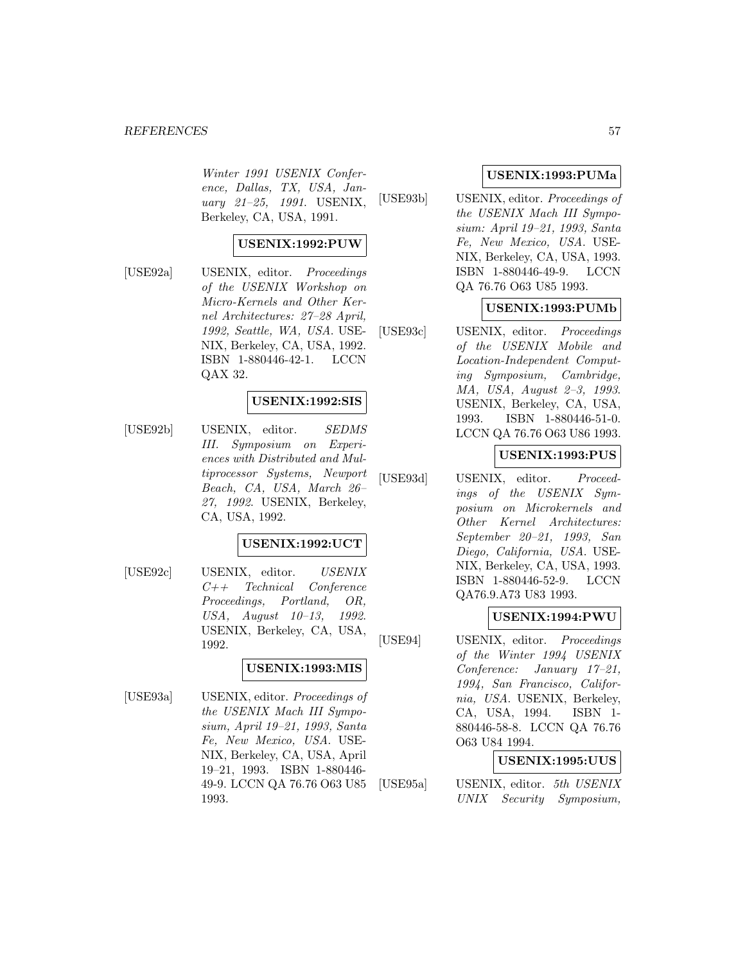#### *REFERENCES* 57

Winter 1991 USENIX Conference, Dallas, TX, USA, January 21–25, 1991. USENIX, Berkeley, CA, USA, 1991.

# **USENIX:1992:PUW**

[USE92a] USENIX, editor. *Proceedings* of the USENIX Workshop on Micro-Kernels and Other Kernel Architectures: 27–28 April, 1992, Seattle, WA, USA. USE-NIX, Berkeley, CA, USA, 1992. ISBN 1-880446-42-1. LCCN QAX 32.

#### **USENIX:1992:SIS**

[USE92b] USENIX, editor. SEDMS III. Symposium on Experiences with Distributed and Multiprocessor Systems, Newport Beach, CA, USA, March 26– 27, 1992. USENIX, Berkeley, CA, USA, 1992.

#### **USENIX:1992:UCT**

[USE92c] USENIX, editor. USENIX C++ Technical Conference Proceedings, Portland, OR, USA, August 10–13, 1992. USENIX, Berkeley, CA, USA, 1992.

# **USENIX:1993:MIS**

[USE93a] USENIX, editor. *Proceedings of* the USENIX Mach III Symposium, April 19–21, 1993, Santa Fe, New Mexico, USA. USE-NIX, Berkeley, CA, USA, April 19–21, 1993. ISBN 1-880446- 49-9. LCCN QA 76.76 O63 U85 1993.

#### **USENIX:1993:PUMa**

[USE93b] USENIX, editor. Proceedings of the USENIX Mach III Symposium: April 19–21, 1993, Santa Fe, New Mexico, USA. USE-NIX, Berkeley, CA, USA, 1993. ISBN 1-880446-49-9. LCCN QA 76.76 O63 U85 1993.

#### **USENIX:1993:PUMb**

[USE93c] USENIX, editor. Proceedings of the USENIX Mobile and Location-Independent Computing Symposium, Cambridge, MA, USA, August 2–3, 1993. USENIX, Berkeley, CA, USA, 1993. ISBN 1-880446-51-0. LCCN QA 76.76 O63 U86 1993.

#### **USENIX:1993:PUS**

[USE93d] USENIX, editor. Proceedings of the USENIX Symposium on Microkernels and Other Kernel Architectures: September 20–21, 1993, San Diego, California, USA. USE-NIX, Berkeley, CA, USA, 1993. ISBN 1-880446-52-9. LCCN QA76.9.A73 U83 1993.

#### **USENIX:1994:PWU**

[USE94] USENIX, editor. Proceedings of the Winter 1994 USENIX Conference: January 17–21, 1994, San Francisco, California, USA. USENIX, Berkeley, CA, USA, 1994. ISBN 1- 880446-58-8. LCCN QA 76.76 O63 U84 1994.

# **USENIX:1995:UUS**

[USE95a] USENIX, editor. 5th USENIX UNIX Security Symposium,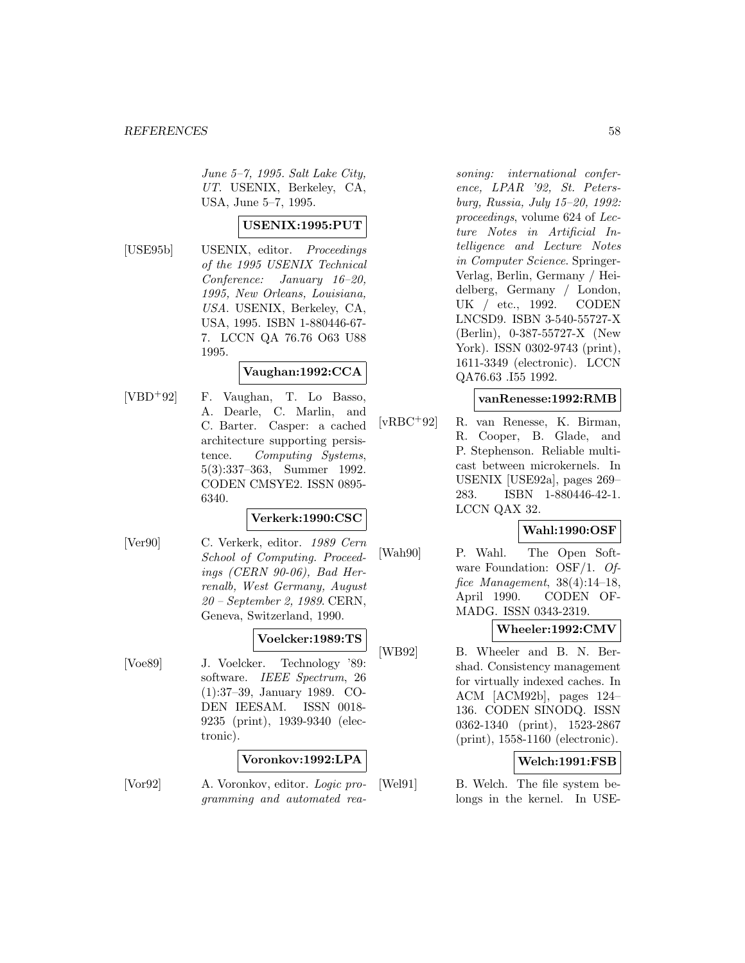June 5–7, 1995. Salt Lake City, UT. USENIX, Berkeley, CA, USA, June 5–7, 1995.

# **USENIX:1995:PUT**

[USE95b] USENIX, editor. Proceedings of the 1995 USENIX Technical Conference: January 16–20, 1995, New Orleans, Louisiana, USA. USENIX, Berkeley, CA, USA, 1995. ISBN 1-880446-67- 7. LCCN QA 76.76 O63 U88 1995.

# **Vaughan:1992:CCA**

[VBD<sup>+</sup>92] F. Vaughan, T. Lo Basso, A. Dearle, C. Marlin, and C. Barter. Casper: a cached architecture supporting persistence. Computing Systems, 5(3):337–363, Summer 1992. CODEN CMSYE2. ISSN 0895- 6340.

#### **Verkerk:1990:CSC**

[Ver90] C. Verkerk, editor. 1989 Cern School of Computing. Proceedings (CERN 90-06), Bad Herrenalb, West Germany, August 20 – September 2, 1989. CERN, Geneva, Switzerland, 1990.

#### **Voelcker:1989:TS**

[Voe89] J. Voelcker. Technology '89: software. IEEE Spectrum, 26 (1):37–39, January 1989. CO-DEN IEESAM. ISSN 0018- 9235 (print), 1939-9340 (electronic).

#### **Voronkov:1992:LPA**

[Vor92] A. Voronkov, editor. Logic programming and automated rea-

soning: international conference, LPAR '92, St. Petersburg, Russia, July 15–20, 1992: proceedings, volume 624 of Lecture Notes in Artificial Intelligence and Lecture Notes in Computer Science. Springer-Verlag, Berlin, Germany / Heidelberg, Germany / London, UK / etc., 1992. CODEN LNCSD9. ISBN 3-540-55727-X (Berlin), 0-387-55727-X (New York). ISSN 0302-9743 (print), 1611-3349 (electronic). LCCN QA76.63 .I55 1992.

# **vanRenesse:1992:RMB**

[vRBC<sup>+</sup>92] R. van Renesse, K. Birman, R. Cooper, B. Glade, and P. Stephenson. Reliable multicast between microkernels. In USENIX [USE92a], pages 269– 283. ISBN 1-880446-42-1. LCCN QAX 32.

#### **Wahl:1990:OSF**

[Wah90] P. Wahl. The Open Software Foundation: OSF/1. Office Management, 38(4):14–18, April 1990. CODEN OF-MADG. ISSN 0343-2319.

#### **Wheeler:1992:CMV**

[WB92] B. Wheeler and B. N. Bershad. Consistency management for virtually indexed caches. In ACM [ACM92b], pages 124– 136. CODEN SINODQ. ISSN 0362-1340 (print), 1523-2867 (print), 1558-1160 (electronic).

# **Welch:1991:FSB**

[Wel91] B. Welch. The file system belongs in the kernel. In USE-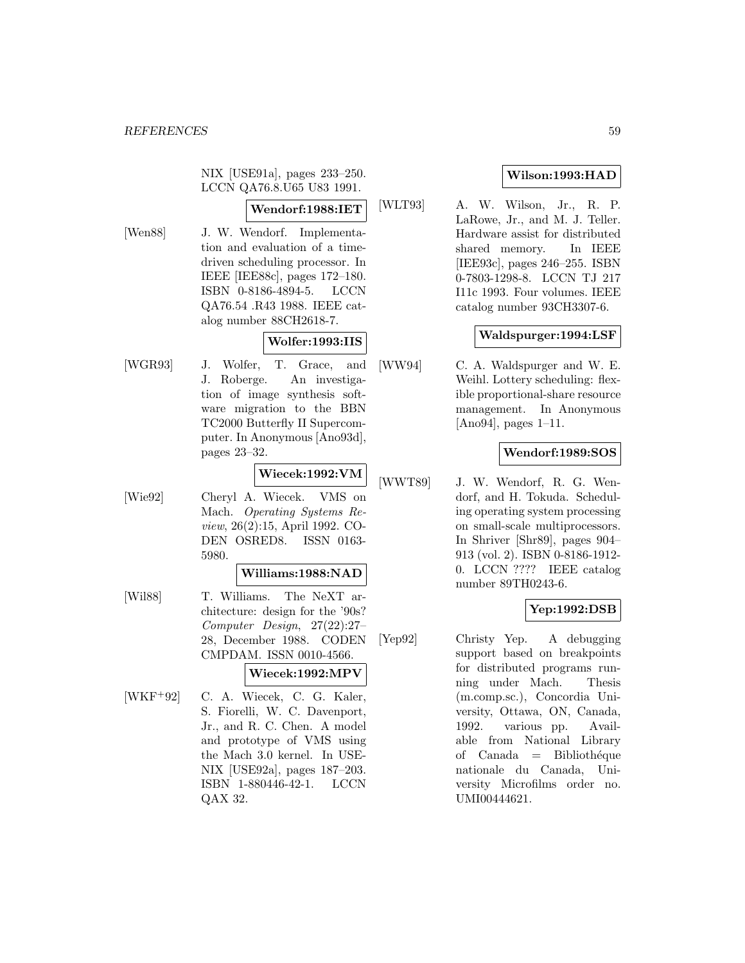NIX [USE91a], pages 233–250. LCCN QA76.8.U65 U83 1991.

# **Wendorf:1988:IET**

[Wen88] J. W. Wendorf. Implementation and evaluation of a timedriven scheduling processor. In IEEE [IEE88c], pages 172–180. ISBN 0-8186-4894-5. LCCN QA76.54 .R43 1988. IEEE catalog number 88CH2618-7.

# **Wolfer:1993:IIS**

[WGR93] J. Wolfer, T. Grace, and J. Roberge. An investigation of image synthesis software migration to the BBN TC2000 Butterfly II Supercomputer. In Anonymous [Ano93d], pages 23–32.

# **Wiecek:1992:VM**

[Wie92] Cheryl A. Wiecek. VMS on Mach. Operating Systems Review, 26(2):15, April 1992. CO-DEN OSRED8. ISSN 0163- 5980.

#### **Williams:1988:NAD**

[Wil88] T. Williams. The NeXT architecture: design for the '90s? Computer Design, 27(22):27– 28, December 1988. CODEN CMPDAM. ISSN 0010-4566.

#### **Wiecek:1992:MPV**

[WKF<sup>+</sup>92] C. A. Wiecek, C. G. Kaler, S. Fiorelli, W. C. Davenport, Jr., and R. C. Chen. A model and prototype of VMS using the Mach 3.0 kernel. In USE-NIX [USE92a], pages 187–203. ISBN 1-880446-42-1. LCCN QAX 32.

# **Wilson:1993:HAD**

[WLT93] A. W. Wilson, Jr., R. P. LaRowe, Jr., and M. J. Teller. Hardware assist for distributed shared memory. In IEEE [IEE93c], pages 246–255. ISBN 0-7803-1298-8. LCCN TJ 217 I11c 1993. Four volumes. IEEE catalog number 93CH3307-6.

# **Waldspurger:1994:LSF**

[WW94] C. A. Waldspurger and W. E. Weihl. Lottery scheduling: flexible proportional-share resource management. In Anonymous [Ano94], pages 1–11.

# **Wendorf:1989:SOS**

[WWT89] J. W. Wendorf, R. G. Wendorf, and H. Tokuda. Scheduling operating system processing on small-scale multiprocessors. In Shriver [Shr89], pages 904– 913 (vol. 2). ISBN 0-8186-1912- 0. LCCN ???? IEEE catalog number 89TH0243-6.

# **Yep:1992:DSB**

[Yep92] Christy Yep. A debugging support based on breakpoints for distributed programs running under Mach. Thesis (m.comp.sc.), Concordia University, Ottawa, ON, Canada, 1992. various pp. Available from National Library of  $Canada = Bibliothéque$ nationale du Canada, University Microfilms order no. UMI00444621.